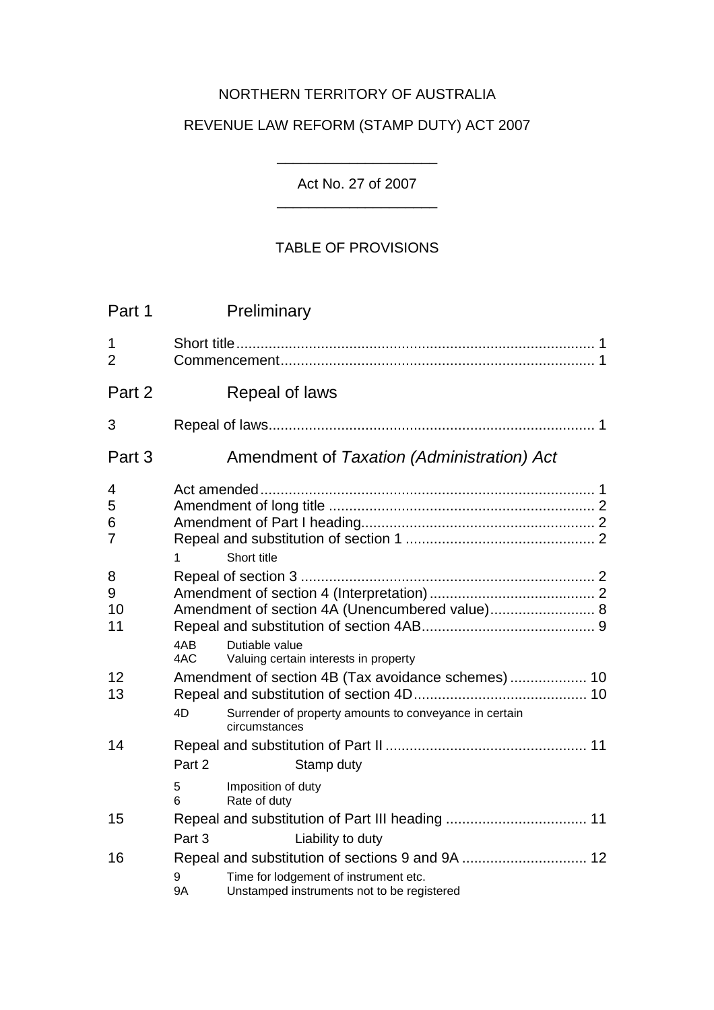# NORTHERN TERRITORY OF AUSTRALIA

# REVENUE LAW REFORM (STAMP DUTY) ACT 2007

# Act No. 27 of 2007 \_\_\_\_\_\_\_\_\_\_\_\_\_\_\_\_\_\_\_\_

\_\_\_\_\_\_\_\_\_\_\_\_\_\_\_\_\_\_\_\_

# TABLE OF PROVISIONS

| Part 1                        |                  | Preliminary                                                                                                                             |
|-------------------------------|------------------|-----------------------------------------------------------------------------------------------------------------------------------------|
| $\mathbf 1$<br>$\overline{2}$ |                  |                                                                                                                                         |
| Part 2                        |                  | Repeal of laws                                                                                                                          |
| 3                             |                  |                                                                                                                                         |
| Part 3                        |                  | Amendment of Taxation (Administration) Act                                                                                              |
| 4<br>5<br>6<br>7              | 1                | Short title                                                                                                                             |
| 8<br>9<br>10<br>11            | 4AB<br>4AC       | Amendment of section 4A (Unencumbered value) 8<br>Dutiable value<br>Valuing certain interests in property                               |
| 12<br>13                      | 4D               | Amendment of section 4B (Tax avoidance schemes) 10<br>Surrender of property amounts to conveyance in certain<br>circumstances           |
| 14                            | Part 2<br>5<br>6 | Stamp duty<br>Imposition of duty<br>Rate of duty                                                                                        |
| 15                            | Part 3           | Liability to duty                                                                                                                       |
| 16                            | 9<br>9A          | Repeal and substitution of sections 9 and 9A  12<br>Time for lodgement of instrument etc.<br>Unstamped instruments not to be registered |
|                               |                  |                                                                                                                                         |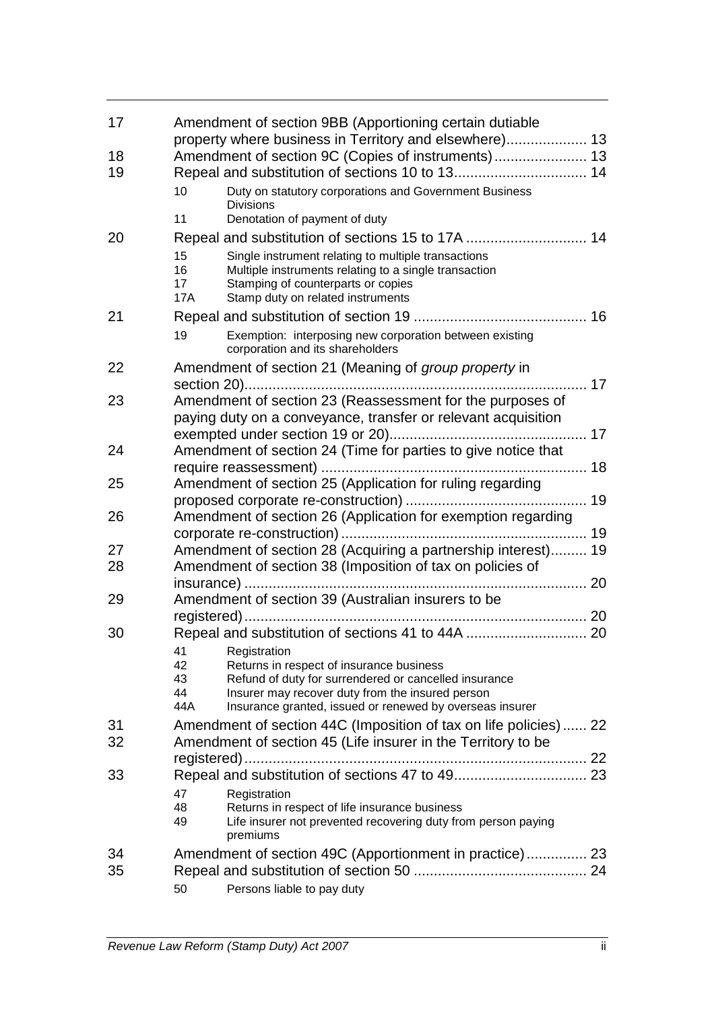| 17 | Amendment of section 9BB (Apportioning certain dutiable<br>property where business in Territory and elsewhere) 13                                                                                                       |  |  |  |
|----|-------------------------------------------------------------------------------------------------------------------------------------------------------------------------------------------------------------------------|--|--|--|
| 18 | Amendment of section 9C (Copies of instruments) 13                                                                                                                                                                      |  |  |  |
| 19 |                                                                                                                                                                                                                         |  |  |  |
|    | Duty on statutory corporations and Government Business<br>10<br><b>Divisions</b>                                                                                                                                        |  |  |  |
|    | 11<br>Denotation of payment of duty                                                                                                                                                                                     |  |  |  |
| 20 | Repeal and substitution of sections 15 to 17A  14                                                                                                                                                                       |  |  |  |
|    | 15<br>Single instrument relating to multiple transactions<br>16<br>Multiple instruments relating to a single transaction<br>17<br>Stamping of counterparts or copies<br>Stamp duty on related instruments<br><b>17A</b> |  |  |  |
| 21 |                                                                                                                                                                                                                         |  |  |  |
|    | Exemption: interposing new corporation between existing<br>19<br>corporation and its shareholders                                                                                                                       |  |  |  |
| 22 | Amendment of section 21 (Meaning of group property in                                                                                                                                                                   |  |  |  |
| 23 | Amendment of section 23 (Reassessment for the purposes of<br>paying duty on a conveyance, transfer or relevant acquisition                                                                                              |  |  |  |
| 24 | Amendment of section 24 (Time for parties to give notice that                                                                                                                                                           |  |  |  |
|    |                                                                                                                                                                                                                         |  |  |  |
| 25 | Amendment of section 25 (Application for ruling regarding                                                                                                                                                               |  |  |  |
|    |                                                                                                                                                                                                                         |  |  |  |
| 26 | Amendment of section 26 (Application for exemption regarding                                                                                                                                                            |  |  |  |
|    |                                                                                                                                                                                                                         |  |  |  |
| 27 | Amendment of section 28 (Acquiring a partnership interest) 19                                                                                                                                                           |  |  |  |
| 28 | Amendment of section 38 (Imposition of tax on policies of                                                                                                                                                               |  |  |  |
|    |                                                                                                                                                                                                                         |  |  |  |
| 29 | Amendment of section 39 (Australian insurers to be                                                                                                                                                                      |  |  |  |
|    |                                                                                                                                                                                                                         |  |  |  |
| 30 |                                                                                                                                                                                                                         |  |  |  |
|    | 41 Registration                                                                                                                                                                                                         |  |  |  |
|    | 42<br>Returns in respect of insurance business<br>43<br>Refund of duty for surrendered or cancelled insurance                                                                                                           |  |  |  |
|    | 44<br>Insurer may recover duty from the insured person                                                                                                                                                                  |  |  |  |
|    | 44A<br>Insurance granted, issued or renewed by overseas insurer                                                                                                                                                         |  |  |  |
| 31 | Amendment of section 44C (Imposition of tax on life policies) 22                                                                                                                                                        |  |  |  |
| 32 | Amendment of section 45 (Life insurer in the Territory to be                                                                                                                                                            |  |  |  |
|    | 22                                                                                                                                                                                                                      |  |  |  |
| 33 |                                                                                                                                                                                                                         |  |  |  |
|    | 47<br>Registration                                                                                                                                                                                                      |  |  |  |
|    | 48<br>Returns in respect of life insurance business<br>49<br>Life insurer not prevented recovering duty from person paying<br>premiums                                                                                  |  |  |  |
| 34 | Amendment of section 49C (Apportionment in practice) 23                                                                                                                                                                 |  |  |  |
| 35 |                                                                                                                                                                                                                         |  |  |  |
|    | Persons liable to pay duty<br>50                                                                                                                                                                                        |  |  |  |
|    |                                                                                                                                                                                                                         |  |  |  |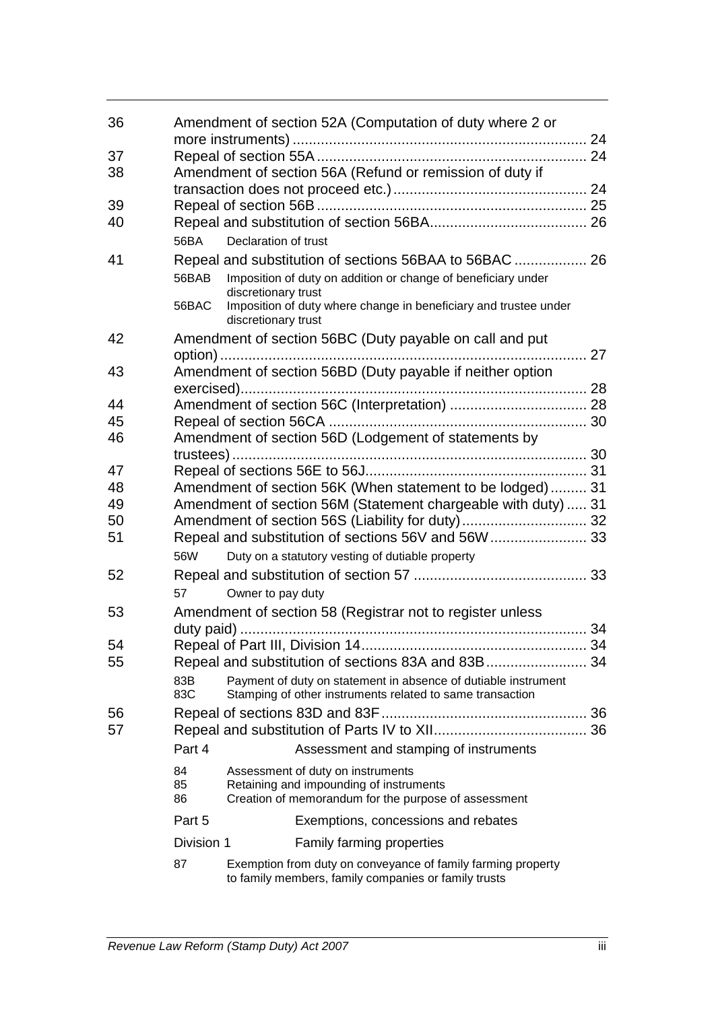| 36 |                                                     | Amendment of section 52A (Computation of duty where 2 or                                                                    |  |  |  |  |
|----|-----------------------------------------------------|-----------------------------------------------------------------------------------------------------------------------------|--|--|--|--|
| 37 |                                                     |                                                                                                                             |  |  |  |  |
| 38 |                                                     | Amendment of section 56A (Refund or remission of duty if                                                                    |  |  |  |  |
|    |                                                     |                                                                                                                             |  |  |  |  |
| 39 |                                                     |                                                                                                                             |  |  |  |  |
| 40 |                                                     |                                                                                                                             |  |  |  |  |
|    | 56BA                                                | Declaration of trust                                                                                                        |  |  |  |  |
| 41 |                                                     | Repeal and substitution of sections 56BAA to 56BAC  26                                                                      |  |  |  |  |
|    |                                                     |                                                                                                                             |  |  |  |  |
|    | 56BAB                                               | Imposition of duty on addition or change of beneficiary under<br>discretionary trust                                        |  |  |  |  |
|    | 56BAC                                               | Imposition of duty where change in beneficiary and trustee under<br>discretionary trust                                     |  |  |  |  |
| 42 |                                                     | Amendment of section 56BC (Duty payable on call and put                                                                     |  |  |  |  |
|    |                                                     |                                                                                                                             |  |  |  |  |
| 43 |                                                     | Amendment of section 56BD (Duty payable if neither option                                                                   |  |  |  |  |
|    |                                                     |                                                                                                                             |  |  |  |  |
| 44 |                                                     |                                                                                                                             |  |  |  |  |
| 45 |                                                     |                                                                                                                             |  |  |  |  |
| 46 |                                                     | Amendment of section 56D (Lodgement of statements by                                                                        |  |  |  |  |
|    |                                                     |                                                                                                                             |  |  |  |  |
| 47 |                                                     |                                                                                                                             |  |  |  |  |
| 48 |                                                     | Amendment of section 56K (When statement to be lodged) 31                                                                   |  |  |  |  |
| 49 |                                                     | Amendment of section 56M (Statement chargeable with duty)  31                                                               |  |  |  |  |
| 50 |                                                     |                                                                                                                             |  |  |  |  |
| 51 | Repeal and substitution of sections 56V and 56W  33 |                                                                                                                             |  |  |  |  |
|    | 56W                                                 |                                                                                                                             |  |  |  |  |
|    |                                                     | Duty on a statutory vesting of dutiable property                                                                            |  |  |  |  |
| 52 |                                                     |                                                                                                                             |  |  |  |  |
|    | 57                                                  | Owner to pay duty                                                                                                           |  |  |  |  |
| 53 |                                                     | Amendment of section 58 (Registrar not to register unless                                                                   |  |  |  |  |
|    |                                                     |                                                                                                                             |  |  |  |  |
| 54 |                                                     |                                                                                                                             |  |  |  |  |
| 55 |                                                     |                                                                                                                             |  |  |  |  |
|    | 83B<br>83C                                          | Payment of duty on statement in absence of dutiable instrument<br>Stamping of other instruments related to same transaction |  |  |  |  |
| 56 |                                                     |                                                                                                                             |  |  |  |  |
| 57 |                                                     |                                                                                                                             |  |  |  |  |
|    | Part 4                                              | Assessment and stamping of instruments                                                                                      |  |  |  |  |
|    | 84                                                  | Assessment of duty on instruments                                                                                           |  |  |  |  |
|    | 85                                                  | Retaining and impounding of instruments                                                                                     |  |  |  |  |
|    | 86                                                  | Creation of memorandum for the purpose of assessment                                                                        |  |  |  |  |
|    | Part 5                                              | Exemptions, concessions and rebates                                                                                         |  |  |  |  |
|    | Division 1                                          | <b>Family farming properties</b>                                                                                            |  |  |  |  |
|    | 87                                                  | Exemption from duty on conveyance of family farming property                                                                |  |  |  |  |
|    |                                                     | to family members, family companies or family trusts                                                                        |  |  |  |  |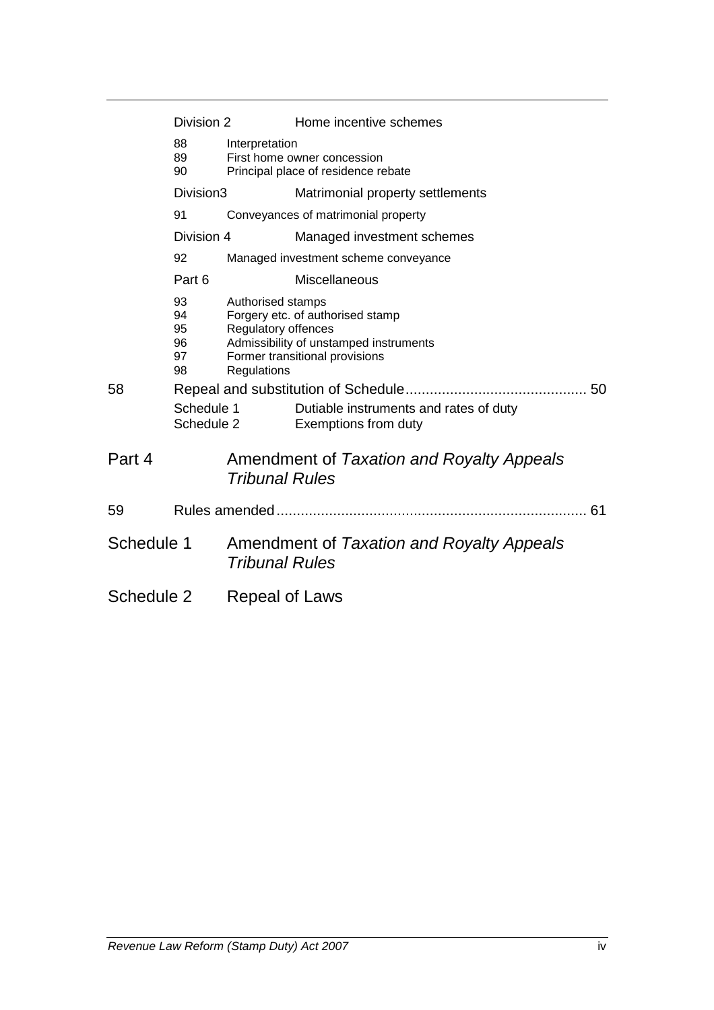| Division 2 |                                  |                                                             | Home incentive schemes                                                                                       |  |  |
|------------|----------------------------------|-------------------------------------------------------------|--------------------------------------------------------------------------------------------------------------|--|--|
|            | 88<br>89<br>90                   | Interpretation                                              | First home owner concession<br>Principal place of residence rebate                                           |  |  |
|            | Division3                        |                                                             | Matrimonial property settlements                                                                             |  |  |
|            | 91                               |                                                             | Conveyances of matrimonial property                                                                          |  |  |
|            | Division 4                       |                                                             | Managed investment schemes                                                                                   |  |  |
|            | 92                               |                                                             | Managed investment scheme conveyance                                                                         |  |  |
|            | Part 6                           |                                                             | <b>Miscellaneous</b>                                                                                         |  |  |
|            | 93<br>94<br>95<br>96<br>97<br>98 | Authorised stamps<br>Regulatory offences<br>Regulations     | Forgery etc. of authorised stamp<br>Admissibility of unstamped instruments<br>Former transitional provisions |  |  |
| 58         |                                  |                                                             |                                                                                                              |  |  |
|            | Schedule 1<br>Schedule 2         |                                                             | Dutiable instruments and rates of duty<br>Exemptions from duty                                               |  |  |
| Part 4     |                                  | <b>Tribunal Rules</b>                                       | Amendment of Taxation and Royalty Appeals                                                                    |  |  |
| 59         |                                  |                                                             |                                                                                                              |  |  |
| Schedule 1 |                                  | Amendment of Taxation and Royalty Appeals<br>Tribunal Rules |                                                                                                              |  |  |
| Schedule 2 |                                  | Repeal of Laws                                              |                                                                                                              |  |  |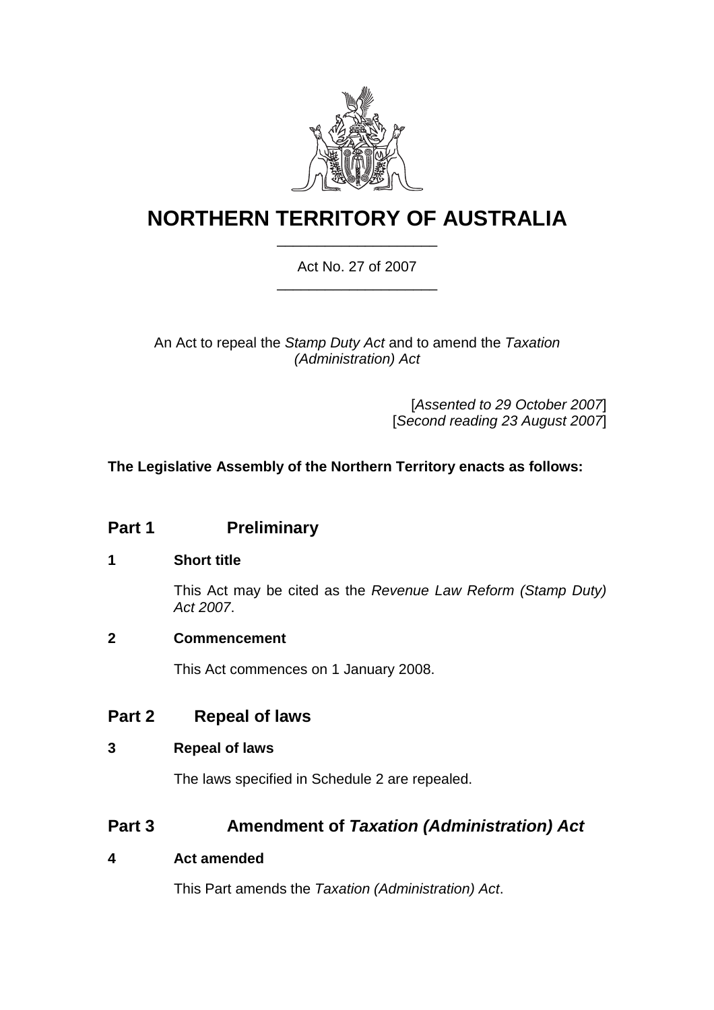

# **NORTHERN TERRITORY OF AUSTRALIA** \_\_\_\_\_\_\_\_\_\_\_\_\_\_\_\_\_\_\_\_

# Act No. 27 of 2007 \_\_\_\_\_\_\_\_\_\_\_\_\_\_\_\_\_\_\_\_

# An Act to repeal the *Stamp Duty Act* and to amend the *Taxation (Administration) Act*

[*Assented to 29 October 2007*] [*Second reading 23 August 2007*]

# **The Legislative Assembly of the Northern Territory enacts as follows:**

# **Part 1** Preliminary

# **1 Short title**

This Act may be cited as the *Revenue Law Reform (Stamp Duty) Act 2007*.

# **2 Commencement**

This Act commences on 1 January 2008.

# **Part 2 Repeal of laws**

# **3 Repeal of laws**

The laws specified in Schedule 2 are repealed.

# **Part 3 Amendment of** *Taxation (Administration) Act*

# **4 Act amended**

This Part amends the *Taxation (Administration) Act*.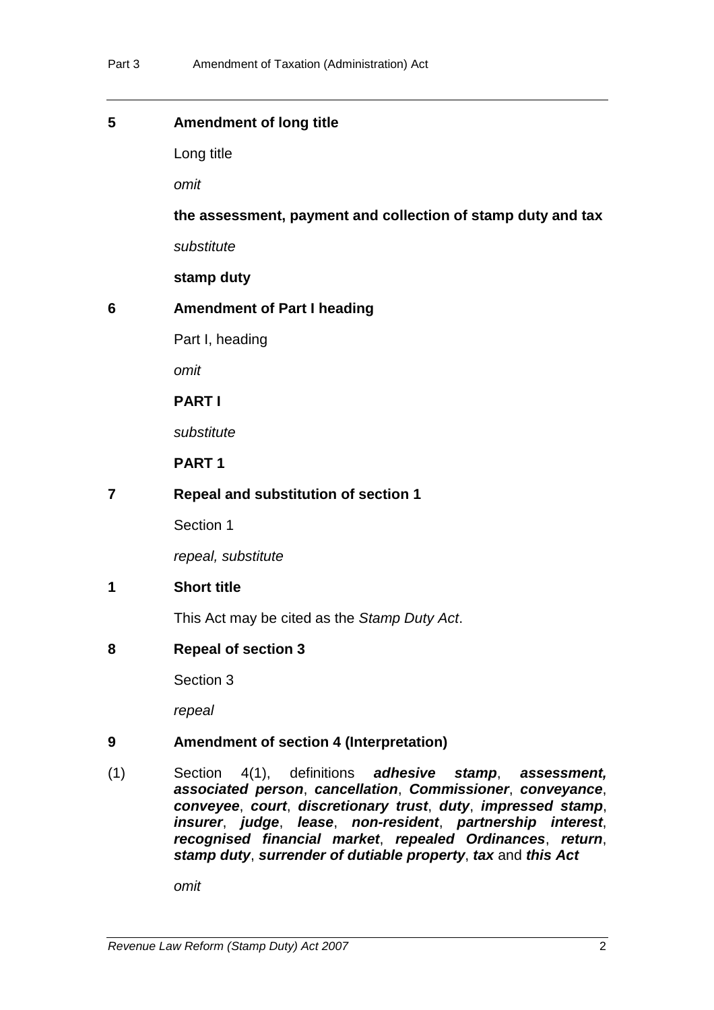| 5 | <b>Amendment of long title</b> |
|---|--------------------------------|
|---|--------------------------------|

Long title

*omit*

**the assessment, payment and collection of stamp duty and tax**

*substitute*

**stamp duty** 

# **6 Amendment of Part I heading**

Part I, heading

*omit*

**PART I**

*substitute*

**PART 1** 

**7 Repeal and substitution of section 1** 

Section 1

*repeal, substitute* 

# **1 Short title**

This Act may be cited as the *Stamp Duty Act*.

**8 Repeal of section 3** 

Section 3

*repeal*

# **9 Amendment of section 4 (Interpretation)**

(1) Section 4(1), definitions *adhesive stamp*, *assessment, associated person*, *cancellation*, *Commissioner*, *conveyance*, *conveyee*, *court*, *discretionary trust*, *duty*, *impressed stamp*, *insurer*, *judge*, *lease*, *non-resident*, *partnership interest*, *recognised financial market*, *repealed Ordinances*, *return*, *stamp duty*, *surrender of dutiable property*, *tax* and *this Act*

*omit*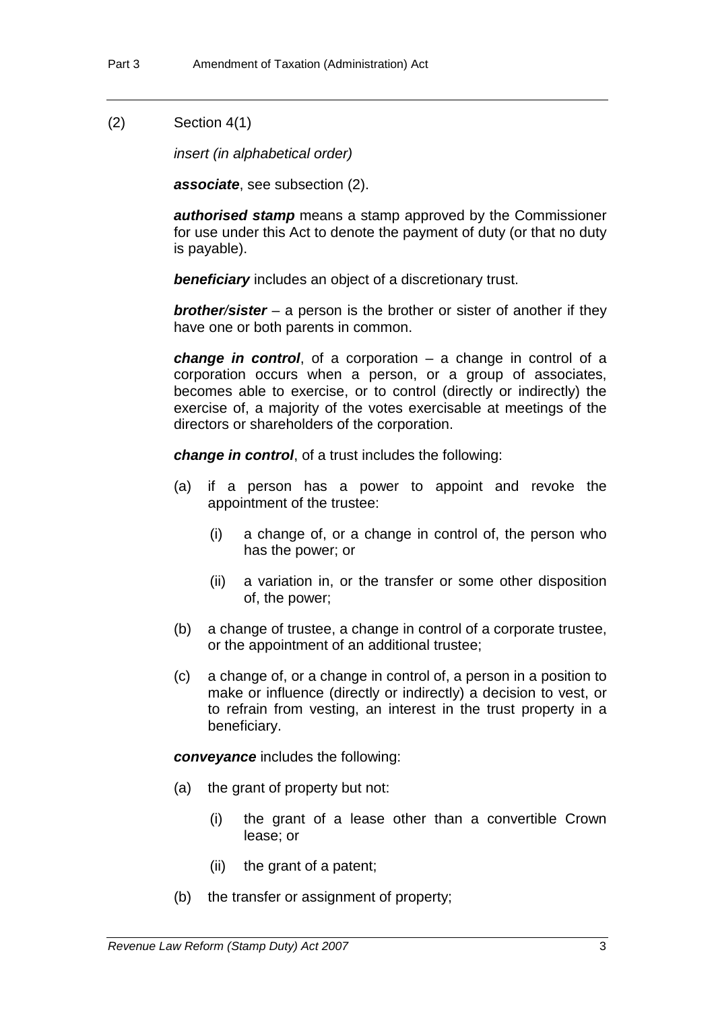#### (2) Section 4(1)

*insert (in alphabetical order)*

*associate*, see subsection (2).

*authorised stamp* means a stamp approved by the Commissioner for use under this Act to denote the payment of duty (or that no duty is payable).

**beneficiary** includes an object of a discretionary trust.

*brother/sister* – a person is the brother or sister of another if they have one or both parents in common.

*change in control*, of a corporation – a change in control of a corporation occurs when a person, or a group of associates, becomes able to exercise, or to control (directly or indirectly) the exercise of, a majority of the votes exercisable at meetings of the directors or shareholders of the corporation.

*change in control*, of a trust includes the following:

- (a) if a person has a power to appoint and revoke the appointment of the trustee:
	- (i) a change of, or a change in control of, the person who has the power; or
	- (ii) a variation in, or the transfer or some other disposition of, the power;
- (b) a change of trustee, a change in control of a corporate trustee, or the appointment of an additional trustee;
- (c) a change of, or a change in control of, a person in a position to make or influence (directly or indirectly) a decision to vest, or to refrain from vesting, an interest in the trust property in a beneficiary.

*conveyance* includes the following:

- (a) the grant of property but not:
	- (i) the grant of a lease other than a convertible Crown lease; or
	- (ii) the grant of a patent;
- (b) the transfer or assignment of property;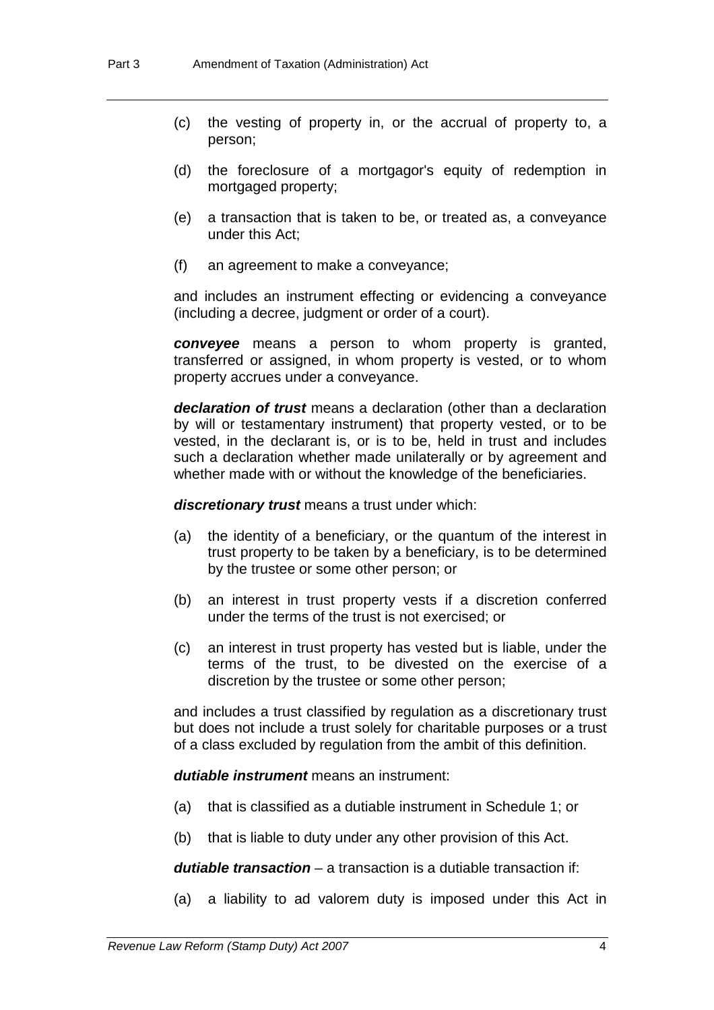- (c) the vesting of property in, or the accrual of property to, a person;
- (d) the foreclosure of a mortgagor's equity of redemption in mortgaged property;
- (e) a transaction that is taken to be, or treated as, a conveyance under this Act;
- (f) an agreement to make a conveyance;

and includes an instrument effecting or evidencing a conveyance (including a decree, judgment or order of a court).

*conveyee* means a person to whom property is granted, transferred or assigned, in whom property is vested, or to whom property accrues under a conveyance.

*declaration of trust* means a declaration (other than a declaration by will or testamentary instrument) that property vested, or to be vested, in the declarant is, or is to be, held in trust and includes such a declaration whether made unilaterally or by agreement and whether made with or without the knowledge of the beneficiaries.

*discretionary trust* means a trust under which:

- (a) the identity of a beneficiary, or the quantum of the interest in trust property to be taken by a beneficiary, is to be determined by the trustee or some other person; or
- (b) an interest in trust property vests if a discretion conferred under the terms of the trust is not exercised; or
- (c) an interest in trust property has vested but is liable, under the terms of the trust, to be divested on the exercise of a discretion by the trustee or some other person;

and includes a trust classified by regulation as a discretionary trust but does not include a trust solely for charitable purposes or a trust of a class excluded by regulation from the ambit of this definition.

*dutiable instrument* means an instrument:

- (a) that is classified as a dutiable instrument in Schedule 1; or
- (b) that is liable to duty under any other provision of this Act.

*dutiable transaction* – a transaction is a dutiable transaction if:

(a) a liability to ad valorem duty is imposed under this Act in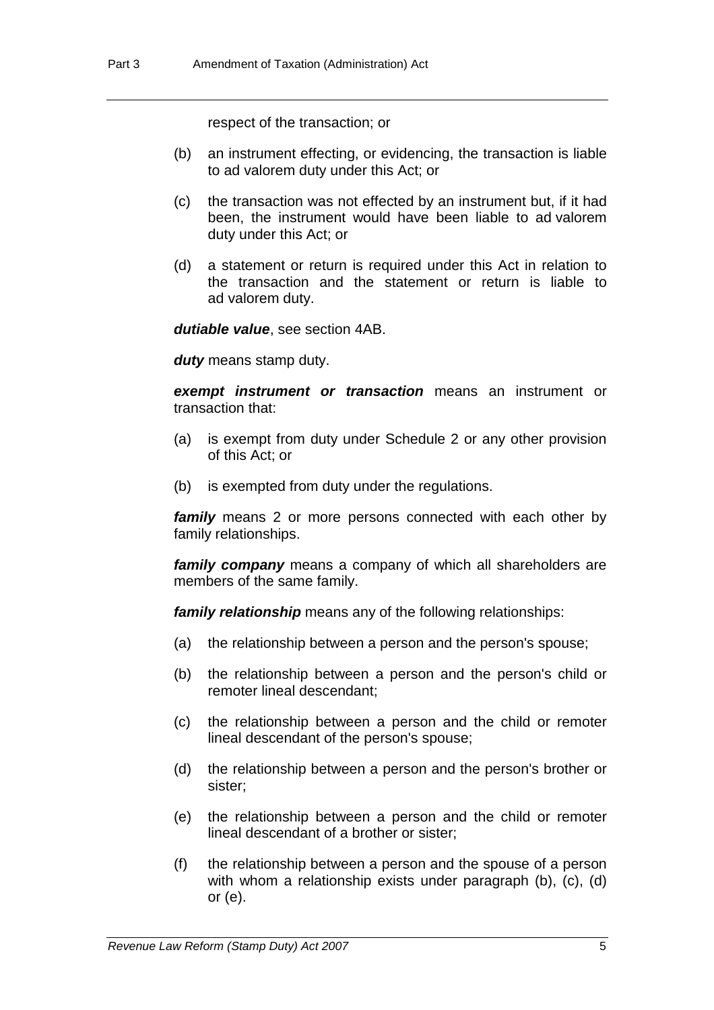respect of the transaction; or

- (b) an instrument effecting, or evidencing, the transaction is liable to ad valorem duty under this Act; or
- (c) the transaction was not effected by an instrument but, if it had been, the instrument would have been liable to ad valorem duty under this Act; or
- (d) a statement or return is required under this Act in relation to the transaction and the statement or return is liable to ad valorem duty.

*dutiable value*, see section 4AB.

*duty* means stamp duty.

*exempt instrument or transaction* means an instrument or transaction that:

- (a) is exempt from duty under Schedule 2 or any other provision of this Act; or
- (b) is exempted from duty under the regulations.

*family* means 2 or more persons connected with each other by family relationships.

*family company* means a company of which all shareholders are members of the same family.

*family relationship* means any of the following relationships:

- (a) the relationship between a person and the person's spouse;
- (b) the relationship between a person and the person's child or remoter lineal descendant;
- (c) the relationship between a person and the child or remoter lineal descendant of the person's spouse;
- (d) the relationship between a person and the person's brother or sister;
- (e) the relationship between a person and the child or remoter lineal descendant of a brother or sister;
- (f) the relationship between a person and the spouse of a person with whom a relationship exists under paragraph (b), (c), (d) or (e).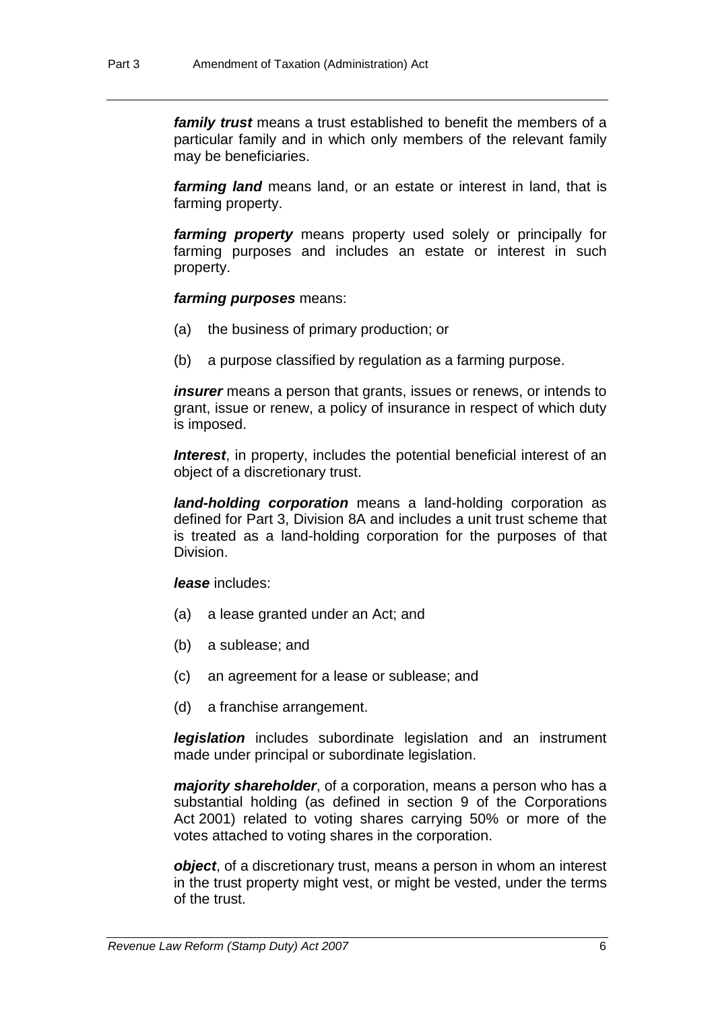*family trust* means a trust established to benefit the members of a particular family and in which only members of the relevant family may be beneficiaries.

*farming land* means land, or an estate or interest in land, that is farming property.

*farming property* means property used solely or principally for farming purposes and includes an estate or interest in such property.

#### *farming purposes* means:

- (a) the business of primary production; or
- (b) a purpose classified by regulation as a farming purpose.

*insurer* means a person that grants, issues or renews, or intends to grant, issue or renew, a policy of insurance in respect of which duty is imposed.

**Interest**, in property, includes the potential beneficial interest of an object of a discretionary trust.

*land-holding corporation* means a land-holding corporation as defined for Part 3, Division 8A and includes a unit trust scheme that is treated as a land-holding corporation for the purposes of that Division.

*lease* includes:

- (a) a lease granted under an Act; and
- (b) a sublease; and
- (c) an agreement for a lease or sublease; and
- (d) a franchise arrangement.

*legislation* includes subordinate legislation and an instrument made under principal or subordinate legislation.

*majority shareholder*, of a corporation, means a person who has a substantial holding (as defined in section 9 of the Corporations Act 2001) related to voting shares carrying 50% or more of the votes attached to voting shares in the corporation.

*object*, of a discretionary trust, means a person in whom an interest in the trust property might vest, or might be vested, under the terms of the trust.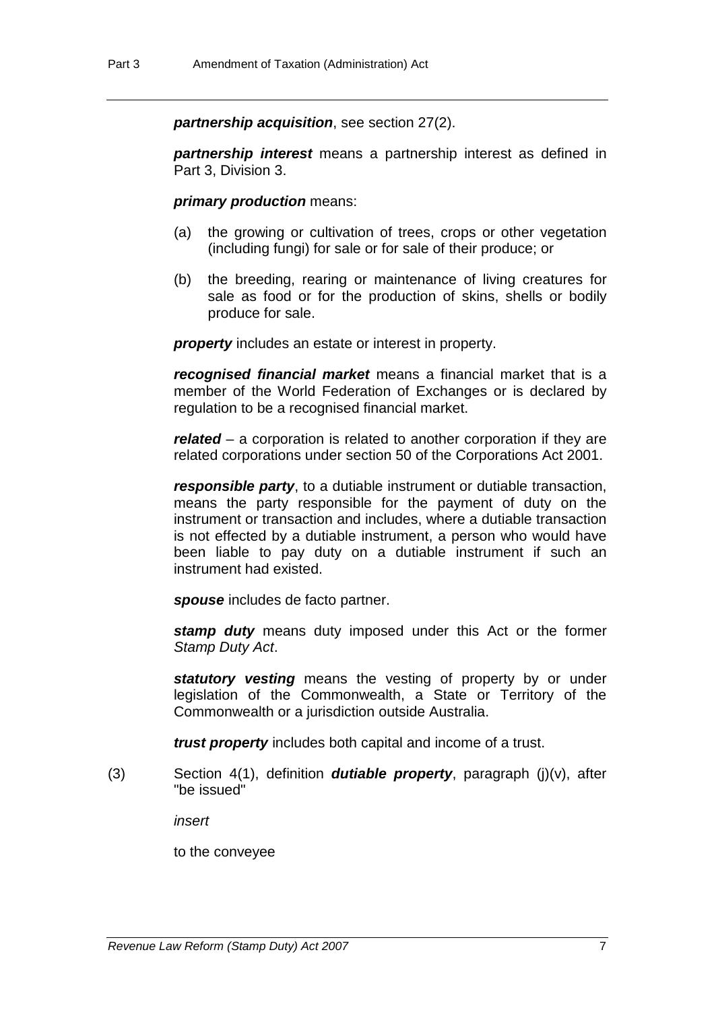*partnership acquisition*, see section 27(2).

*partnership interest* means a partnership interest as defined in Part 3, Division 3.

#### *primary production* means:

- (a) the growing or cultivation of trees, crops or other vegetation (including fungi) for sale or for sale of their produce; or
- (b) the breeding, rearing or maintenance of living creatures for sale as food or for the production of skins, shells or bodily produce for sale.

*property* includes an estate or interest in property.

*recognised financial market* means a financial market that is a member of the World Federation of Exchanges or is declared by regulation to be a recognised financial market.

*related* – a corporation is related to another corporation if they are related corporations under section 50 of the Corporations Act 2001.

*responsible party*, to a dutiable instrument or dutiable transaction, means the party responsible for the payment of duty on the instrument or transaction and includes, where a dutiable transaction is not effected by a dutiable instrument, a person who would have been liable to pay duty on a dutiable instrument if such an instrument had existed.

*spouse* includes de facto partner.

*stamp duty* means duty imposed under this Act or the former *Stamp Duty Act*.

**statutory vesting** means the vesting of property by or under legislation of the Commonwealth, a State or Territory of the Commonwealth or a jurisdiction outside Australia.

*trust property* includes both capital and income of a trust.

(3) Section 4(1), definition *dutiable property*, paragraph (j)(v), after "be issued"

*insert*

to the conveyee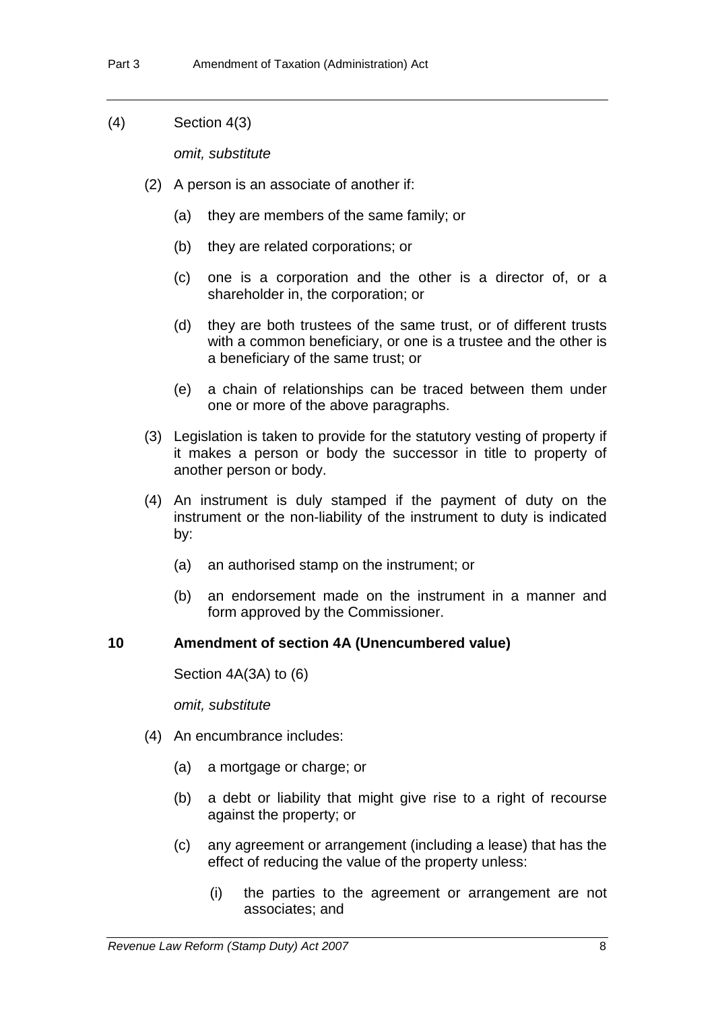(4) Section 4(3)

*omit, substitute*

- (2) A person is an associate of another if:
	- (a) they are members of the same family; or
	- (b) they are related corporations; or
	- (c) one is a corporation and the other is a director of, or a shareholder in, the corporation; or
	- (d) they are both trustees of the same trust, or of different trusts with a common beneficiary, or one is a trustee and the other is a beneficiary of the same trust; or
	- (e) a chain of relationships can be traced between them under one or more of the above paragraphs.
- (3) Legislation is taken to provide for the statutory vesting of property if it makes a person or body the successor in title to property of another person or body.
- (4) An instrument is duly stamped if the payment of duty on the instrument or the non-liability of the instrument to duty is indicated by:
	- (a) an authorised stamp on the instrument; or
	- (b) an endorsement made on the instrument in a manner and form approved by the Commissioner.

# **10 Amendment of section 4A (Unencumbered value)**

Section 4A(3A) to (6)

*omit, substitute*

- (4) An encumbrance includes:
	- (a) a mortgage or charge; or
	- (b) a debt or liability that might give rise to a right of recourse against the property; or
	- (c) any agreement or arrangement (including a lease) that has the effect of reducing the value of the property unless:
		- (i) the parties to the agreement or arrangement are not associates; and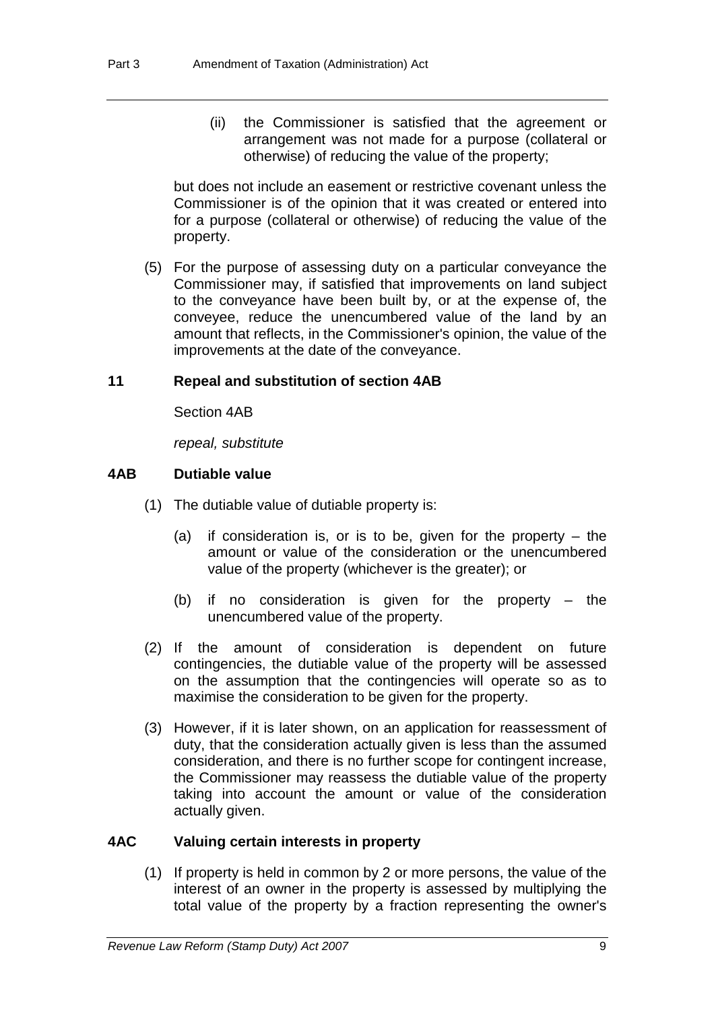(ii) the Commissioner is satisfied that the agreement or arrangement was not made for a purpose (collateral or otherwise) of reducing the value of the property;

but does not include an easement or restrictive covenant unless the Commissioner is of the opinion that it was created or entered into for a purpose (collateral or otherwise) of reducing the value of the property.

 (5) For the purpose of assessing duty on a particular conveyance the Commissioner may, if satisfied that improvements on land subject to the conveyance have been built by, or at the expense of, the conveyee, reduce the unencumbered value of the land by an amount that reflects, in the Commissioner's opinion, the value of the improvements at the date of the conveyance.

#### **11 Repeal and substitution of section 4AB**

Section 4AB

*repeal, substitute* 

### **4AB Dutiable value**

- (1) The dutiable value of dutiable property is:
	- (a) if consideration is, or is to be, given for the property the amount or value of the consideration or the unencumbered value of the property (whichever is the greater); or
	- (b) if no consideration is given for the property the unencumbered value of the property.
- (2) If the amount of consideration is dependent on future contingencies, the dutiable value of the property will be assessed on the assumption that the contingencies will operate so as to maximise the consideration to be given for the property.
- (3) However, if it is later shown, on an application for reassessment of duty, that the consideration actually given is less than the assumed consideration, and there is no further scope for contingent increase, the Commissioner may reassess the dutiable value of the property taking into account the amount or value of the consideration actually given.

#### **4AC Valuing certain interests in property**

 (1) If property is held in common by 2 or more persons, the value of the interest of an owner in the property is assessed by multiplying the total value of the property by a fraction representing the owner's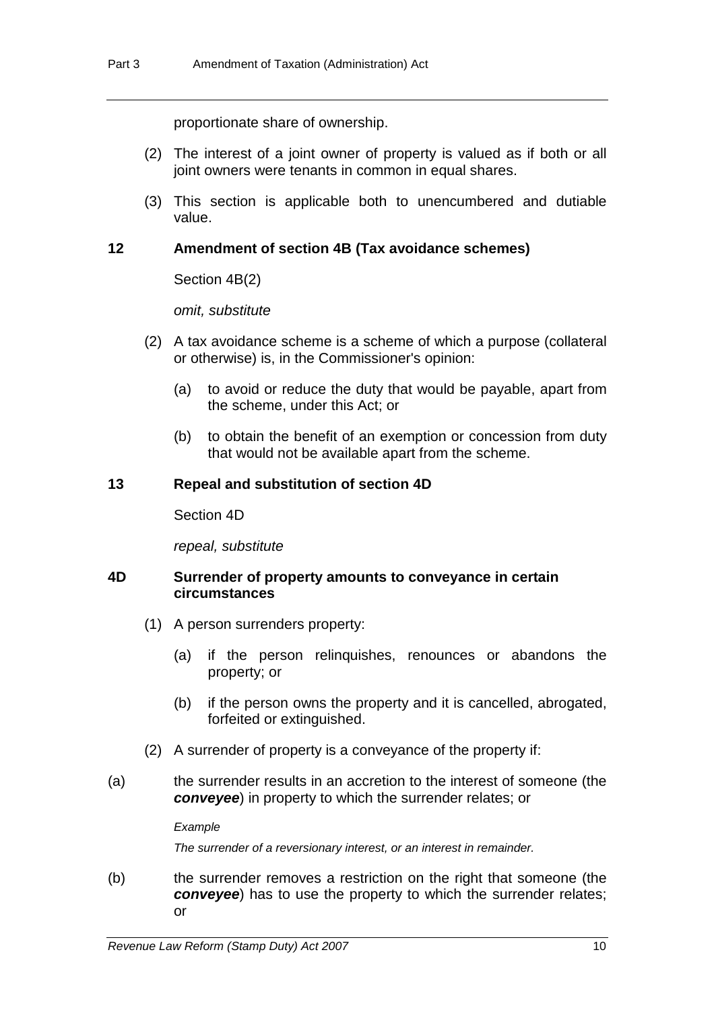proportionate share of ownership.

- (2) The interest of a joint owner of property is valued as if both or all joint owners were tenants in common in equal shares.
- (3) This section is applicable both to unencumbered and dutiable value.

# **12 Amendment of section 4B (Tax avoidance schemes)**

Section 4B(2)

*omit, substitute*

- (2) A tax avoidance scheme is a scheme of which a purpose (collateral or otherwise) is, in the Commissioner's opinion:
	- (a) to avoid or reduce the duty that would be payable, apart from the scheme, under this Act; or
	- (b) to obtain the benefit of an exemption or concession from duty that would not be available apart from the scheme.

# **13 Repeal and substitution of section 4D**

Section 4D

*repeal, substitute*

### **4D Surrender of property amounts to conveyance in certain circumstances**

- (1) A person surrenders property:
	- (a) if the person relinquishes, renounces or abandons the property; or
	- (b) if the person owns the property and it is cancelled, abrogated, forfeited or extinguished.
- (2) A surrender of property is a conveyance of the property if:
- (a) the surrender results in an accretion to the interest of someone (the *conveyee*) in property to which the surrender relates; or

*Example* 

*The surrender of a reversionary interest, or an interest in remainder.* 

(b) the surrender removes a restriction on the right that someone (the *conveyee*) has to use the property to which the surrender relates; or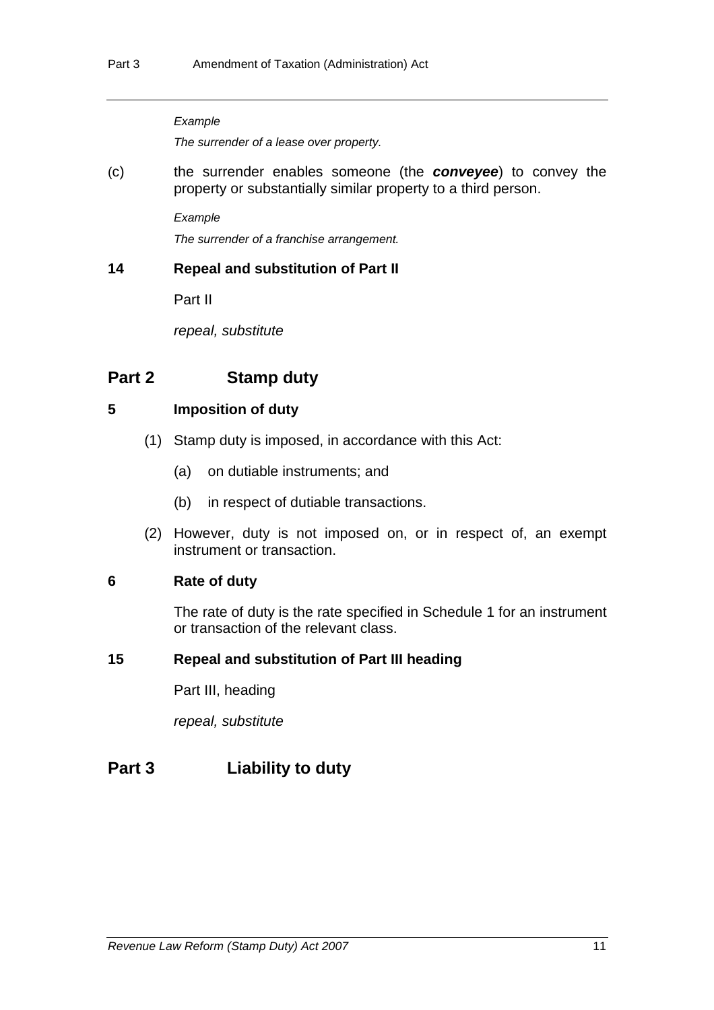#### *Example*

*The surrender of a lease over property.* 

(c) the surrender enables someone (the *conveyee*) to convey the property or substantially similar property to a third person.

*Example* 

*The surrender of a franchise arrangement.* 

# **14 Repeal and substitution of Part II**

Part II

*repeal, substitute*

# **Part 2 Stamp duty**

# **5 Imposition of duty**

- (1) Stamp duty is imposed, in accordance with this Act:
	- (a) on dutiable instruments; and
	- (b) in respect of dutiable transactions.
- (2) However, duty is not imposed on, or in respect of, an exempt instrument or transaction.

# **6 Rate of duty**

The rate of duty is the rate specified in Schedule 1 for an instrument or transaction of the relevant class.

# **15 Repeal and substitution of Part III heading**

Part III, heading

*repeal, substitute*

# **Part 3 Liability to duty**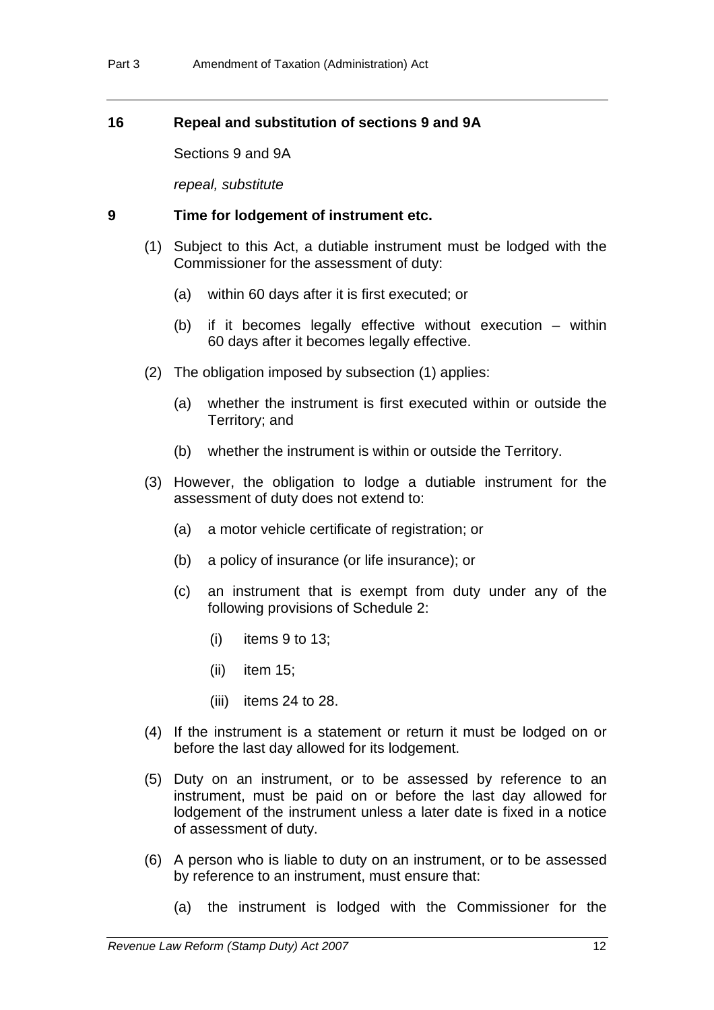# **16 Repeal and substitution of sections 9 and 9A**

Sections 9 and 9A

*repeal, substitute*

#### **9 Time for lodgement of instrument etc.**

- (1) Subject to this Act, a dutiable instrument must be lodged with the Commissioner for the assessment of duty:
	- (a) within 60 days after it is first executed; or
	- (b) if it becomes legally effective without execution within 60 days after it becomes legally effective.
- (2) The obligation imposed by subsection (1) applies:
	- (a) whether the instrument is first executed within or outside the Territory; and
	- (b) whether the instrument is within or outside the Territory.
- (3) However, the obligation to lodge a dutiable instrument for the assessment of duty does not extend to:
	- (a) a motor vehicle certificate of registration; or
	- (b) a policy of insurance (or life insurance); or
	- (c) an instrument that is exempt from duty under any of the following provisions of Schedule 2:
		- (i) items 9 to 13;
		- (ii) item 15;
		- (iii) items 24 to 28.
- (4) If the instrument is a statement or return it must be lodged on or before the last day allowed for its lodgement.
- (5) Duty on an instrument, or to be assessed by reference to an instrument, must be paid on or before the last day allowed for lodgement of the instrument unless a later date is fixed in a notice of assessment of duty.
- (6) A person who is liable to duty on an instrument, or to be assessed by reference to an instrument, must ensure that:
	- (a) the instrument is lodged with the Commissioner for the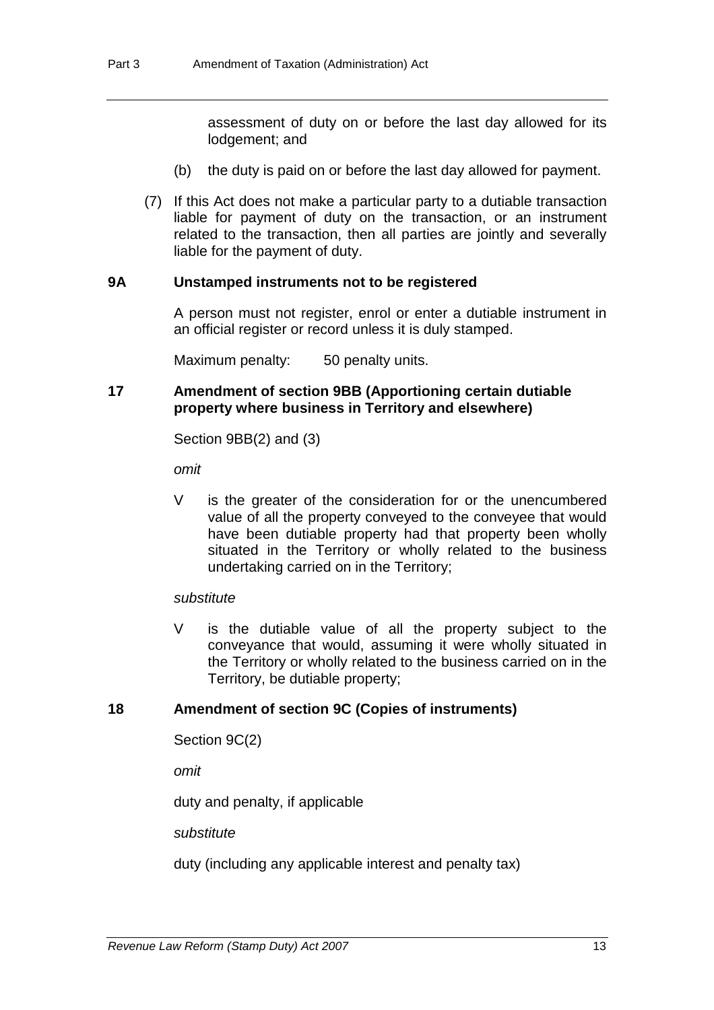assessment of duty on or before the last day allowed for its lodgement; and

- (b) the duty is paid on or before the last day allowed for payment.
- (7) If this Act does not make a particular party to a dutiable transaction liable for payment of duty on the transaction, or an instrument related to the transaction, then all parties are jointly and severally liable for the payment of duty.

### **9A Unstamped instruments not to be registered**

A person must not register, enrol or enter a dutiable instrument in an official register or record unless it is duly stamped.

Maximum penalty: 50 penalty units.

# **17 Amendment of section 9BB (Apportioning certain dutiable property where business in Territory and elsewhere)**

Section 9BB(2) and (3)

*omit*

V is the greater of the consideration for or the unencumbered value of all the property conveyed to the conveyee that would have been dutiable property had that property been wholly situated in the Territory or wholly related to the business undertaking carried on in the Territory;

#### *substitute*

V is the dutiable value of all the property subject to the conveyance that would, assuming it were wholly situated in the Territory or wholly related to the business carried on in the Territory, be dutiable property;

# **18 Amendment of section 9C (Copies of instruments)**

Section 9C(2)

*omit*

duty and penalty, if applicable

*substitute*

duty (including any applicable interest and penalty tax)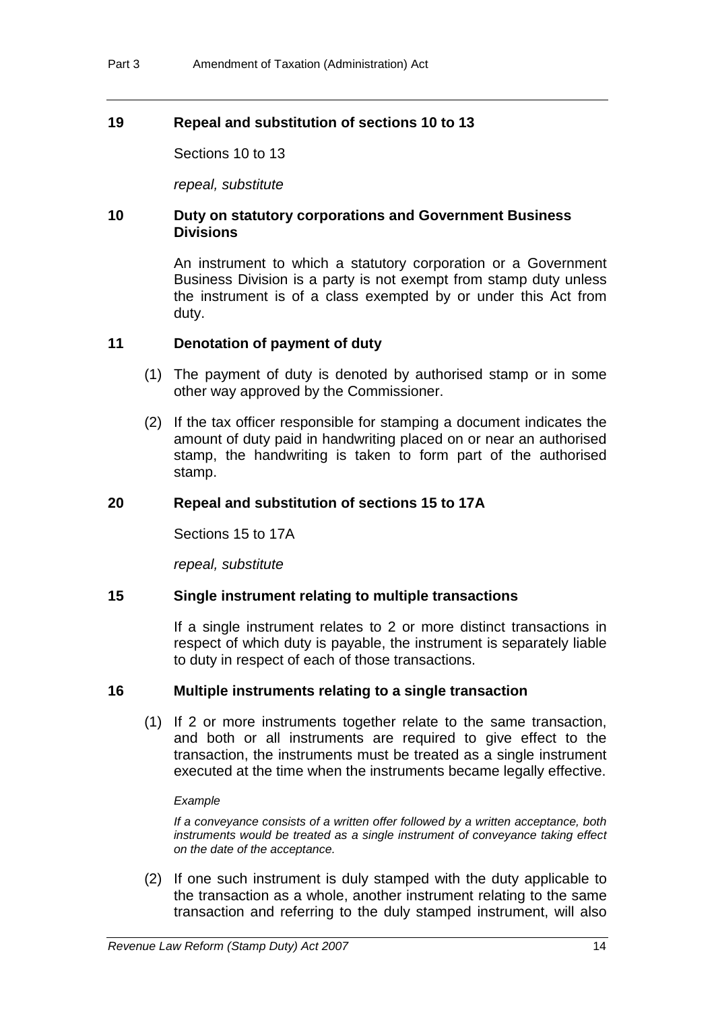# **19 Repeal and substitution of sections 10 to 13**

Sections 10 to 13

*repeal, substitute*

### **10 Duty on statutory corporations and Government Business Divisions**

An instrument to which a statutory corporation or a Government Business Division is a party is not exempt from stamp duty unless the instrument is of a class exempted by or under this Act from duty.

#### **11 Denotation of payment of duty**

- (1) The payment of duty is denoted by authorised stamp or in some other way approved by the Commissioner.
- (2) If the tax officer responsible for stamping a document indicates the amount of duty paid in handwriting placed on or near an authorised stamp, the handwriting is taken to form part of the authorised stamp.

#### **20 Repeal and substitution of sections 15 to 17A**

Sections 15 to 17A

*repeal, substitute*

#### **15 Single instrument relating to multiple transactions**

If a single instrument relates to 2 or more distinct transactions in respect of which duty is payable, the instrument is separately liable to duty in respect of each of those transactions.

#### **16 Multiple instruments relating to a single transaction**

 (1) If 2 or more instruments together relate to the same transaction, and both or all instruments are required to give effect to the transaction, the instruments must be treated as a single instrument executed at the time when the instruments became legally effective.

#### *Example*

*If a conveyance consists of a written offer followed by a written acceptance, both instruments would be treated as a single instrument of conveyance taking effect on the date of the acceptance.* 

 (2) If one such instrument is duly stamped with the duty applicable to the transaction as a whole, another instrument relating to the same transaction and referring to the duly stamped instrument, will also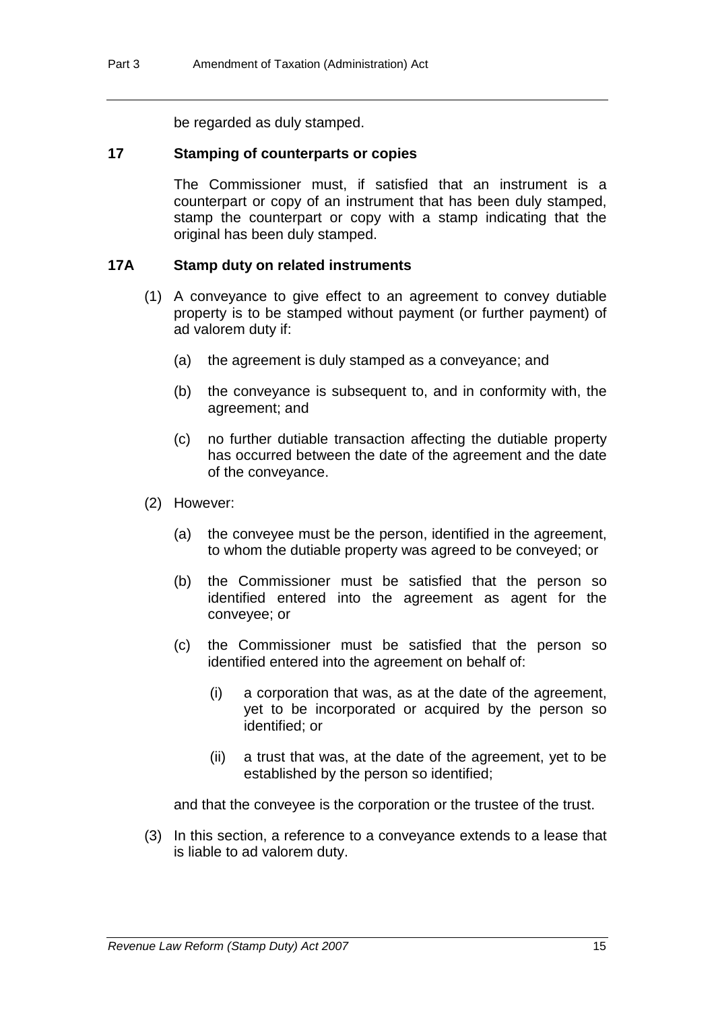be regarded as duly stamped.

#### **17 Stamping of counterparts or copies**

The Commissioner must, if satisfied that an instrument is a counterpart or copy of an instrument that has been duly stamped, stamp the counterpart or copy with a stamp indicating that the original has been duly stamped.

### **17A Stamp duty on related instruments**

- (1) A conveyance to give effect to an agreement to convey dutiable property is to be stamped without payment (or further payment) of ad valorem duty if:
	- (a) the agreement is duly stamped as a conveyance; and
	- (b) the conveyance is subsequent to, and in conformity with, the agreement; and
	- (c) no further dutiable transaction affecting the dutiable property has occurred between the date of the agreement and the date of the conveyance.
- (2) However:
	- (a) the conveyee must be the person, identified in the agreement, to whom the dutiable property was agreed to be conveyed; or
	- (b) the Commissioner must be satisfied that the person so identified entered into the agreement as agent for the conveyee; or
	- (c) the Commissioner must be satisfied that the person so identified entered into the agreement on behalf of:
		- (i) a corporation that was, as at the date of the agreement, yet to be incorporated or acquired by the person so identified; or
		- (ii) a trust that was, at the date of the agreement, yet to be established by the person so identified;

and that the conveyee is the corporation or the trustee of the trust.

 (3) In this section, a reference to a conveyance extends to a lease that is liable to ad valorem duty.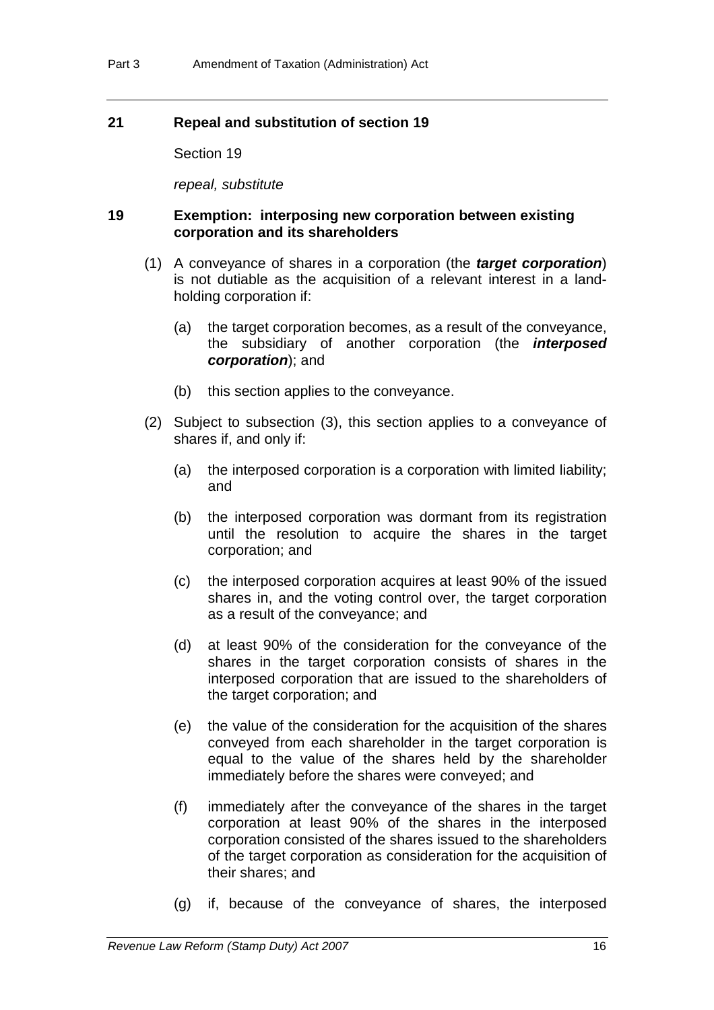# **21 Repeal and substitution of section 19**

Section 19

*repeal, substitute*

# **19 Exemption: interposing new corporation between existing corporation and its shareholders**

- (1) A conveyance of shares in a corporation (the *target corporation*) is not dutiable as the acquisition of a relevant interest in a landholding corporation if:
	- (a) the target corporation becomes, as a result of the conveyance, the subsidiary of another corporation (the *interposed corporation*); and
	- (b) this section applies to the conveyance.
- (2) Subject to subsection (3), this section applies to a conveyance of shares if, and only if:
	- (a) the interposed corporation is a corporation with limited liability; and
	- (b) the interposed corporation was dormant from its registration until the resolution to acquire the shares in the target corporation; and
	- (c) the interposed corporation acquires at least 90% of the issued shares in, and the voting control over, the target corporation as a result of the conveyance; and
	- (d) at least 90% of the consideration for the conveyance of the shares in the target corporation consists of shares in the interposed corporation that are issued to the shareholders of the target corporation; and
	- (e) the value of the consideration for the acquisition of the shares conveyed from each shareholder in the target corporation is equal to the value of the shares held by the shareholder immediately before the shares were conveyed; and
	- (f) immediately after the conveyance of the shares in the target corporation at least 90% of the shares in the interposed corporation consisted of the shares issued to the shareholders of the target corporation as consideration for the acquisition of their shares; and
	- (g) if, because of the conveyance of shares, the interposed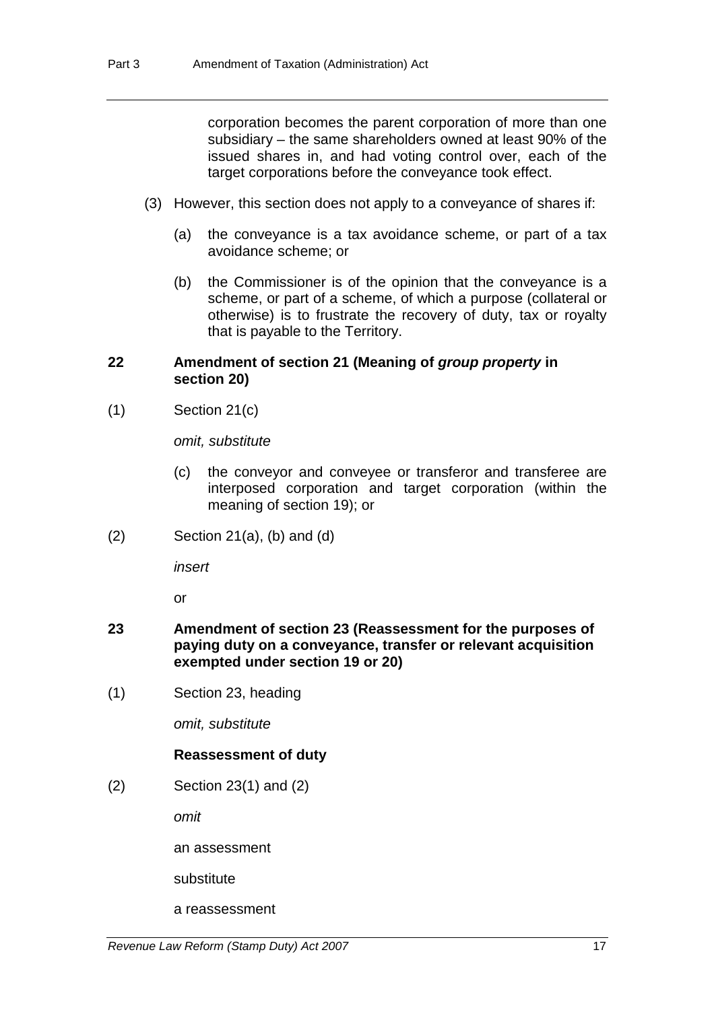corporation becomes the parent corporation of more than one subsidiary – the same shareholders owned at least 90% of the issued shares in, and had voting control over, each of the target corporations before the conveyance took effect.

- (3) However, this section does not apply to a conveyance of shares if:
	- (a) the conveyance is a tax avoidance scheme, or part of a tax avoidance scheme; or
	- (b) the Commissioner is of the opinion that the conveyance is a scheme, or part of a scheme, of which a purpose (collateral or otherwise) is to frustrate the recovery of duty, tax or royalty that is payable to the Territory.

# **22 Amendment of section 21 (Meaning of** *group property* **in section 20)**

(1) Section 21(c)

*omit, substitute*

- (c) the conveyor and conveyee or transferor and transferee are interposed corporation and target corporation (within the meaning of section 19); or
- $(2)$  Section 21 $(a)$ ,  $(b)$  and  $(d)$

*insert*

or

- **23 Amendment of section 23 (Reassessment for the purposes of paying duty on a conveyance, transfer or relevant acquisition exempted under section 19 or 20)**
- (1) Section 23, heading

*omit, substitute*

# **Reassessment of duty**

(2) Section 23(1) and (2)

*omit*

an assessment

substitute

a reassessment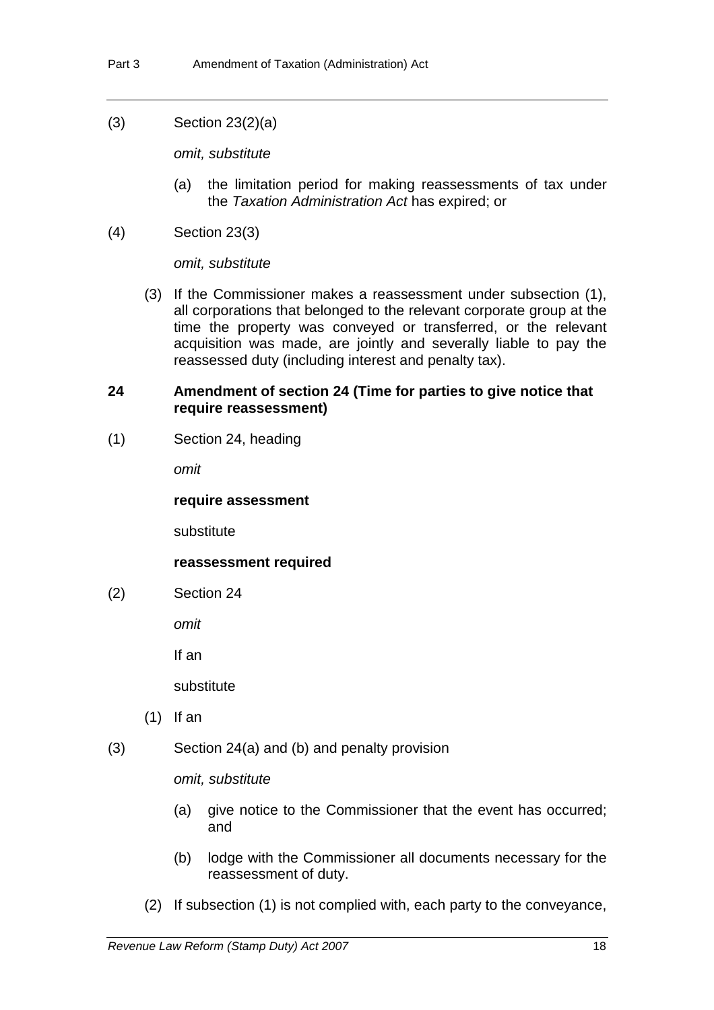# (3) Section 23(2)(a)

*omit, substitute*

- (a) the limitation period for making reassessments of tax under the *Taxation Administration Act* has expired; or
- (4) Section 23(3)

*omit, substitute* 

 (3) If the Commissioner makes a reassessment under subsection (1), all corporations that belonged to the relevant corporate group at the time the property was conveyed or transferred, or the relevant acquisition was made, are jointly and severally liable to pay the reassessed duty (including interest and penalty tax).

### **24 Amendment of section 24 (Time for parties to give notice that require reassessment)**

(1) Section 24, heading

*omit*

#### **require assessment**

substitute

# **reassessment required**

(2) Section 24

*omit*

If an

substitute

- (1) If an
- (3) Section 24(a) and (b) and penalty provision

*omit, substitute* 

- (a) give notice to the Commissioner that the event has occurred; and
- (b) lodge with the Commissioner all documents necessary for the reassessment of duty.
- (2) If subsection (1) is not complied with, each party to the conveyance,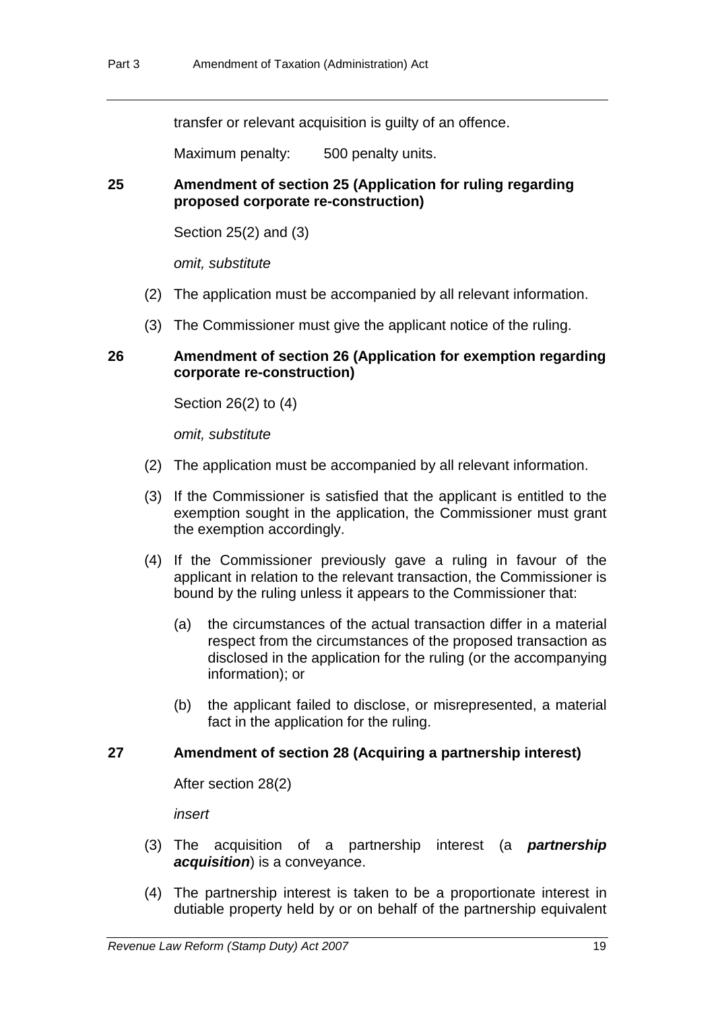transfer or relevant acquisition is guilty of an offence.

Maximum penalty: 500 penalty units.

# **25 Amendment of section 25 (Application for ruling regarding proposed corporate re-construction)**

Section 25(2) and (3)

*omit, substitute*

- (2) The application must be accompanied by all relevant information.
- (3) The Commissioner must give the applicant notice of the ruling.

### **26 Amendment of section 26 (Application for exemption regarding corporate re-construction)**

Section 26(2) to (4)

*omit, substitute*

- (2) The application must be accompanied by all relevant information.
- (3) If the Commissioner is satisfied that the applicant is entitled to the exemption sought in the application, the Commissioner must grant the exemption accordingly.
- (4) If the Commissioner previously gave a ruling in favour of the applicant in relation to the relevant transaction, the Commissioner is bound by the ruling unless it appears to the Commissioner that:
	- (a) the circumstances of the actual transaction differ in a material respect from the circumstances of the proposed transaction as disclosed in the application for the ruling (or the accompanying information); or
	- (b) the applicant failed to disclose, or misrepresented, a material fact in the application for the ruling.

#### **27 Amendment of section 28 (Acquiring a partnership interest)**

After section 28(2)

*insert*

- (3) The acquisition of a partnership interest (a *partnership acquisition*) is a conveyance.
- (4) The partnership interest is taken to be a proportionate interest in dutiable property held by or on behalf of the partnership equivalent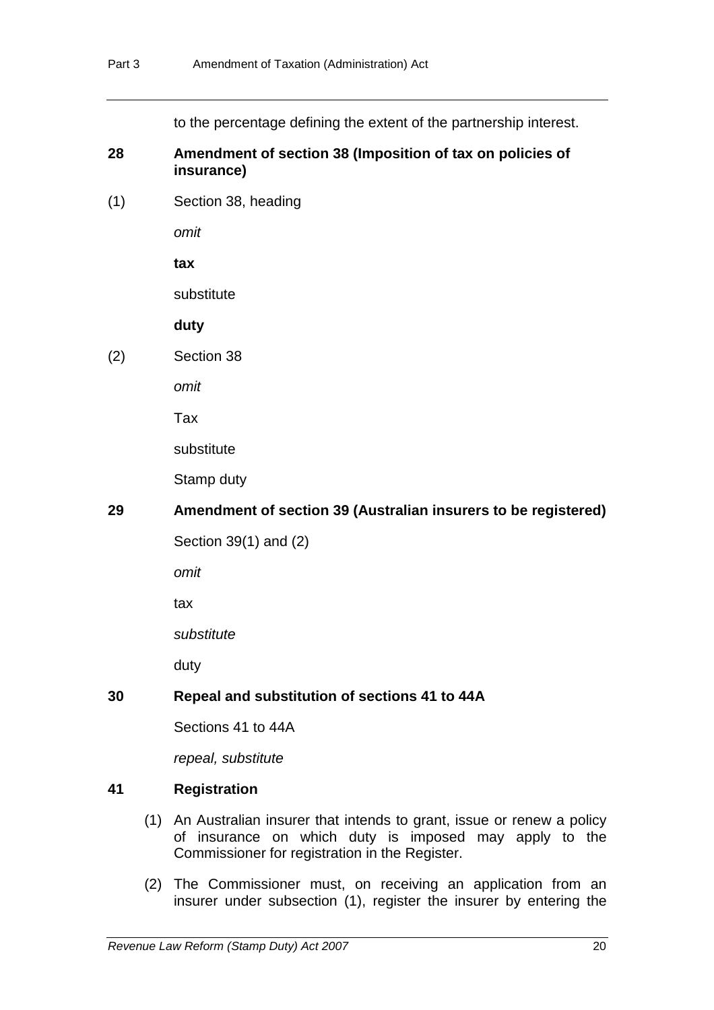to the percentage defining the extent of the partnership interest.

### **28 Amendment of section 38 (Imposition of tax on policies of insurance)**

(1) Section 38, heading

*omit* 

**tax**

substitute

**duty**

(2) Section 38

*omit*

Tax

substitute

Stamp duty

# **29 Amendment of section 39 (Australian insurers to be registered)**

Section 39(1) and (2)

*omit*

tax

*substitute*

duty

# **30 Repeal and substitution of sections 41 to 44A**

Sections 41 to 44A

*repeal, substitute*

# **41 Registration**

- (1) An Australian insurer that intends to grant, issue or renew a policy of insurance on which duty is imposed may apply to the Commissioner for registration in the Register.
- (2) The Commissioner must, on receiving an application from an insurer under subsection (1), register the insurer by entering the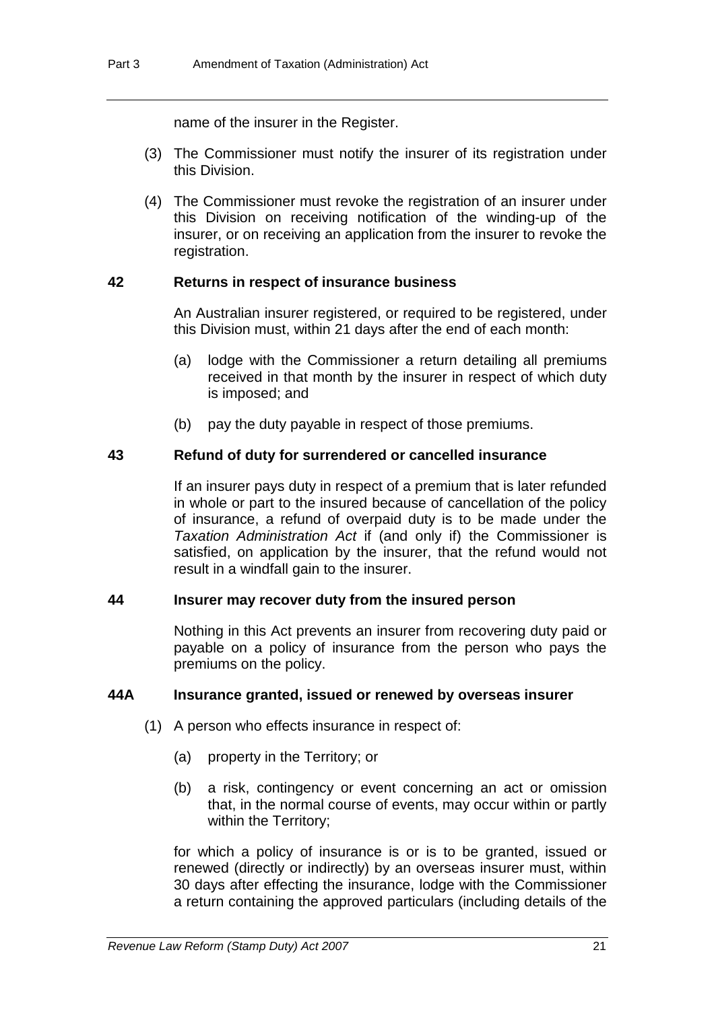name of the insurer in the Register.

- (3) The Commissioner must notify the insurer of its registration under this Division.
- (4) The Commissioner must revoke the registration of an insurer under this Division on receiving notification of the winding-up of the insurer, or on receiving an application from the insurer to revoke the registration.

# **42 Returns in respect of insurance business**

An Australian insurer registered, or required to be registered, under this Division must, within 21 days after the end of each month:

- (a) lodge with the Commissioner a return detailing all premiums received in that month by the insurer in respect of which duty is imposed; and
- (b) pay the duty payable in respect of those premiums.

# **43 Refund of duty for surrendered or cancelled insurance**

If an insurer pays duty in respect of a premium that is later refunded in whole or part to the insured because of cancellation of the policy of insurance, a refund of overpaid duty is to be made under the *Taxation Administration Act* if (and only if) the Commissioner is satisfied, on application by the insurer, that the refund would not result in a windfall gain to the insurer.

# **44 Insurer may recover duty from the insured person**

Nothing in this Act prevents an insurer from recovering duty paid or payable on a policy of insurance from the person who pays the premiums on the policy.

# **44A Insurance granted, issued or renewed by overseas insurer**

- (1) A person who effects insurance in respect of:
	- (a) property in the Territory; or
	- (b) a risk, contingency or event concerning an act or omission that, in the normal course of events, may occur within or partly within the Territory;

for which a policy of insurance is or is to be granted, issued or renewed (directly or indirectly) by an overseas insurer must, within 30 days after effecting the insurance, lodge with the Commissioner a return containing the approved particulars (including details of the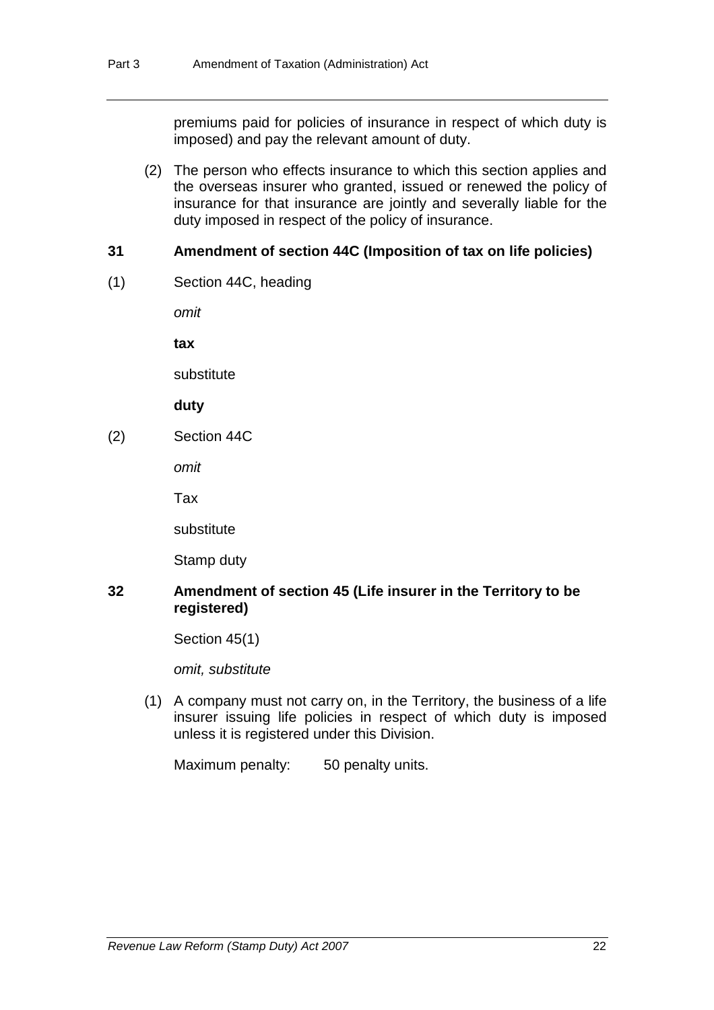premiums paid for policies of insurance in respect of which duty is imposed) and pay the relevant amount of duty.

 (2) The person who effects insurance to which this section applies and the overseas insurer who granted, issued or renewed the policy of insurance for that insurance are jointly and severally liable for the duty imposed in respect of the policy of insurance.

# **31 Amendment of section 44C (Imposition of tax on life policies)**

(1) Section 44C, heading

*omit* 

**tax**

substitute

**duty**

(2) Section 44C

*omit* 

Tax

substitute

Stamp duty

# **32 Amendment of section 45 (Life insurer in the Territory to be registered)**

Section 45(1)

*omit, substitute*

 (1) A company must not carry on, in the Territory, the business of a life insurer issuing life policies in respect of which duty is imposed unless it is registered under this Division.

Maximum penalty: 50 penalty units.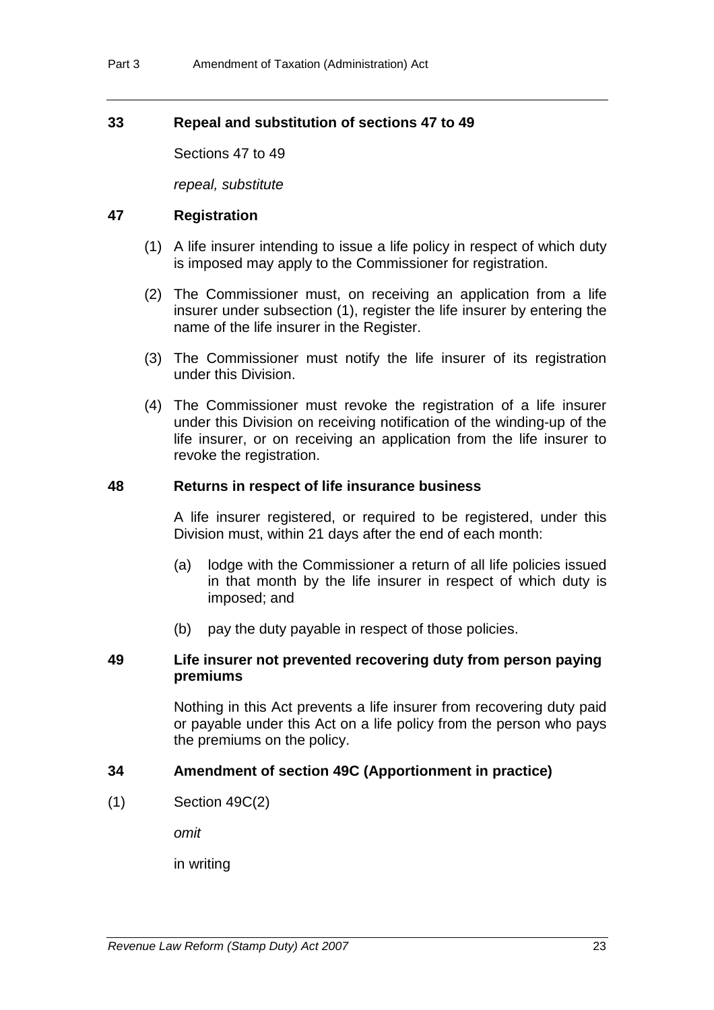# **33 Repeal and substitution of sections 47 to 49**

Sections 47 to 49

*repeal, substitute*

#### **47 Registration**

- (1) A life insurer intending to issue a life policy in respect of which duty is imposed may apply to the Commissioner for registration.
- (2) The Commissioner must, on receiving an application from a life insurer under subsection (1), register the life insurer by entering the name of the life insurer in the Register.
- (3) The Commissioner must notify the life insurer of its registration under this Division.
- (4) The Commissioner must revoke the registration of a life insurer under this Division on receiving notification of the winding-up of the life insurer, or on receiving an application from the life insurer to revoke the registration.

#### **48 Returns in respect of life insurance business**

A life insurer registered, or required to be registered, under this Division must, within 21 days after the end of each month:

- (a) lodge with the Commissioner a return of all life policies issued in that month by the life insurer in respect of which duty is imposed; and
- (b) pay the duty payable in respect of those policies.

#### **49 Life insurer not prevented recovering duty from person paying premiums**

Nothing in this Act prevents a life insurer from recovering duty paid or payable under this Act on a life policy from the person who pays the premiums on the policy.

#### **34 Amendment of section 49C (Apportionment in practice)**

(1) Section 49C(2)

*omit*

in writing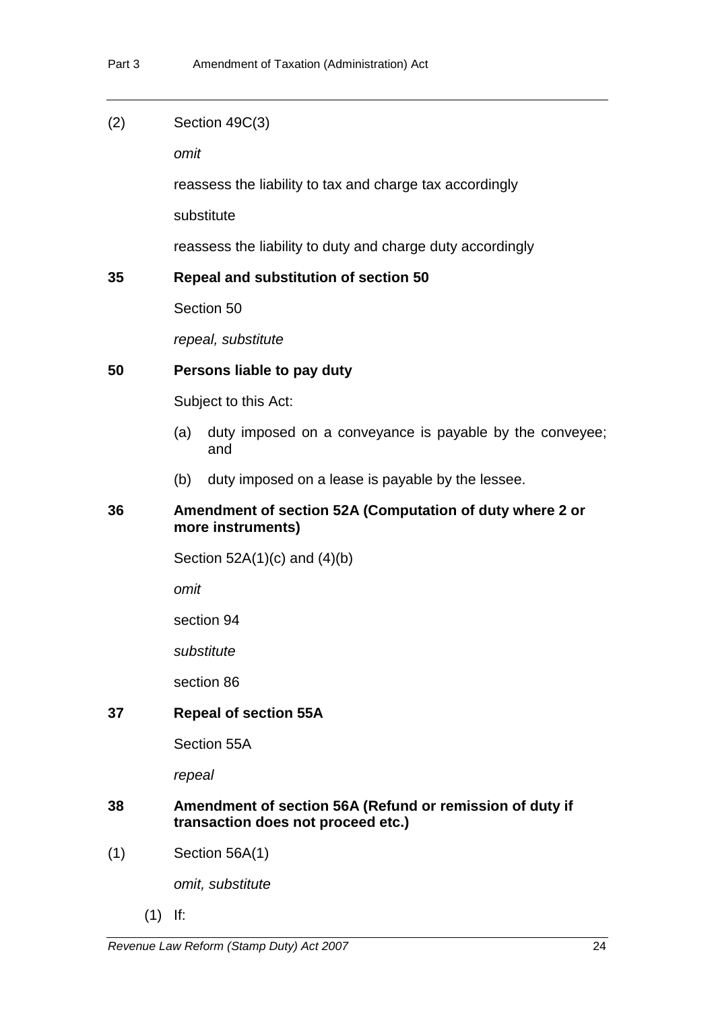| (2) | Section 49C(3) |  |
|-----|----------------|--|
|-----|----------------|--|

*omit*

reassess the liability to tax and charge tax accordingly

substitute

reassess the liability to duty and charge duty accordingly

#### **35 Repeal and substitution of section 50**

Section 50

*repeal, substitute* 

#### **50 Persons liable to pay duty**

Subject to this Act:

- (a) duty imposed on a conveyance is payable by the conveyee; and
- (b) duty imposed on a lease is payable by the lessee.

# **36 Amendment of section 52A (Computation of duty where 2 or more instruments)**

Section 52A(1)(c) and (4)(b)

*omit*

section 94

*substitute*

section 86

#### **37 Repeal of section 55A**

Section 55A

*repeal* 

#### **38 Amendment of section 56A (Refund or remission of duty if transaction does not proceed etc.)**

(1) Section 56A(1)

*omit, substitute*

(1) If: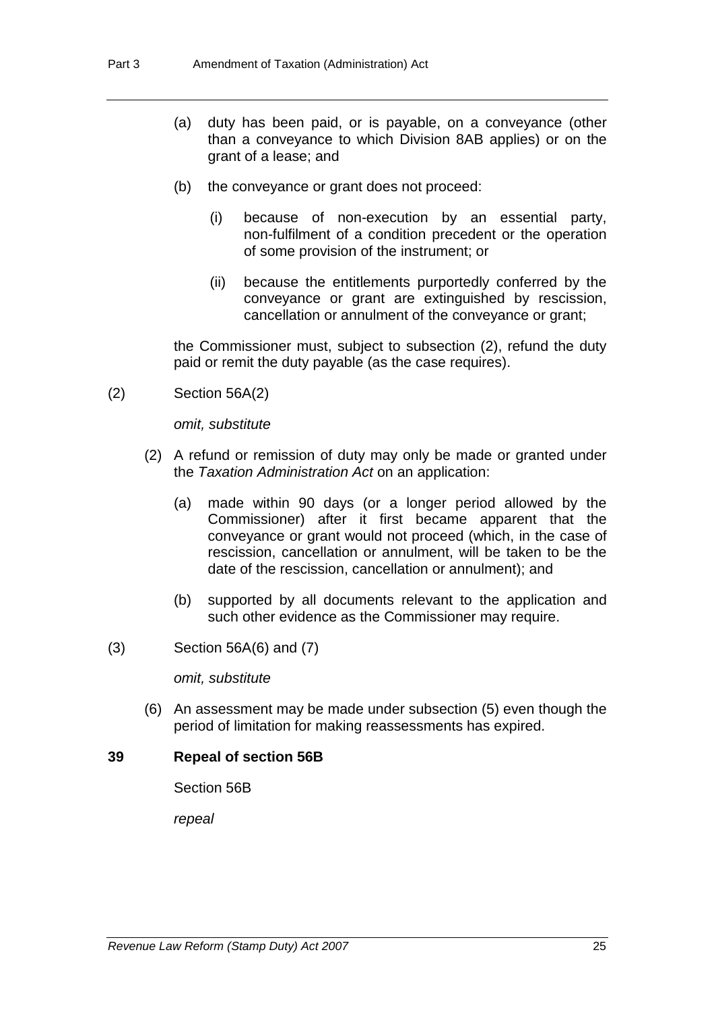- (a) duty has been paid, or is payable, on a conveyance (other than a conveyance to which Division 8AB applies) or on the grant of a lease; and
- (b) the conveyance or grant does not proceed:
	- (i) because of non-execution by an essential party, non-fulfilment of a condition precedent or the operation of some provision of the instrument; or
	- (ii) because the entitlements purportedly conferred by the conveyance or grant are extinguished by rescission, cancellation or annulment of the conveyance or grant;

the Commissioner must, subject to subsection (2), refund the duty paid or remit the duty payable (as the case requires).

(2) Section 56A(2)

*omit, substitute*

- (2) A refund or remission of duty may only be made or granted under the *Taxation Administration Act* on an application:
	- (a) made within 90 days (or a longer period allowed by the Commissioner) after it first became apparent that the conveyance or grant would not proceed (which, in the case of rescission, cancellation or annulment, will be taken to be the date of the rescission, cancellation or annulment); and
	- (b) supported by all documents relevant to the application and such other evidence as the Commissioner may require.
- (3) Section 56A(6) and (7)

*omit, substitute*

 (6) An assessment may be made under subsection (5) even though the period of limitation for making reassessments has expired.

#### **39 Repeal of section 56B**

Section 56B

*repeal*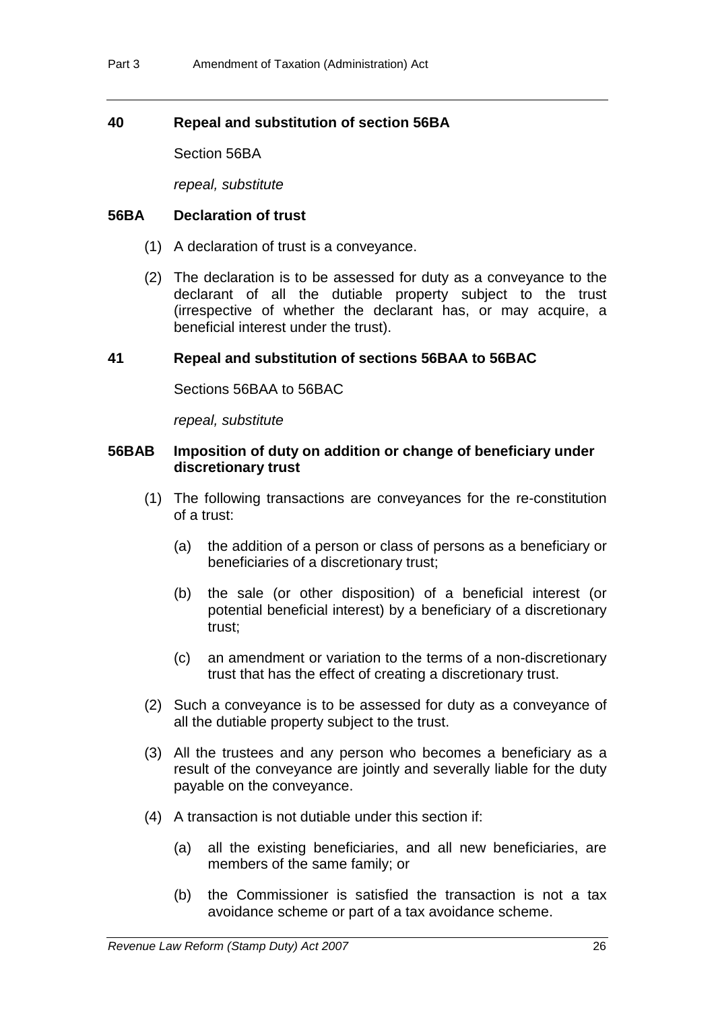# **40 Repeal and substitution of section 56BA**

Section 56BA

*repeal, substitute*

### **56BA Declaration of trust**

- (1) A declaration of trust is a conveyance.
- (2) The declaration is to be assessed for duty as a conveyance to the declarant of all the dutiable property subject to the trust (irrespective of whether the declarant has, or may acquire, a beneficial interest under the trust).

# **41 Repeal and substitution of sections 56BAA to 56BAC**

Sections 56BAA to 56BAC

*repeal, substitute* 

### **56BAB Imposition of duty on addition or change of beneficiary under discretionary trust**

- (1) The following transactions are conveyances for the re-constitution of a trust:
	- (a) the addition of a person or class of persons as a beneficiary or beneficiaries of a discretionary trust;
	- (b) the sale (or other disposition) of a beneficial interest (or potential beneficial interest) by a beneficiary of a discretionary trust;
	- (c) an amendment or variation to the terms of a non-discretionary trust that has the effect of creating a discretionary trust.
- (2) Such a conveyance is to be assessed for duty as a conveyance of all the dutiable property subject to the trust.
- (3) All the trustees and any person who becomes a beneficiary as a result of the conveyance are jointly and severally liable for the duty payable on the conveyance.
- (4) A transaction is not dutiable under this section if:
	- (a) all the existing beneficiaries, and all new beneficiaries, are members of the same family; or
	- (b) the Commissioner is satisfied the transaction is not a tax avoidance scheme or part of a tax avoidance scheme.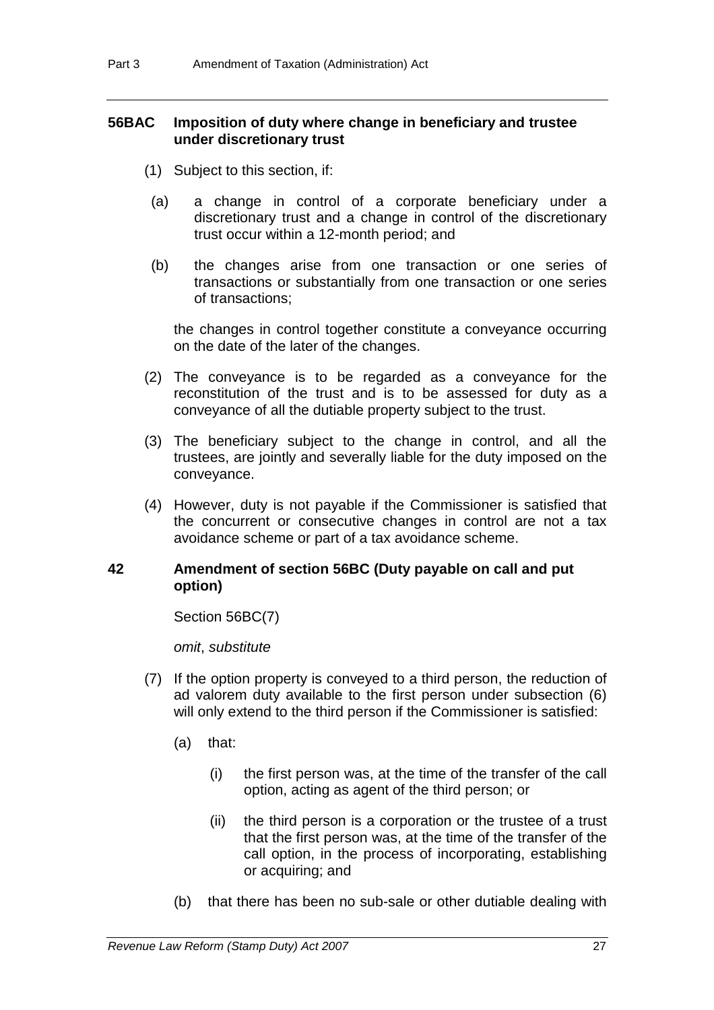# **56BAC Imposition of duty where change in beneficiary and trustee under discretionary trust**

- (1) Subject to this section, if:
- (a) a change in control of a corporate beneficiary under a discretionary trust and a change in control of the discretionary trust occur within a 12-month period; and
- (b) the changes arise from one transaction or one series of transactions or substantially from one transaction or one series of transactions;

the changes in control together constitute a conveyance occurring on the date of the later of the changes.

- (2) The conveyance is to be regarded as a conveyance for the reconstitution of the trust and is to be assessed for duty as a conveyance of all the dutiable property subject to the trust.
- (3) The beneficiary subject to the change in control, and all the trustees, are jointly and severally liable for the duty imposed on the conveyance.
- (4) However, duty is not payable if the Commissioner is satisfied that the concurrent or consecutive changes in control are not a tax avoidance scheme or part of a tax avoidance scheme.

# **42 Amendment of section 56BC (Duty payable on call and put option)**

Section 56BC(7)

*omit*, *substitute*

- (7) If the option property is conveyed to a third person, the reduction of ad valorem duty available to the first person under subsection (6) will only extend to the third person if the Commissioner is satisfied:
	- (a) that:
		- (i) the first person was, at the time of the transfer of the call option, acting as agent of the third person; or
		- (ii) the third person is a corporation or the trustee of a trust that the first person was, at the time of the transfer of the call option, in the process of incorporating, establishing or acquiring; and
	- (b) that there has been no sub-sale or other dutiable dealing with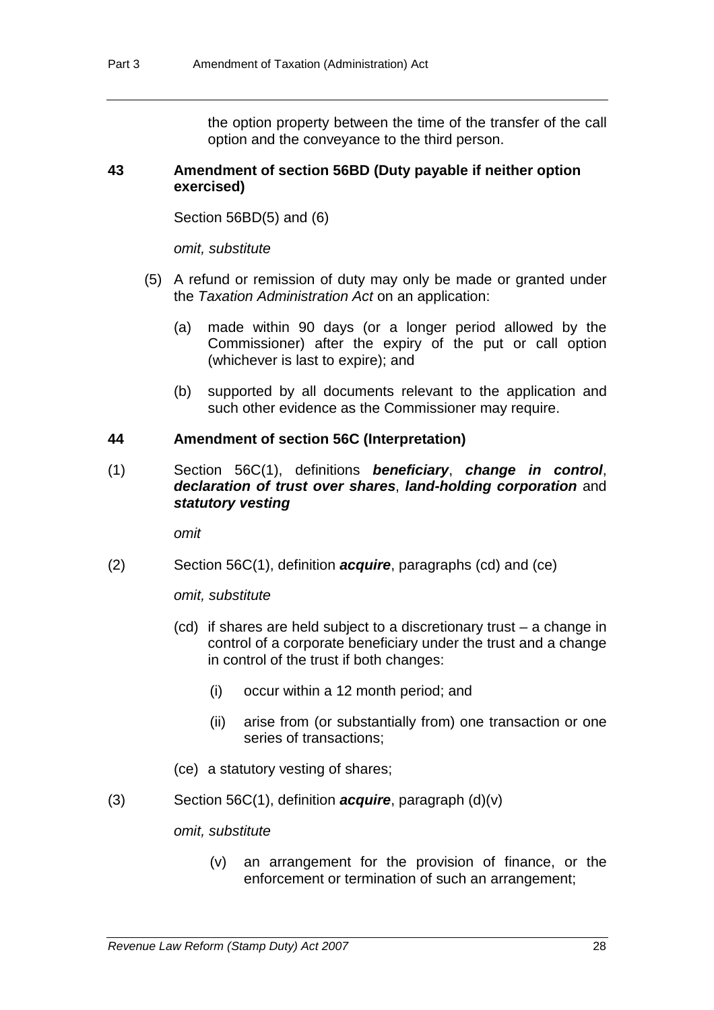the option property between the time of the transfer of the call option and the conveyance to the third person.

#### **43 Amendment of section 56BD (Duty payable if neither option exercised)**

Section 56BD(5) and (6)

*omit, substitute*

- (5) A refund or remission of duty may only be made or granted under the *Taxation Administration Act* on an application:
	- (a) made within 90 days (or a longer period allowed by the Commissioner) after the expiry of the put or call option (whichever is last to expire); and
	- (b) supported by all documents relevant to the application and such other evidence as the Commissioner may require.

### **44 Amendment of section 56C (Interpretation)**

(1) Section 56C(1), definitions *beneficiary*, *change in control*, *declaration of trust over shares*, *land-holding corporation* and *statutory vesting*

*omit*

(2) Section 56C(1), definition *acquire*, paragraphs (cd) and (ce)

*omit, substitute*

- (cd) if shares are held subject to a discretionary trust a change in control of a corporate beneficiary under the trust and a change in control of the trust if both changes:
	- (i) occur within a 12 month period; and
	- (ii) arise from (or substantially from) one transaction or one series of transactions;
- (ce) a statutory vesting of shares;
- (3) Section 56C(1), definition *acquire*, paragraph (d)(v)

*omit, substitute*

(v) an arrangement for the provision of finance, or the enforcement or termination of such an arrangement;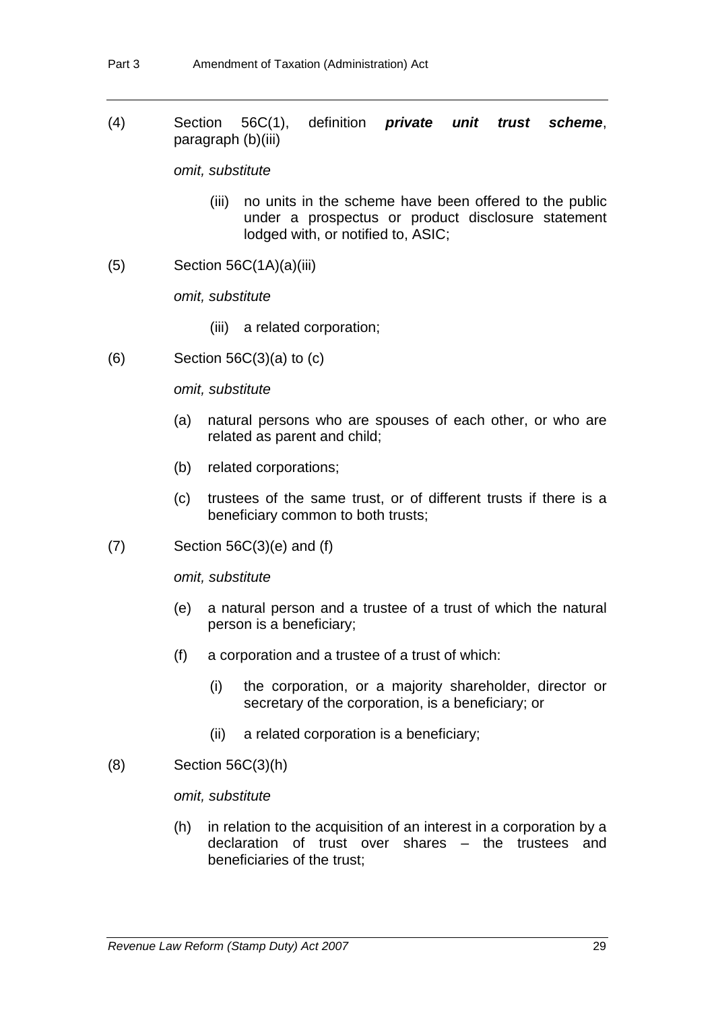(4) Section 56C(1), definition *private unit trust scheme*, paragraph (b)(iii)

*omit, substitute*

- (iii) no units in the scheme have been offered to the public under a prospectus or product disclosure statement lodged with, or notified to, ASIC;
- $(5)$  Section 56C $(1A)(a)(iii)$

*omit, substitute*

- (iii) a related corporation;
- $(6)$  Section 56C $(3)(a)$  to  $(c)$

*omit, substitute*

- (a) natural persons who are spouses of each other, or who are related as parent and child;
- (b) related corporations;
- (c) trustees of the same trust, or of different trusts if there is a beneficiary common to both trusts;
- $(7)$  Section 56C $(3)$ (e) and  $(f)$

*omit, substitute*

- (e) a natural person and a trustee of a trust of which the natural person is a beneficiary;
- (f) a corporation and a trustee of a trust of which:
	- (i) the corporation, or a majority shareholder, director or secretary of the corporation, is a beneficiary; or
	- (ii) a related corporation is a beneficiary;
- (8) Section 56C(3)(h)

# *omit, substitute*

(h) in relation to the acquisition of an interest in a corporation by a declaration of trust over shares – the trustees and beneficiaries of the trust;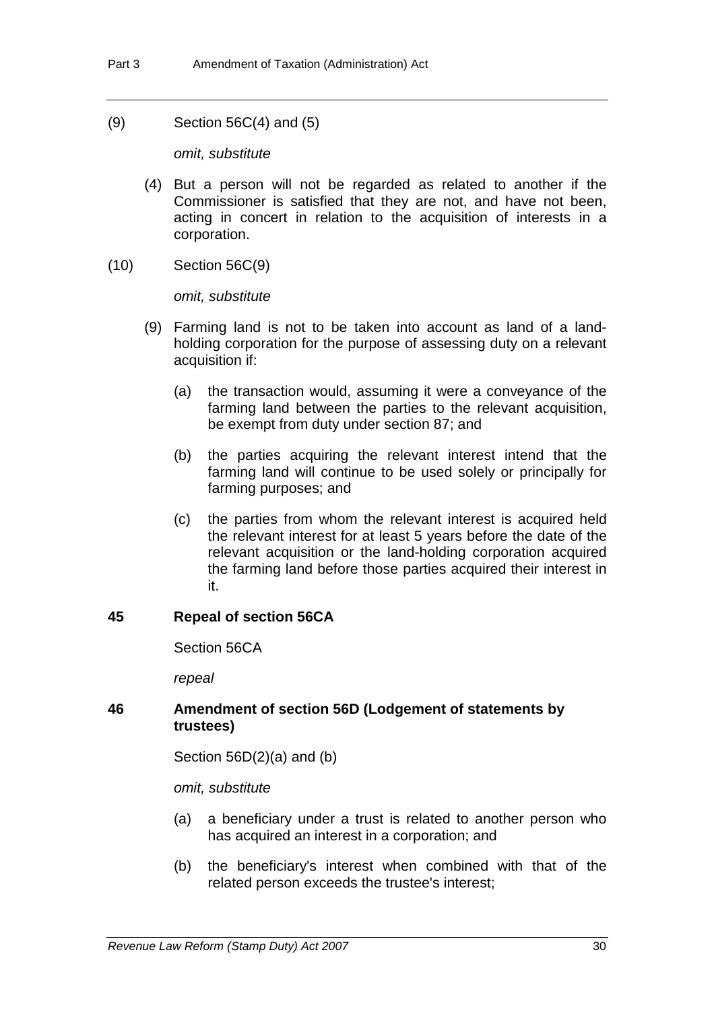(9) Section 56C(4) and (5)

*omit, substitute*

- (4) But a person will not be regarded as related to another if the Commissioner is satisfied that they are not, and have not been, acting in concert in relation to the acquisition of interests in a corporation.
- (10) Section 56C(9)

*omit, substitute*

- (9) Farming land is not to be taken into account as land of a landholding corporation for the purpose of assessing duty on a relevant acquisition if:
	- (a) the transaction would, assuming it were a conveyance of the farming land between the parties to the relevant acquisition, be exempt from duty under section 87; and
	- (b) the parties acquiring the relevant interest intend that the farming land will continue to be used solely or principally for farming purposes; and
	- (c) the parties from whom the relevant interest is acquired held the relevant interest for at least 5 years before the date of the relevant acquisition or the land-holding corporation acquired the farming land before those parties acquired their interest in it.

# **45 Repeal of section 56CA**

Section 56CA

*repeal*

# **46 Amendment of section 56D (Lodgement of statements by trustees)**

Section 56D(2)(a) and (b)

*omit, substitute*

- (a) a beneficiary under a trust is related to another person who has acquired an interest in a corporation; and
- (b) the beneficiary's interest when combined with that of the related person exceeds the trustee's interest;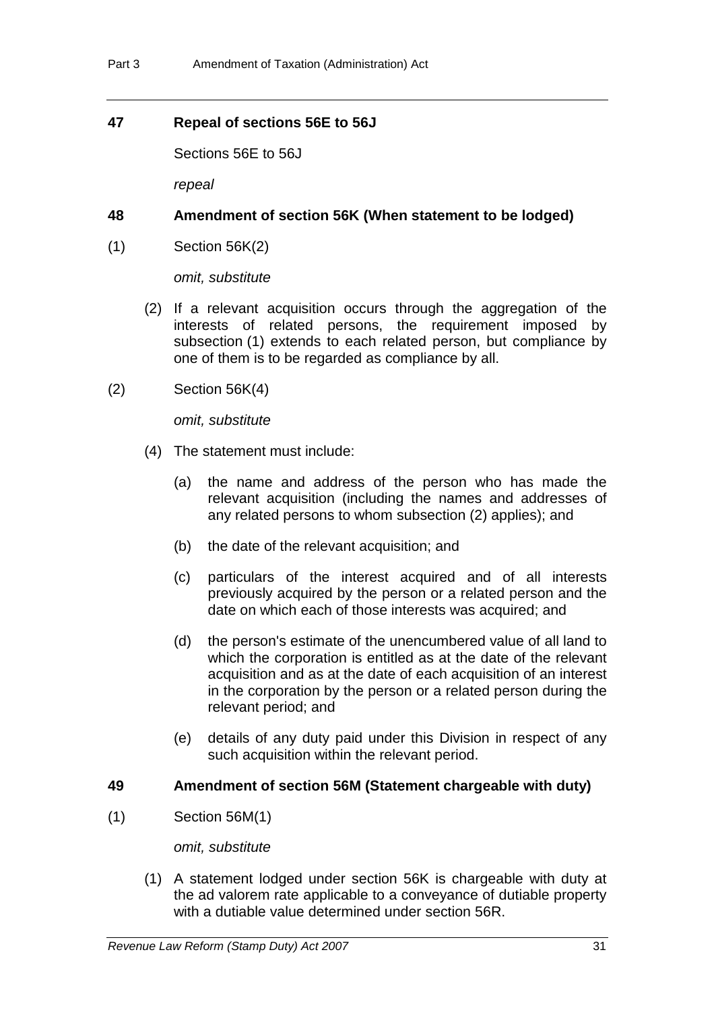# **47 Repeal of sections 56E to 56J**

Sections 56E to 56J

*repeal*

# **48 Amendment of section 56K (When statement to be lodged)**

(1) Section 56K(2)

*omit, substitute*

- (2) If a relevant acquisition occurs through the aggregation of the interests of related persons, the requirement imposed by subsection (1) extends to each related person, but compliance by one of them is to be regarded as compliance by all.
- (2) Section 56K(4)

*omit, substitute*

- (4) The statement must include:
	- (a) the name and address of the person who has made the relevant acquisition (including the names and addresses of any related persons to whom subsection (2) applies); and
	- (b) the date of the relevant acquisition; and
	- (c) particulars of the interest acquired and of all interests previously acquired by the person or a related person and the date on which each of those interests was acquired; and
	- (d) the person's estimate of the unencumbered value of all land to which the corporation is entitled as at the date of the relevant acquisition and as at the date of each acquisition of an interest in the corporation by the person or a related person during the relevant period; and
	- (e) details of any duty paid under this Division in respect of any such acquisition within the relevant period.

# **49 Amendment of section 56M (Statement chargeable with duty)**

(1) Section 56M(1)

*omit, substitute*

 (1) A statement lodged under section 56K is chargeable with duty at the ad valorem rate applicable to a conveyance of dutiable property with a dutiable value determined under section 56R.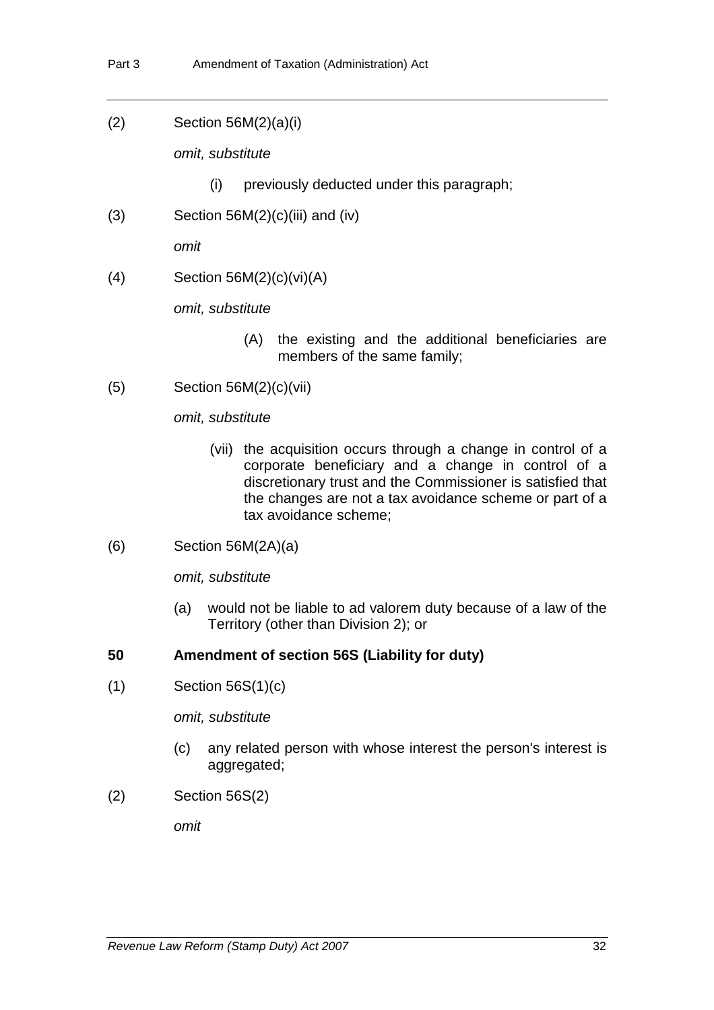(2) Section 56M(2)(a)(i)

*omit, substitute*

- (i) previously deducted under this paragraph;
- $(S)$  Section 56M $(2)(c)(iii)$  and  $(iv)$

*omit*

 $(4)$  Section 56M $(2)(c)(vi)(A)$ 

*omit, substitute*

- (A) the existing and the additional beneficiaries are members of the same family;
- (5) Section 56M(2)(c)(vii)

*omit, substitute*

- (vii) the acquisition occurs through a change in control of a corporate beneficiary and a change in control of a discretionary trust and the Commissioner is satisfied that the changes are not a tax avoidance scheme or part of a tax avoidance scheme;
- (6) Section 56M(2A)(a)

*omit, substitute* 

(a) would not be liable to ad valorem duty because of a law of the Territory (other than Division 2); or

# **50 Amendment of section 56S (Liability for duty)**

 $(1)$  Section 56S $(1)(c)$ 

*omit, substitute*

- (c) any related person with whose interest the person's interest is aggregated;
- (2) Section 56S(2)

*omit*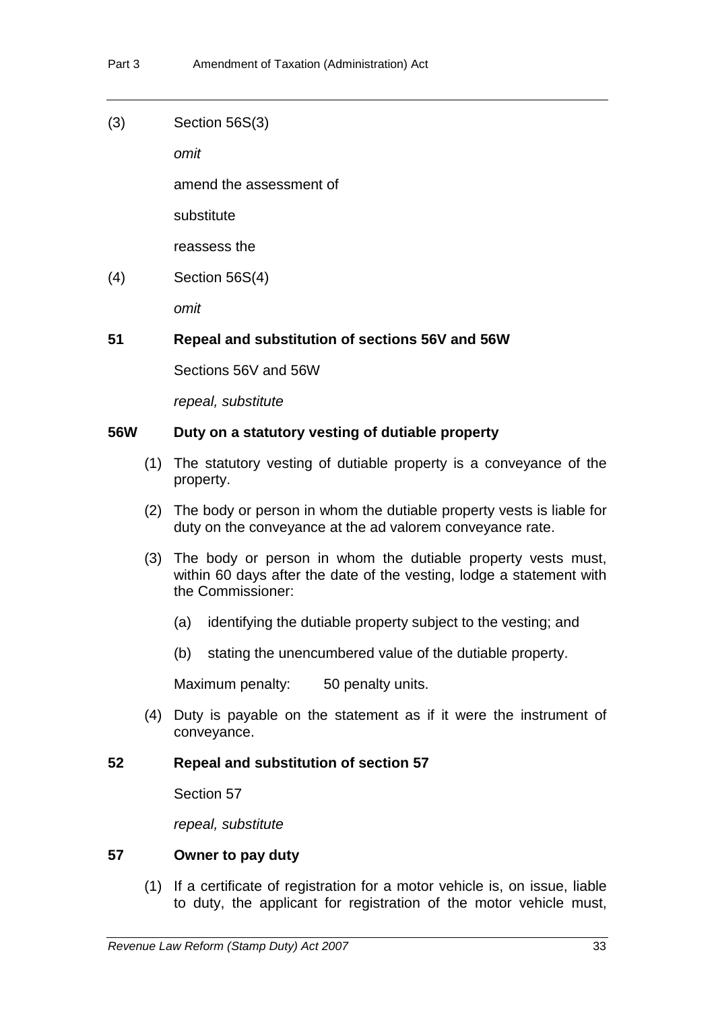(3) Section 56S(3)

*omit*

amend the assessment of

substitute

reassess the

(4) Section 56S(4)

*omit*

# **51 Repeal and substitution of sections 56V and 56W**

Sections 56V and 56W

*repeal, substitute*

### **56W Duty on a statutory vesting of dutiable property**

- (1) The statutory vesting of dutiable property is a conveyance of the property.
- (2) The body or person in whom the dutiable property vests is liable for duty on the conveyance at the ad valorem conveyance rate.
- (3) The body or person in whom the dutiable property vests must, within 60 days after the date of the vesting, lodge a statement with the Commissioner:
	- (a) identifying the dutiable property subject to the vesting; and
	- (b) stating the unencumbered value of the dutiable property.

Maximum penalty: 50 penalty units.

 (4) Duty is payable on the statement as if it were the instrument of conveyance.

#### **52 Repeal and substitution of section 57**

Section 57

*repeal, substitute*

### **57 Owner to pay duty**

 (1) If a certificate of registration for a motor vehicle is, on issue, liable to duty, the applicant for registration of the motor vehicle must,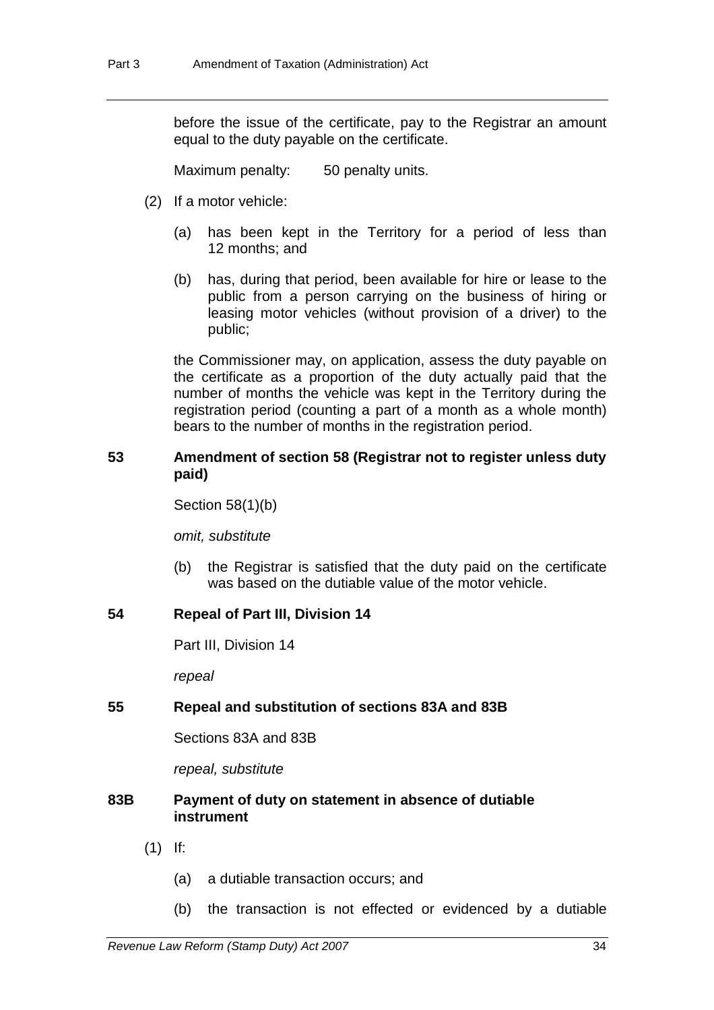before the issue of the certificate, pay to the Registrar an amount equal to the duty payable on the certificate.

Maximum penalty: 50 penalty units.

- (2) If a motor vehicle:
	- (a) has been kept in the Territory for a period of less than 12 months; and
	- (b) has, during that period, been available for hire or lease to the public from a person carrying on the business of hiring or leasing motor vehicles (without provision of a driver) to the public;

the Commissioner may, on application, assess the duty payable on the certificate as a proportion of the duty actually paid that the number of months the vehicle was kept in the Territory during the registration period (counting a part of a month as a whole month) bears to the number of months in the registration period.

# **53 Amendment of section 58 (Registrar not to register unless duty paid)**

Section 58(1)(b)

*omit, substitute*

(b) the Registrar is satisfied that the duty paid on the certificate was based on the dutiable value of the motor vehicle.

# **54 Repeal of Part III, Division 14**

Part III, Division 14

*repeal*

# **55 Repeal and substitution of sections 83A and 83B**

Sections 83A and 83B

*repeal, substitute*

### **83B Payment of duty on statement in absence of dutiable instrument**

- (1) If:
	- (a) a dutiable transaction occurs; and
	- (b) the transaction is not effected or evidenced by a dutiable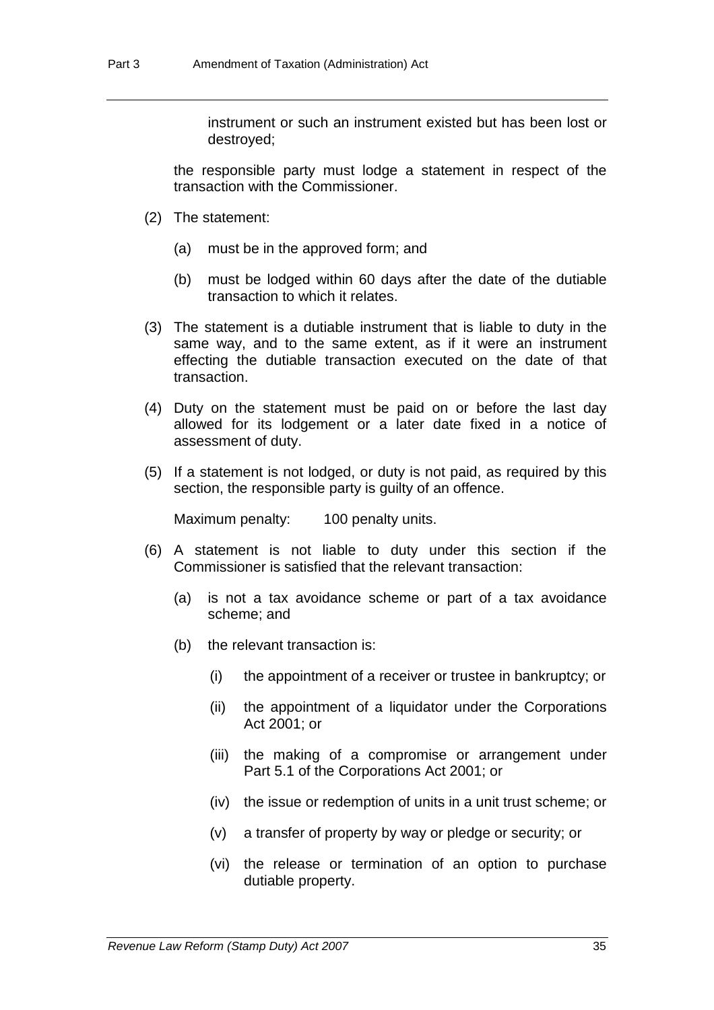instrument or such an instrument existed but has been lost or destroyed;

the responsible party must lodge a statement in respect of the transaction with the Commissioner.

- (2) The statement:
	- (a) must be in the approved form; and
	- (b) must be lodged within 60 days after the date of the dutiable transaction to which it relates.
- (3) The statement is a dutiable instrument that is liable to duty in the same way, and to the same extent, as if it were an instrument effecting the dutiable transaction executed on the date of that transaction.
- (4) Duty on the statement must be paid on or before the last day allowed for its lodgement or a later date fixed in a notice of assessment of duty.
- (5) If a statement is not lodged, or duty is not paid, as required by this section, the responsible party is guilty of an offence.

Maximum penalty: 100 penalty units.

- (6) A statement is not liable to duty under this section if the Commissioner is satisfied that the relevant transaction:
	- (a) is not a tax avoidance scheme or part of a tax avoidance scheme; and
	- (b) the relevant transaction is:
		- (i) the appointment of a receiver or trustee in bankruptcy; or
		- (ii) the appointment of a liquidator under the Corporations Act 2001; or
		- (iii) the making of a compromise or arrangement under Part 5.1 of the Corporations Act 2001; or
		- (iv) the issue or redemption of units in a unit trust scheme; or
		- (v) a transfer of property by way or pledge or security; or
		- (vi) the release or termination of an option to purchase dutiable property.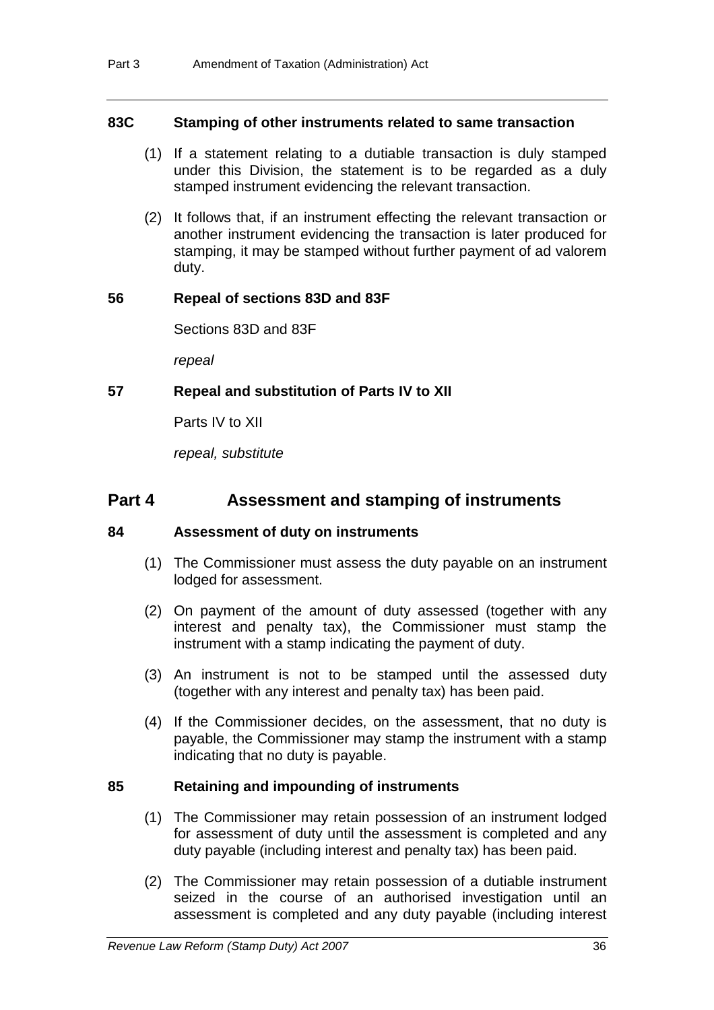# **83C Stamping of other instruments related to same transaction**

- (1) If a statement relating to a dutiable transaction is duly stamped under this Division, the statement is to be regarded as a duly stamped instrument evidencing the relevant transaction.
- (2) It follows that, if an instrument effecting the relevant transaction or another instrument evidencing the transaction is later produced for stamping, it may be stamped without further payment of ad valorem duty.

### **56 Repeal of sections 83D and 83F**

Sections 83D and 83F

*repeal*

# **57 Repeal and substitution of Parts IV to XII**

Parts IV to XII

*repeal, substitute*

# **Part 4 Assessment and stamping of instruments**

# **84 Assessment of duty on instruments**

- (1) The Commissioner must assess the duty payable on an instrument lodged for assessment.
- (2) On payment of the amount of duty assessed (together with any interest and penalty tax), the Commissioner must stamp the instrument with a stamp indicating the payment of duty.
- (3) An instrument is not to be stamped until the assessed duty (together with any interest and penalty tax) has been paid.
- (4) If the Commissioner decides, on the assessment, that no duty is payable, the Commissioner may stamp the instrument with a stamp indicating that no duty is payable.

# **85 Retaining and impounding of instruments**

- (1) The Commissioner may retain possession of an instrument lodged for assessment of duty until the assessment is completed and any duty payable (including interest and penalty tax) has been paid.
- (2) The Commissioner may retain possession of a dutiable instrument seized in the course of an authorised investigation until an assessment is completed and any duty payable (including interest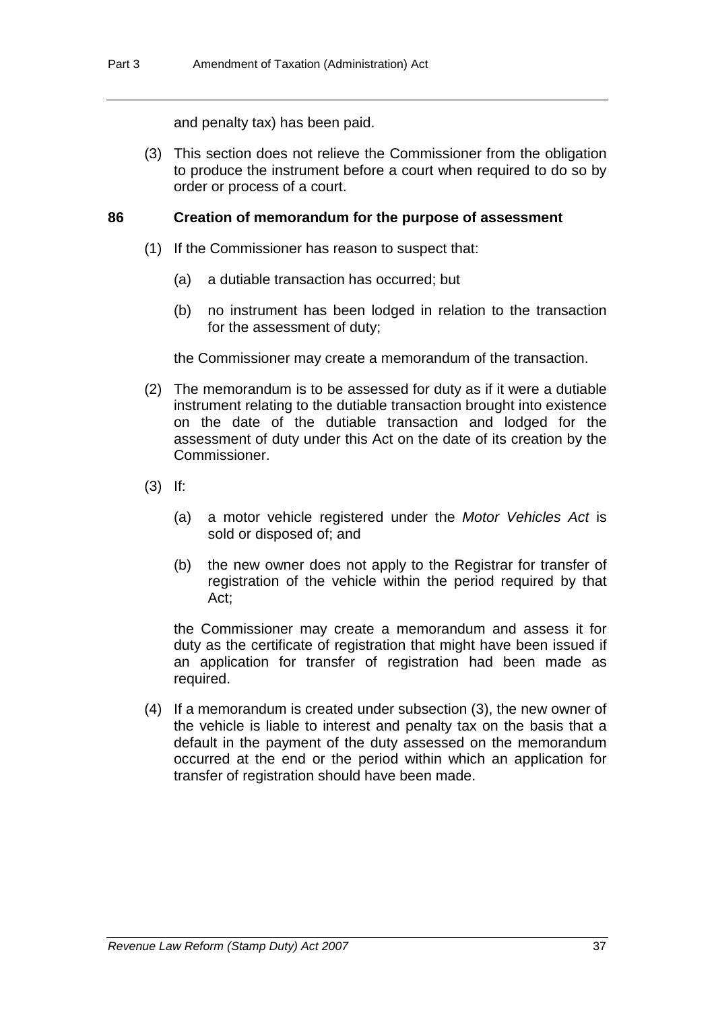and penalty tax) has been paid.

 (3) This section does not relieve the Commissioner from the obligation to produce the instrument before a court when required to do so by order or process of a court.

#### **86 Creation of memorandum for the purpose of assessment**

- (1) If the Commissioner has reason to suspect that:
	- (a) a dutiable transaction has occurred; but
	- (b) no instrument has been lodged in relation to the transaction for the assessment of duty;

the Commissioner may create a memorandum of the transaction.

- (2) The memorandum is to be assessed for duty as if it were a dutiable instrument relating to the dutiable transaction brought into existence on the date of the dutiable transaction and lodged for the assessment of duty under this Act on the date of its creation by the Commissioner.
- (3) If:
	- (a) a motor vehicle registered under the *Motor Vehicles Act* is sold or disposed of; and
	- (b) the new owner does not apply to the Registrar for transfer of registration of the vehicle within the period required by that Act;

the Commissioner may create a memorandum and assess it for duty as the certificate of registration that might have been issued if an application for transfer of registration had been made as required.

 (4) If a memorandum is created under subsection (3), the new owner of the vehicle is liable to interest and penalty tax on the basis that a default in the payment of the duty assessed on the memorandum occurred at the end or the period within which an application for transfer of registration should have been made.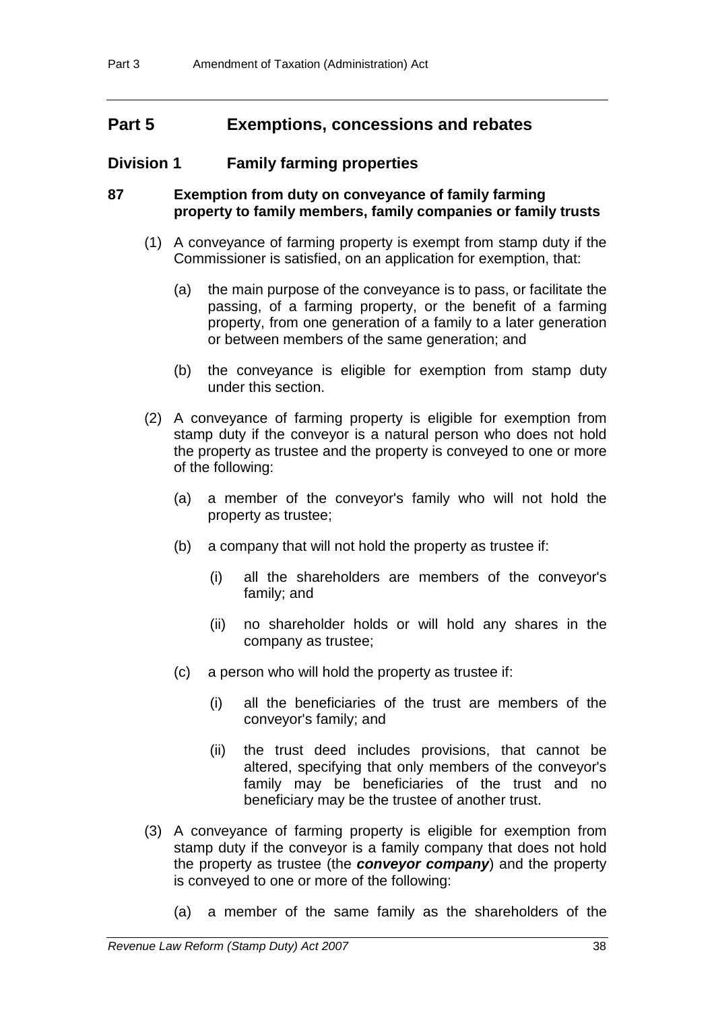# **Part 5 Exemptions, concessions and rebates**

# **Division 1 Family farming properties**

# **87 Exemption from duty on conveyance of family farming property to family members, family companies or family trusts**

- (1) A conveyance of farming property is exempt from stamp duty if the Commissioner is satisfied, on an application for exemption, that:
	- (a) the main purpose of the conveyance is to pass, or facilitate the passing, of a farming property, or the benefit of a farming property, from one generation of a family to a later generation or between members of the same generation; and
	- (b) the conveyance is eligible for exemption from stamp duty under this section.
- (2) A conveyance of farming property is eligible for exemption from stamp duty if the conveyor is a natural person who does not hold the property as trustee and the property is conveyed to one or more of the following:
	- (a) a member of the conveyor's family who will not hold the property as trustee;
	- (b) a company that will not hold the property as trustee if:
		- (i) all the shareholders are members of the conveyor's family; and
		- (ii) no shareholder holds or will hold any shares in the company as trustee;
	- (c) a person who will hold the property as trustee if:
		- (i) all the beneficiaries of the trust are members of the conveyor's family; and
		- (ii) the trust deed includes provisions, that cannot be altered, specifying that only members of the conveyor's family may be beneficiaries of the trust and no beneficiary may be the trustee of another trust.
- (3) A conveyance of farming property is eligible for exemption from stamp duty if the conveyor is a family company that does not hold the property as trustee (the *conveyor company*) and the property is conveyed to one or more of the following:
	- (a) a member of the same family as the shareholders of the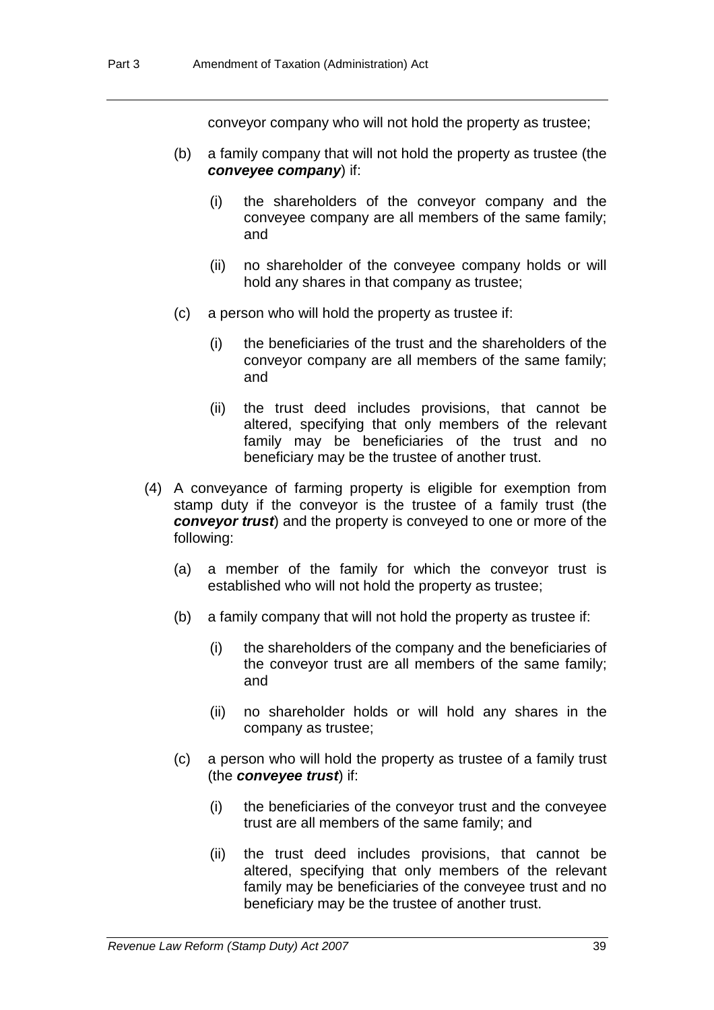conveyor company who will not hold the property as trustee;

- (b) a family company that will not hold the property as trustee (the *conveyee company*) if:
	- (i) the shareholders of the conveyor company and the conveyee company are all members of the same family; and
	- (ii) no shareholder of the conveyee company holds or will hold any shares in that company as trustee;
- (c) a person who will hold the property as trustee if:
	- (i) the beneficiaries of the trust and the shareholders of the conveyor company are all members of the same family; and
	- (ii) the trust deed includes provisions, that cannot be altered, specifying that only members of the relevant family may be beneficiaries of the trust and no beneficiary may be the trustee of another trust.
- (4) A conveyance of farming property is eligible for exemption from stamp duty if the conveyor is the trustee of a family trust (the *conveyor trust*) and the property is conveyed to one or more of the following:
	- (a) a member of the family for which the conveyor trust is established who will not hold the property as trustee;
	- (b) a family company that will not hold the property as trustee if:
		- (i) the shareholders of the company and the beneficiaries of the conveyor trust are all members of the same family; and
		- (ii) no shareholder holds or will hold any shares in the company as trustee;
	- (c) a person who will hold the property as trustee of a family trust (the *conveyee trust*) if:
		- (i) the beneficiaries of the conveyor trust and the conveyee trust are all members of the same family; and
		- (ii) the trust deed includes provisions, that cannot be altered, specifying that only members of the relevant family may be beneficiaries of the conveyee trust and no beneficiary may be the trustee of another trust.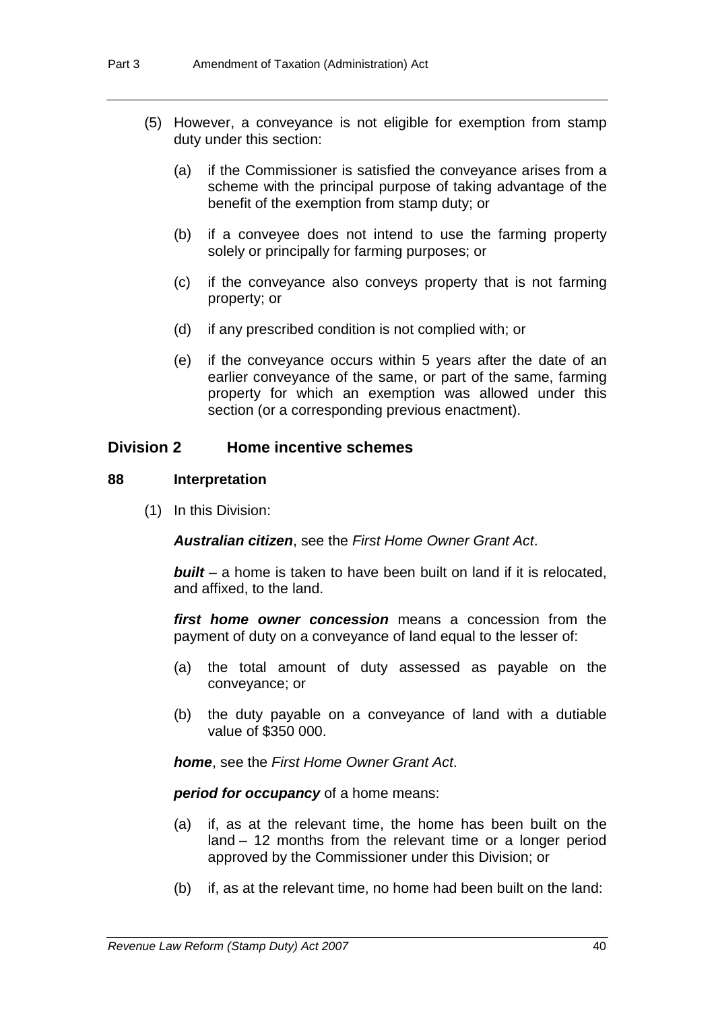- (5) However, a conveyance is not eligible for exemption from stamp duty under this section:
	- (a) if the Commissioner is satisfied the conveyance arises from a scheme with the principal purpose of taking advantage of the benefit of the exemption from stamp duty; or
	- (b) if a conveyee does not intend to use the farming property solely or principally for farming purposes; or
	- (c) if the conveyance also conveys property that is not farming property; or
	- (d) if any prescribed condition is not complied with; or
	- (e) if the conveyance occurs within 5 years after the date of an earlier conveyance of the same, or part of the same, farming property for which an exemption was allowed under this section (or a corresponding previous enactment).

# **Division 2 Home incentive schemes**

### **88 Interpretation**

(1) In this Division:

*Australian citizen*, see the *First Home Owner Grant Act*.

*built* – a home is taken to have been built on land if it is relocated, and affixed, to the land.

*first home owner concession* means a concession from the payment of duty on a conveyance of land equal to the lesser of:

- (a) the total amount of duty assessed as payable on the conveyance; or
- (b) the duty payable on a conveyance of land with a dutiable value of \$350 000.

*home*, see the *First Home Owner Grant Act*.

*period for occupancy* of a home means:

- (a) if, as at the relevant time, the home has been built on the land – 12 months from the relevant time or a longer period approved by the Commissioner under this Division; or
- (b) if, as at the relevant time, no home had been built on the land: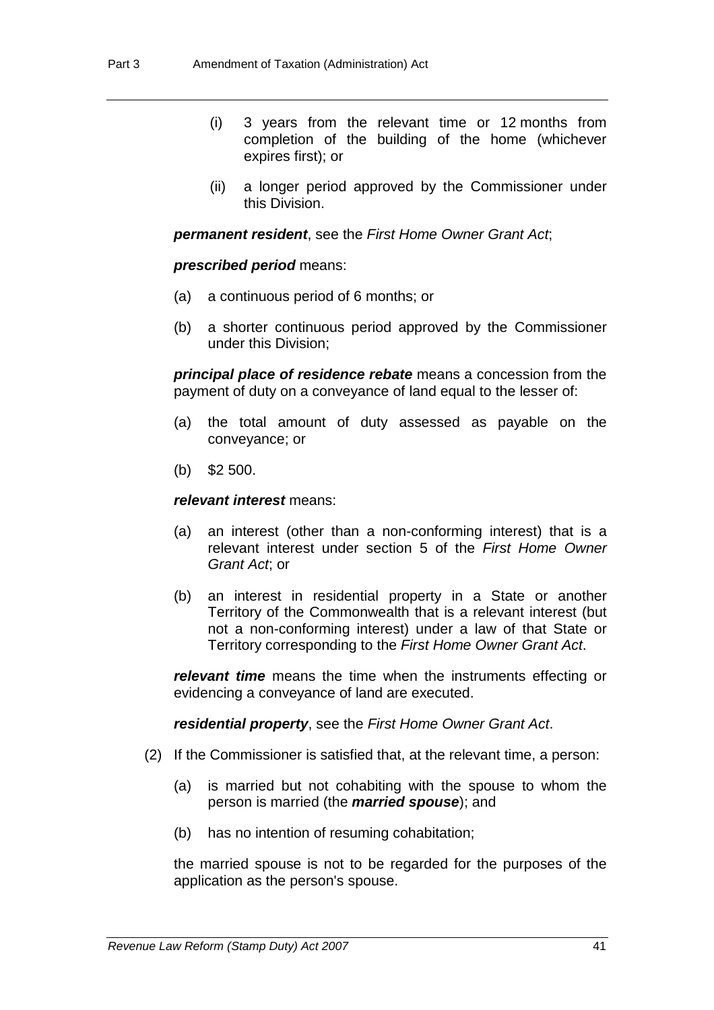- (i) 3 years from the relevant time or 12 months from completion of the building of the home (whichever expires first); or
- (ii) a longer period approved by the Commissioner under this Division.

*permanent resident*, see the *First Home Owner Grant Act*;

#### *prescribed period* means:

- (a) a continuous period of 6 months; or
- (b) a shorter continuous period approved by the Commissioner under this Division;

*principal place of residence rebate* means a concession from the payment of duty on a conveyance of land equal to the lesser of:

- (a) the total amount of duty assessed as payable on the conveyance; or
- (b) \$2 500.

#### *relevant interest* means:

- (a) an interest (other than a non-conforming interest) that is a relevant interest under section 5 of the *First Home Owner Grant Act*; or
- (b) an interest in residential property in a State or another Territory of the Commonwealth that is a relevant interest (but not a non-conforming interest) under a law of that State or Territory corresponding to the *First Home Owner Grant Act*.

*relevant time* means the time when the instruments effecting or evidencing a conveyance of land are executed.

*residential property*, see the *First Home Owner Grant Act*.

- (2) If the Commissioner is satisfied that, at the relevant time, a person:
	- (a) is married but not cohabiting with the spouse to whom the person is married (the *married spouse*); and
	- (b) has no intention of resuming cohabitation;

the married spouse is not to be regarded for the purposes of the application as the person's spouse.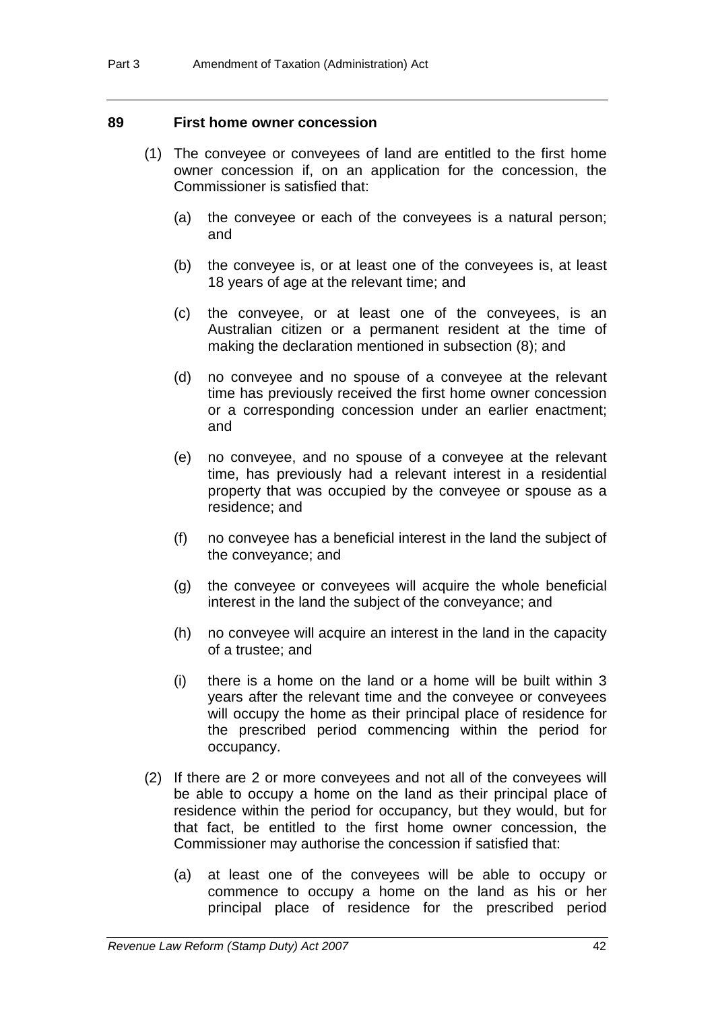#### **89 First home owner concession**

- (1) The conveyee or conveyees of land are entitled to the first home owner concession if, on an application for the concession, the Commissioner is satisfied that:
	- (a) the conveyee or each of the conveyees is a natural person; and
	- (b) the conveyee is, or at least one of the conveyees is, at least 18 years of age at the relevant time; and
	- (c) the conveyee, or at least one of the conveyees, is an Australian citizen or a permanent resident at the time of making the declaration mentioned in subsection (8); and
	- (d) no conveyee and no spouse of a conveyee at the relevant time has previously received the first home owner concession or a corresponding concession under an earlier enactment; and
	- (e) no conveyee, and no spouse of a conveyee at the relevant time, has previously had a relevant interest in a residential property that was occupied by the conveyee or spouse as a residence; and
	- (f) no conveyee has a beneficial interest in the land the subject of the conveyance; and
	- (g) the conveyee or conveyees will acquire the whole beneficial interest in the land the subject of the conveyance; and
	- (h) no conveyee will acquire an interest in the land in the capacity of a trustee; and
	- (i) there is a home on the land or a home will be built within 3 years after the relevant time and the conveyee or conveyees will occupy the home as their principal place of residence for the prescribed period commencing within the period for occupancy.
- (2) If there are 2 or more conveyees and not all of the conveyees will be able to occupy a home on the land as their principal place of residence within the period for occupancy, but they would, but for that fact, be entitled to the first home owner concession, the Commissioner may authorise the concession if satisfied that:
	- (a) at least one of the conveyees will be able to occupy or commence to occupy a home on the land as his or her principal place of residence for the prescribed period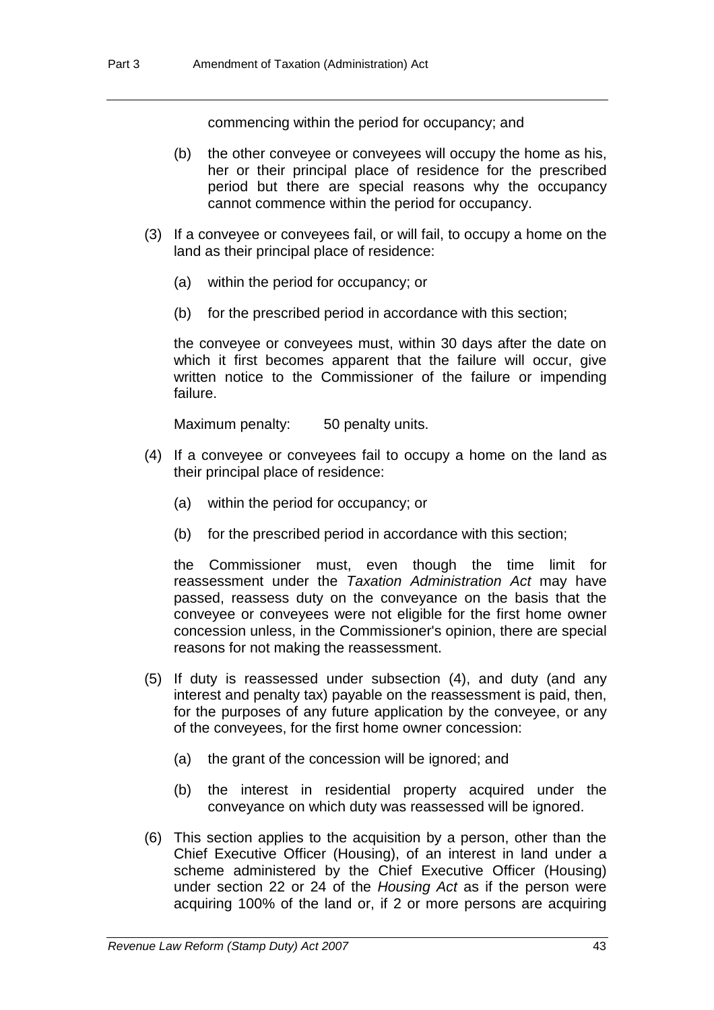commencing within the period for occupancy; and

- (b) the other conveyee or conveyees will occupy the home as his, her or their principal place of residence for the prescribed period but there are special reasons why the occupancy cannot commence within the period for occupancy.
- (3) If a conveyee or conveyees fail, or will fail, to occupy a home on the land as their principal place of residence:
	- (a) within the period for occupancy; or
	- (b) for the prescribed period in accordance with this section;

the conveyee or conveyees must, within 30 days after the date on which it first becomes apparent that the failure will occur, give written notice to the Commissioner of the failure or impending failure.

Maximum penalty: 50 penalty units.

- (4) If a conveyee or conveyees fail to occupy a home on the land as their principal place of residence:
	- (a) within the period for occupancy; or
	- (b) for the prescribed period in accordance with this section;

the Commissioner must, even though the time limit for reassessment under the *Taxation Administration Act* may have passed, reassess duty on the conveyance on the basis that the conveyee or conveyees were not eligible for the first home owner concession unless, in the Commissioner's opinion, there are special reasons for not making the reassessment.

- (5) If duty is reassessed under subsection (4), and duty (and any interest and penalty tax) payable on the reassessment is paid, then, for the purposes of any future application by the conveyee, or any of the conveyees, for the first home owner concession:
	- (a) the grant of the concession will be ignored; and
	- (b) the interest in residential property acquired under the conveyance on which duty was reassessed will be ignored.
- (6) This section applies to the acquisition by a person, other than the Chief Executive Officer (Housing), of an interest in land under a scheme administered by the Chief Executive Officer (Housing) under section 22 or 24 of the *Housing Act* as if the person were acquiring 100% of the land or, if 2 or more persons are acquiring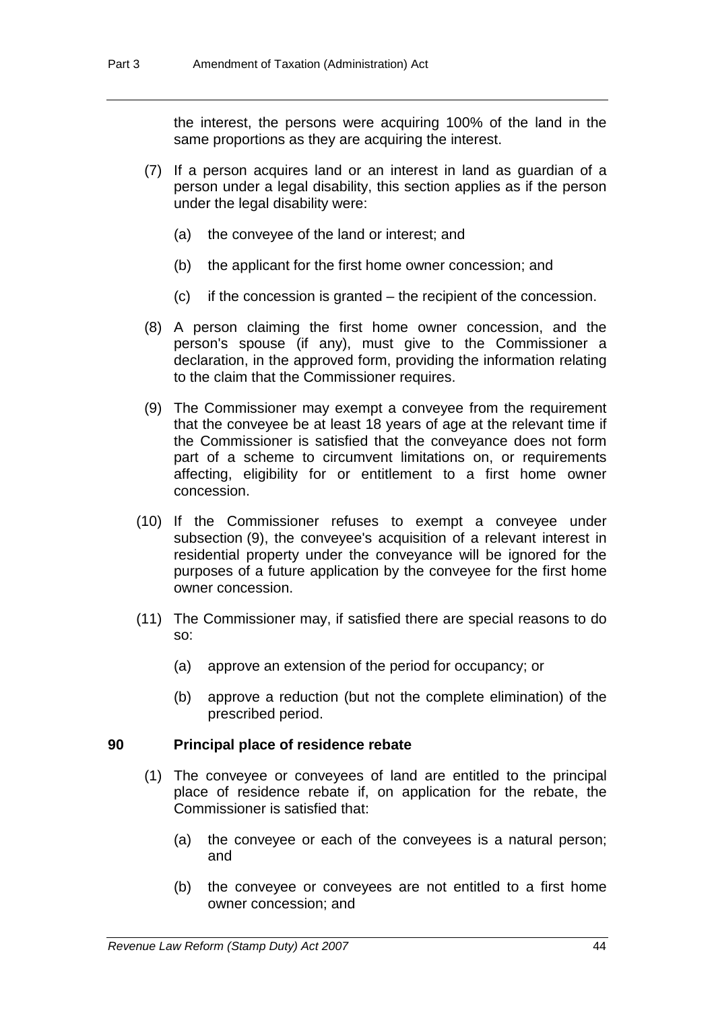the interest, the persons were acquiring 100% of the land in the same proportions as they are acquiring the interest.

- (7) If a person acquires land or an interest in land as guardian of a person under a legal disability, this section applies as if the person under the legal disability were:
	- (a) the conveyee of the land or interest; and
	- (b) the applicant for the first home owner concession; and
	- (c) if the concession is granted the recipient of the concession.
- (8) A person claiming the first home owner concession, and the person's spouse (if any), must give to the Commissioner a declaration, in the approved form, providing the information relating to the claim that the Commissioner requires.
- (9) The Commissioner may exempt a conveyee from the requirement that the conveyee be at least 18 years of age at the relevant time if the Commissioner is satisfied that the conveyance does not form part of a scheme to circumvent limitations on, or requirements affecting, eligibility for or entitlement to a first home owner concession.
- (10) If the Commissioner refuses to exempt a conveyee under subsection (9), the conveyee's acquisition of a relevant interest in residential property under the conveyance will be ignored for the purposes of a future application by the conveyee for the first home owner concession.
- (11) The Commissioner may, if satisfied there are special reasons to do so:
	- (a) approve an extension of the period for occupancy; or
	- (b) approve a reduction (but not the complete elimination) of the prescribed period.

#### **90 Principal place of residence rebate**

- (1) The conveyee or conveyees of land are entitled to the principal place of residence rebate if, on application for the rebate, the Commissioner is satisfied that:
	- (a) the conveyee or each of the conveyees is a natural person; and
	- (b) the conveyee or conveyees are not entitled to a first home owner concession; and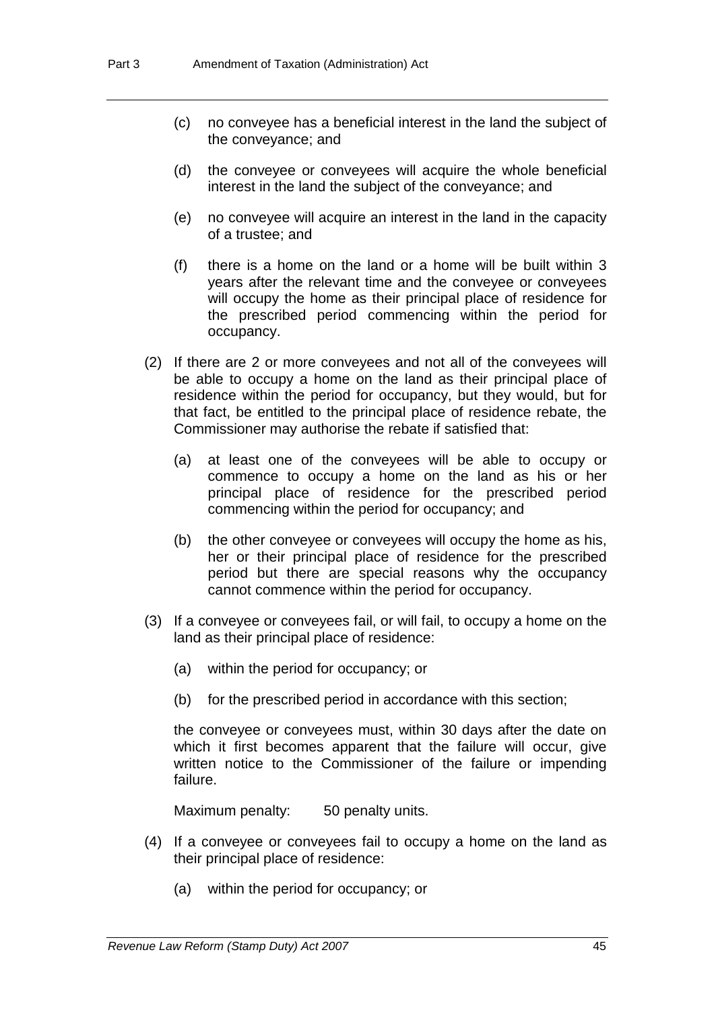- (c) no conveyee has a beneficial interest in the land the subject of the conveyance; and
- (d) the conveyee or conveyees will acquire the whole beneficial interest in the land the subject of the conveyance; and
- (e) no conveyee will acquire an interest in the land in the capacity of a trustee; and
- (f) there is a home on the land or a home will be built within 3 years after the relevant time and the conveyee or conveyees will occupy the home as their principal place of residence for the prescribed period commencing within the period for occupancy.
- (2) If there are 2 or more conveyees and not all of the conveyees will be able to occupy a home on the land as their principal place of residence within the period for occupancy, but they would, but for that fact, be entitled to the principal place of residence rebate, the Commissioner may authorise the rebate if satisfied that:
	- (a) at least one of the conveyees will be able to occupy or commence to occupy a home on the land as his or her principal place of residence for the prescribed period commencing within the period for occupancy; and
	- (b) the other conveyee or conveyees will occupy the home as his, her or their principal place of residence for the prescribed period but there are special reasons why the occupancy cannot commence within the period for occupancy.
- (3) If a conveyee or conveyees fail, or will fail, to occupy a home on the land as their principal place of residence:
	- (a) within the period for occupancy; or
	- (b) for the prescribed period in accordance with this section;

the conveyee or conveyees must, within 30 days after the date on which it first becomes apparent that the failure will occur, give written notice to the Commissioner of the failure or impending failure.

Maximum penalty: 50 penalty units.

- (4) If a conveyee or conveyees fail to occupy a home on the land as their principal place of residence:
	- (a) within the period for occupancy; or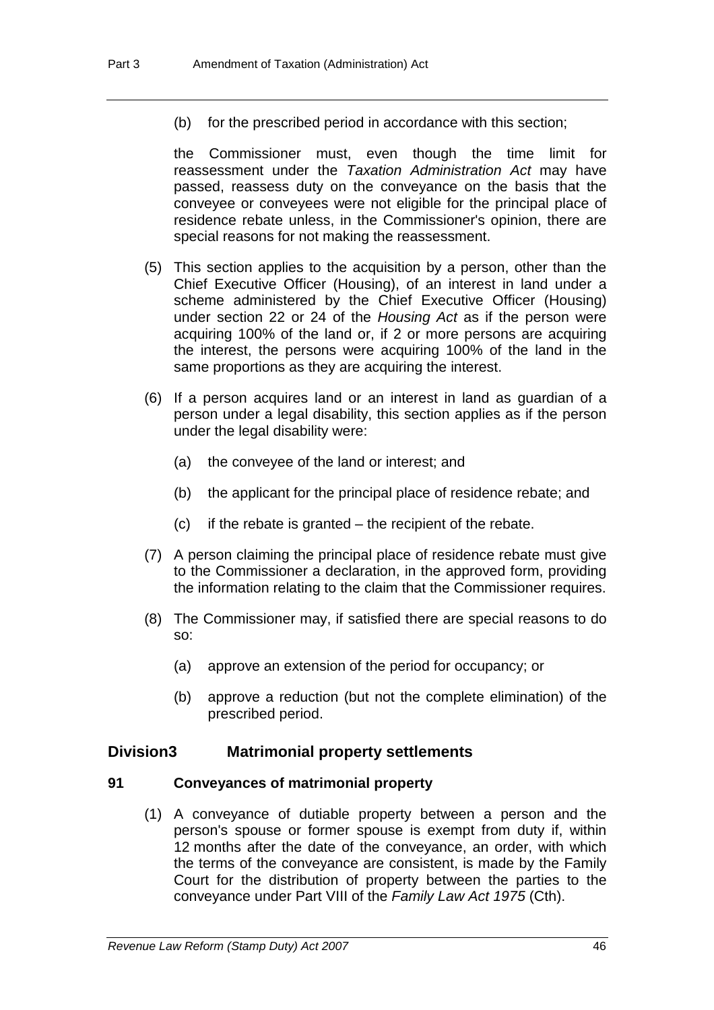(b) for the prescribed period in accordance with this section;

the Commissioner must, even though the time limit for reassessment under the *Taxation Administration Act* may have passed, reassess duty on the conveyance on the basis that the conveyee or conveyees were not eligible for the principal place of residence rebate unless, in the Commissioner's opinion, there are special reasons for not making the reassessment.

- (5) This section applies to the acquisition by a person, other than the Chief Executive Officer (Housing), of an interest in land under a scheme administered by the Chief Executive Officer (Housing) under section 22 or 24 of the *Housing Act* as if the person were acquiring 100% of the land or, if 2 or more persons are acquiring the interest, the persons were acquiring 100% of the land in the same proportions as they are acquiring the interest.
- (6) If a person acquires land or an interest in land as guardian of a person under a legal disability, this section applies as if the person under the legal disability were:
	- (a) the conveyee of the land or interest; and
	- (b) the applicant for the principal place of residence rebate; and
	- (c) if the rebate is granted the recipient of the rebate.
- (7) A person claiming the principal place of residence rebate must give to the Commissioner a declaration, in the approved form, providing the information relating to the claim that the Commissioner requires.
- (8) The Commissioner may, if satisfied there are special reasons to do so:
	- (a) approve an extension of the period for occupancy; or
	- (b) approve a reduction (but not the complete elimination) of the prescribed period.

# **Division3 Matrimonial property settlements**

# **91 Conveyances of matrimonial property**

 (1) A conveyance of dutiable property between a person and the person's spouse or former spouse is exempt from duty if, within 12 months after the date of the conveyance, an order, with which the terms of the conveyance are consistent, is made by the Family Court for the distribution of property between the parties to the conveyance under Part VIII of the *Family Law Act 1975* (Cth).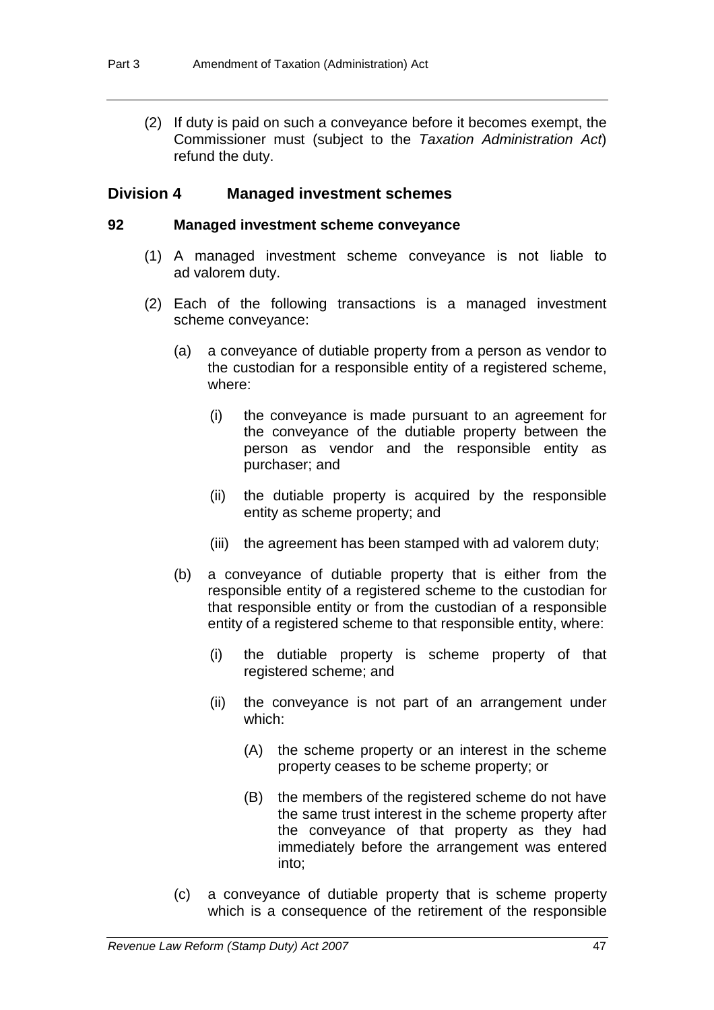(2) If duty is paid on such a conveyance before it becomes exempt, the Commissioner must (subject to the *Taxation Administration Act*) refund the duty.

# **Division 4 Managed investment schemes**

#### **92 Managed investment scheme conveyance**

- (1) A managed investment scheme conveyance is not liable to ad valorem duty.
- (2) Each of the following transactions is a managed investment scheme conveyance:
	- (a) a conveyance of dutiable property from a person as vendor to the custodian for a responsible entity of a registered scheme, where:
		- (i) the conveyance is made pursuant to an agreement for the conveyance of the dutiable property between the person as vendor and the responsible entity as purchaser; and
		- (ii) the dutiable property is acquired by the responsible entity as scheme property; and
		- (iii) the agreement has been stamped with ad valorem duty;
	- (b) a conveyance of dutiable property that is either from the responsible entity of a registered scheme to the custodian for that responsible entity or from the custodian of a responsible entity of a registered scheme to that responsible entity, where:
		- (i) the dutiable property is scheme property of that registered scheme; and
		- (ii) the conveyance is not part of an arrangement under which:
			- (A) the scheme property or an interest in the scheme property ceases to be scheme property; or
			- (B) the members of the registered scheme do not have the same trust interest in the scheme property after the conveyance of that property as they had immediately before the arrangement was entered into;
	- (c) a conveyance of dutiable property that is scheme property which is a consequence of the retirement of the responsible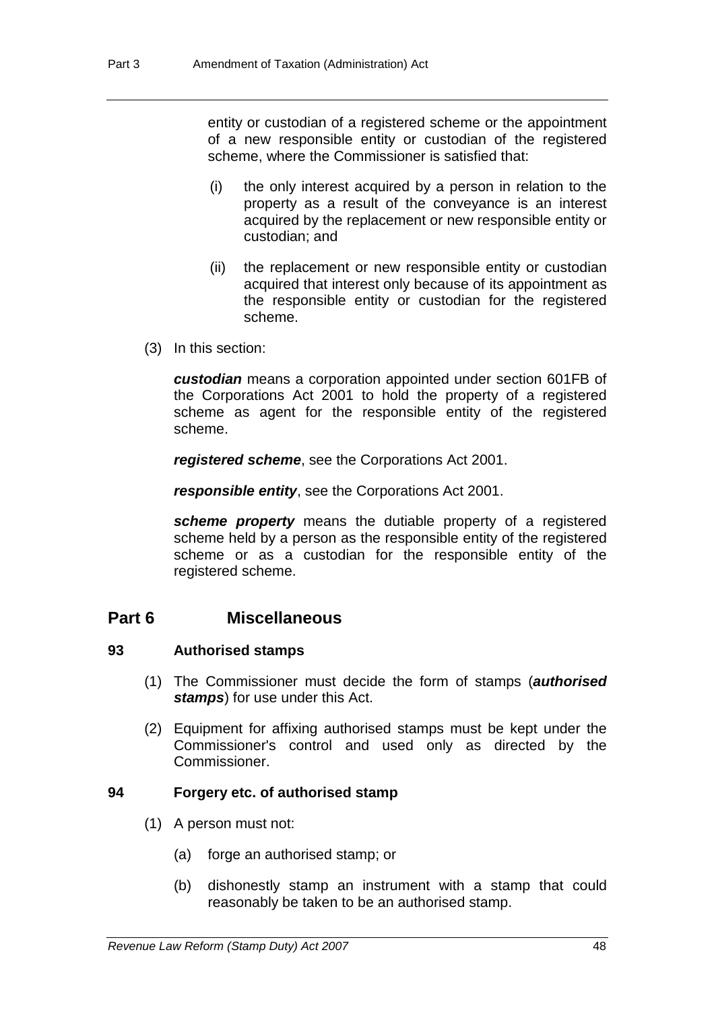entity or custodian of a registered scheme or the appointment of a new responsible entity or custodian of the registered scheme, where the Commissioner is satisfied that:

- (i) the only interest acquired by a person in relation to the property as a result of the conveyance is an interest acquired by the replacement or new responsible entity or custodian; and
- (ii) the replacement or new responsible entity or custodian acquired that interest only because of its appointment as the responsible entity or custodian for the registered scheme.
- (3) In this section:

*custodian* means a corporation appointed under section 601FB of the Corporations Act 2001 to hold the property of a registered scheme as agent for the responsible entity of the registered scheme.

*registered scheme*, see the Corporations Act 2001.

*responsible entity*, see the Corporations Act 2001.

*scheme property* means the dutiable property of a registered scheme held by a person as the responsible entity of the registered scheme or as a custodian for the responsible entity of the registered scheme.

# **Part 6 Miscellaneous**

# **93 Authorised stamps**

- (1) The Commissioner must decide the form of stamps (*authorised stamps*) for use under this Act.
- (2) Equipment for affixing authorised stamps must be kept under the Commissioner's control and used only as directed by the Commissioner.

# **94 Forgery etc. of authorised stamp**

- (1) A person must not:
	- (a) forge an authorised stamp; or
	- (b) dishonestly stamp an instrument with a stamp that could reasonably be taken to be an authorised stamp.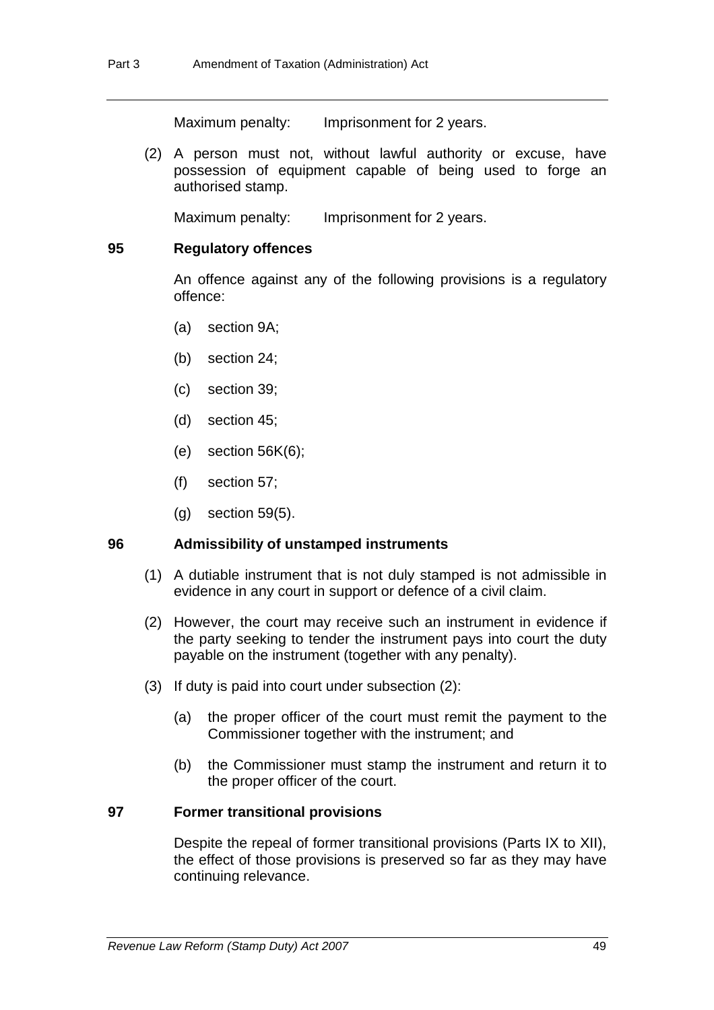Maximum penalty: Imprisonment for 2 years.

 (2) A person must not, without lawful authority or excuse, have possession of equipment capable of being used to forge an authorised stamp.

Maximum penalty: Imprisonment for 2 years.

#### **95 Regulatory offences**

An offence against any of the following provisions is a regulatory offence:

- (a) section 9A;
- (b) section 24;
- (c) section 39;
- (d) section 45;
- (e) section 56K(6);
- (f) section 57;
- (g) section 59(5).

#### **96 Admissibility of unstamped instruments**

- (1) A dutiable instrument that is not duly stamped is not admissible in evidence in any court in support or defence of a civil claim.
- (2) However, the court may receive such an instrument in evidence if the party seeking to tender the instrument pays into court the duty payable on the instrument (together with any penalty).
- (3) If duty is paid into court under subsection (2):
	- (a) the proper officer of the court must remit the payment to the Commissioner together with the instrument; and
	- (b) the Commissioner must stamp the instrument and return it to the proper officer of the court.

#### **97 Former transitional provisions**

Despite the repeal of former transitional provisions (Parts IX to XII), the effect of those provisions is preserved so far as they may have continuing relevance.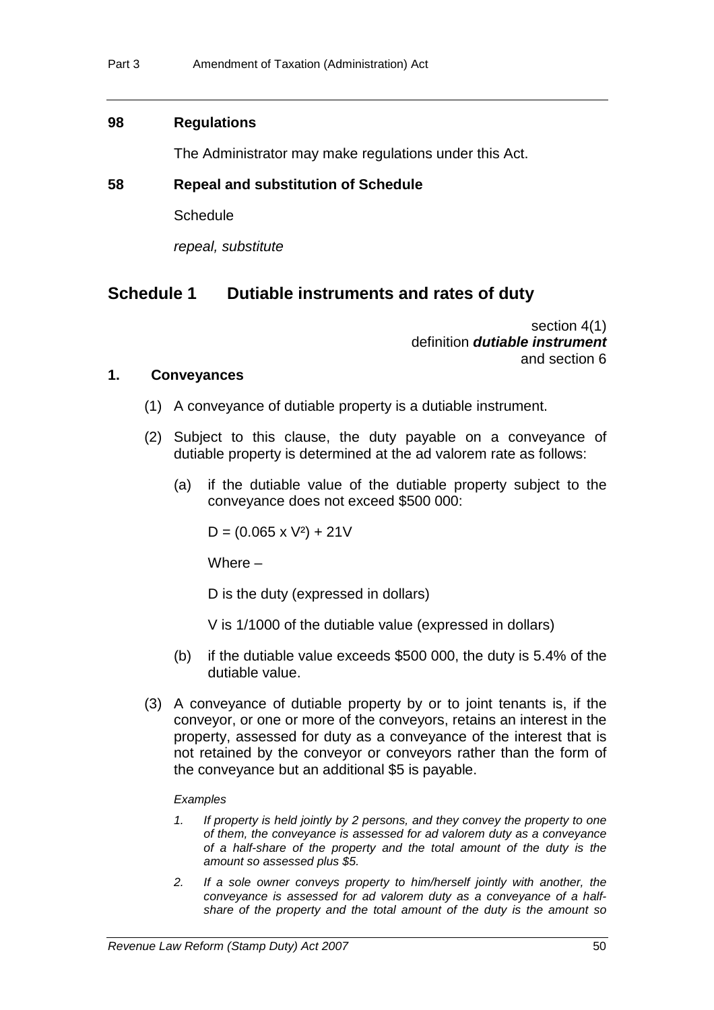### **98 Regulations**

The Administrator may make regulations under this Act.

### **58 Repeal and substitution of Schedule**

**Schedule** 

*repeal, substitute* 

# **Schedule 1 Dutiable instruments and rates of duty**

section 4(1) definition *dutiable instrument* and section 6

#### **1. Conveyances**

- (1) A conveyance of dutiable property is a dutiable instrument.
- (2) Subject to this clause, the duty payable on a conveyance of dutiable property is determined at the ad valorem rate as follows:
	- (a) if the dutiable value of the dutiable property subject to the conveyance does not exceed \$500 000:

 $D = (0.065 \times V^2) + 21V$ 

Where  $-$ 

D is the duty (expressed in dollars)

- V is 1/1000 of the dutiable value (expressed in dollars)
- (b) if the dutiable value exceeds \$500 000, the duty is 5.4% of the dutiable value.
- (3) A conveyance of dutiable property by or to joint tenants is, if the conveyor, or one or more of the conveyors, retains an interest in the property, assessed for duty as a conveyance of the interest that is not retained by the conveyor or conveyors rather than the form of the conveyance but an additional \$5 is payable.

#### *Examples*

- *1. If property is held jointly by 2 persons, and they convey the property to one of them, the conveyance is assessed for ad valorem duty as a conveyance of a half-share of the property and the total amount of the duty is the amount so assessed plus \$5.*
- *2. If a sole owner conveys property to him/herself jointly with another, the conveyance is assessed for ad valorem duty as a conveyance of a halfshare of the property and the total amount of the duty is the amount so*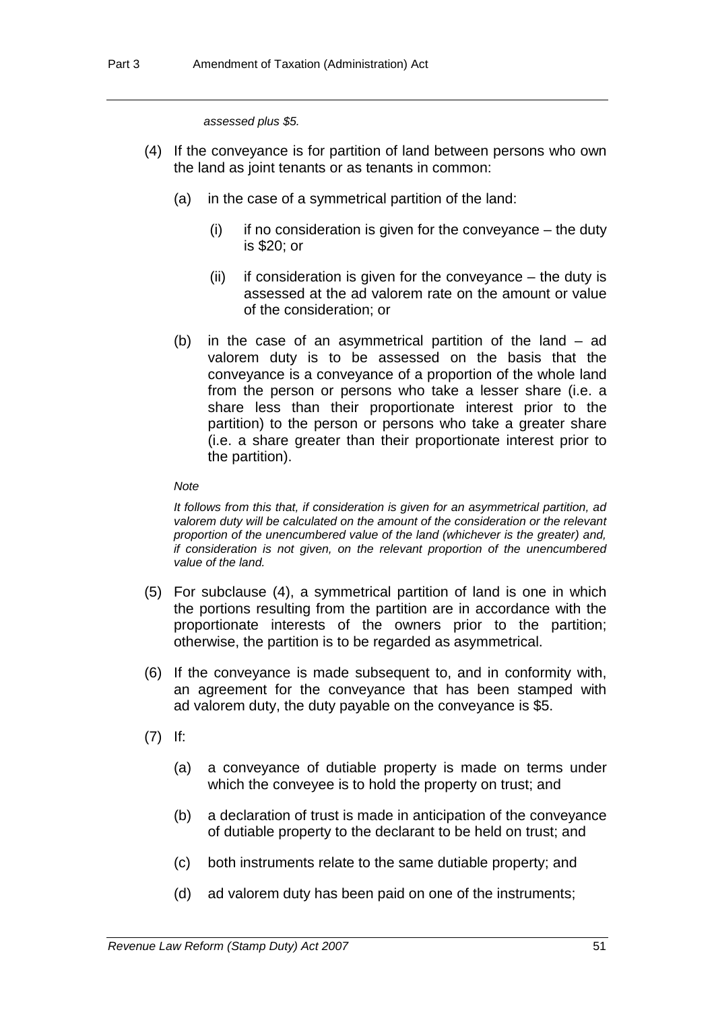*assessed plus \$5.* 

- (4) If the conveyance is for partition of land between persons who own the land as joint tenants or as tenants in common:
	- (a) in the case of a symmetrical partition of the land:
		- $(i)$  if no consideration is given for the conveyance the duty is \$20; or
		- (ii) if consideration is given for the conveyance the duty is assessed at the ad valorem rate on the amount or value of the consideration; or
	- (b) in the case of an asymmetrical partition of the land ad valorem duty is to be assessed on the basis that the conveyance is a conveyance of a proportion of the whole land from the person or persons who take a lesser share (i.e. a share less than their proportionate interest prior to the partition) to the person or persons who take a greater share (i.e. a share greater than their proportionate interest prior to the partition).

#### *Note*

*It follows from this that, if consideration is given for an asymmetrical partition, ad valorem duty will be calculated on the amount of the consideration or the relevant proportion of the unencumbered value of the land (whichever is the greater) and, if consideration is not given, on the relevant proportion of the unencumbered value of the land.* 

- (5) For subclause (4), a symmetrical partition of land is one in which the portions resulting from the partition are in accordance with the proportionate interests of the owners prior to the partition; otherwise, the partition is to be regarded as asymmetrical.
- (6) If the conveyance is made subsequent to, and in conformity with, an agreement for the conveyance that has been stamped with ad valorem duty, the duty payable on the conveyance is \$5.
- (7) If:
	- (a) a conveyance of dutiable property is made on terms under which the conveyee is to hold the property on trust; and
	- (b) a declaration of trust is made in anticipation of the conveyance of dutiable property to the declarant to be held on trust; and
	- (c) both instruments relate to the same dutiable property; and
	- (d) ad valorem duty has been paid on one of the instruments;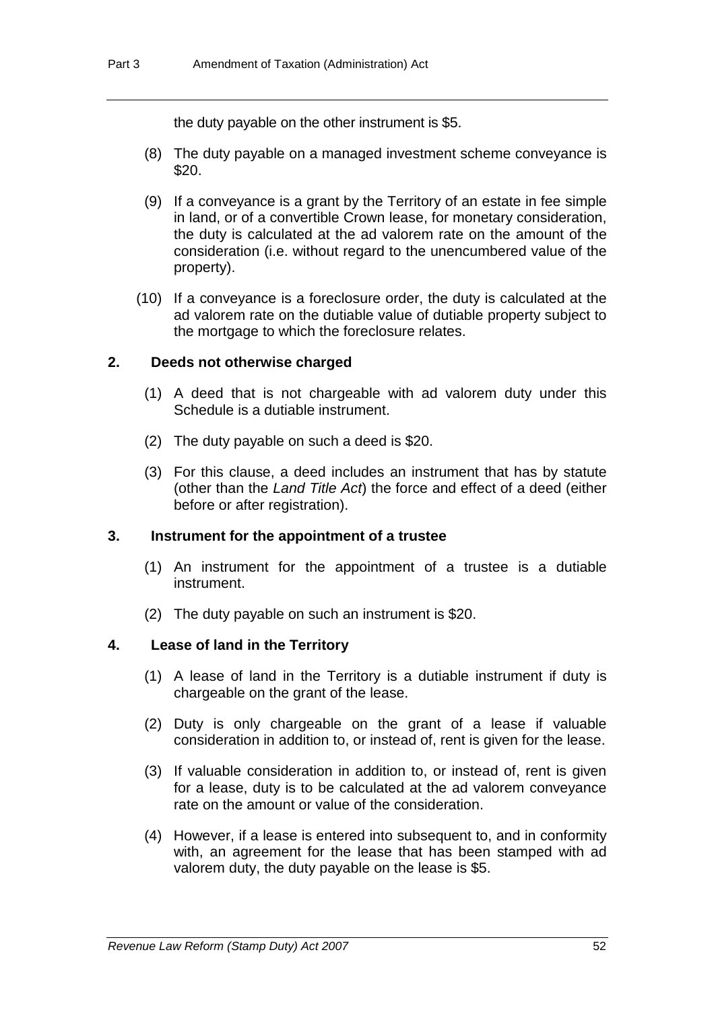the duty payable on the other instrument is \$5.

- (8) The duty payable on a managed investment scheme conveyance is \$20.
- (9) If a conveyance is a grant by the Territory of an estate in fee simple in land, or of a convertible Crown lease, for monetary consideration, the duty is calculated at the ad valorem rate on the amount of the consideration (i.e. without regard to the unencumbered value of the property).
- (10) If a conveyance is a foreclosure order, the duty is calculated at the ad valorem rate on the dutiable value of dutiable property subject to the mortgage to which the foreclosure relates.

# **2. Deeds not otherwise charged**

- (1) A deed that is not chargeable with ad valorem duty under this Schedule is a dutiable instrument.
- (2) The duty payable on such a deed is \$20.
- (3) For this clause, a deed includes an instrument that has by statute (other than the *Land Title Act*) the force and effect of a deed (either before or after registration).

# **3. Instrument for the appointment of a trustee**

- (1) An instrument for the appointment of a trustee is a dutiable instrument.
- (2) The duty payable on such an instrument is \$20.

# **4. Lease of land in the Territory**

- (1) A lease of land in the Territory is a dutiable instrument if duty is chargeable on the grant of the lease.
- (2) Duty is only chargeable on the grant of a lease if valuable consideration in addition to, or instead of, rent is given for the lease.
- (3) If valuable consideration in addition to, or instead of, rent is given for a lease, duty is to be calculated at the ad valorem conveyance rate on the amount or value of the consideration.
- (4) However, if a lease is entered into subsequent to, and in conformity with, an agreement for the lease that has been stamped with ad valorem duty, the duty payable on the lease is \$5.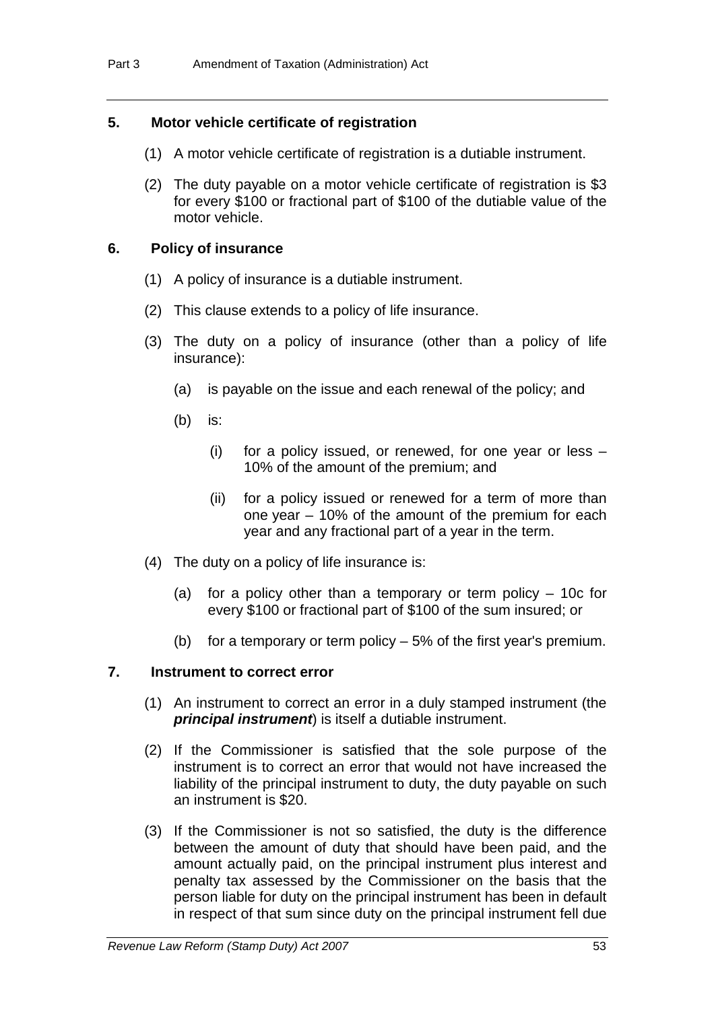# **5. Motor vehicle certificate of registration**

- (1) A motor vehicle certificate of registration is a dutiable instrument.
- (2) The duty payable on a motor vehicle certificate of registration is \$3 for every \$100 or fractional part of \$100 of the dutiable value of the motor vehicle.

# **6. Policy of insurance**

- (1) A policy of insurance is a dutiable instrument.
- (2) This clause extends to a policy of life insurance.
- (3) The duty on a policy of insurance (other than a policy of life insurance):
	- (a) is payable on the issue and each renewal of the policy; and
	- (b) is:
		- (i) for a policy issued, or renewed, for one year or less 10% of the amount of the premium; and
		- (ii) for a policy issued or renewed for a term of more than one year – 10% of the amount of the premium for each year and any fractional part of a year in the term.
- (4) The duty on a policy of life insurance is:
	- (a) for a policy other than a temporary or term policy 10c for every \$100 or fractional part of \$100 of the sum insured; or
	- (b) for a temporary or term policy  $-5\%$  of the first year's premium.

# **7. Instrument to correct error**

- (1) An instrument to correct an error in a duly stamped instrument (the *principal instrument*) is itself a dutiable instrument.
- (2) If the Commissioner is satisfied that the sole purpose of the instrument is to correct an error that would not have increased the liability of the principal instrument to duty, the duty payable on such an instrument is \$20.
- (3) If the Commissioner is not so satisfied, the duty is the difference between the amount of duty that should have been paid, and the amount actually paid, on the principal instrument plus interest and penalty tax assessed by the Commissioner on the basis that the person liable for duty on the principal instrument has been in default in respect of that sum since duty on the principal instrument fell due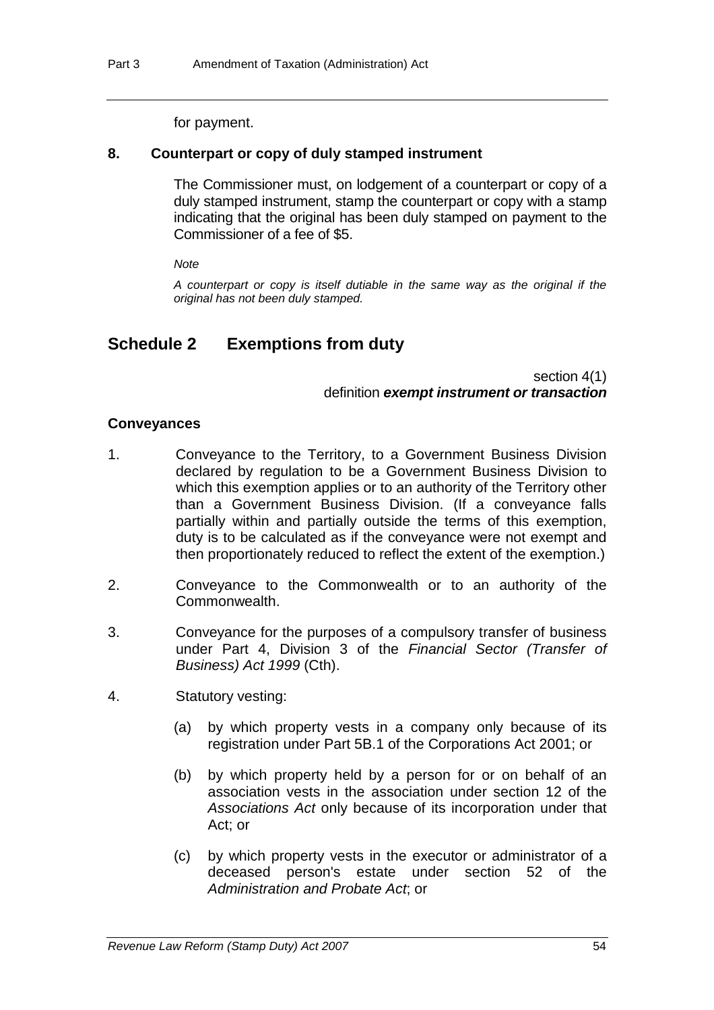#### for payment.

#### **8. Counterpart or copy of duly stamped instrument**

The Commissioner must, on lodgement of a counterpart or copy of a duly stamped instrument, stamp the counterpart or copy with a stamp indicating that the original has been duly stamped on payment to the Commissioner of a fee of \$5.

*Note* 

*A counterpart or copy is itself dutiable in the same way as the original if the original has not been duly stamped.* 

# **Schedule 2 Exemptions from duty**

section 4(1) definition *exempt instrument or transaction*

#### **Conveyances**

- 1. Conveyance to the Territory, to a Government Business Division declared by regulation to be a Government Business Division to which this exemption applies or to an authority of the Territory other than a Government Business Division. (If a conveyance falls partially within and partially outside the terms of this exemption, duty is to be calculated as if the conveyance were not exempt and then proportionately reduced to reflect the extent of the exemption.)
- 2. Conveyance to the Commonwealth or to an authority of the Commonwealth.
- 3. Conveyance for the purposes of a compulsory transfer of business under Part 4, Division 3 of the *Financial Sector (Transfer of Business) Act 1999* (Cth).
- 4. Statutory vesting:
	- (a) by which property vests in a company only because of its registration under Part 5B.1 of the Corporations Act 2001; or
	- (b) by which property held by a person for or on behalf of an association vests in the association under section 12 of the *Associations Act* only because of its incorporation under that Act; or
	- (c) by which property vests in the executor or administrator of a deceased person's estate under section 52 of the *Administration and Probate Act*; or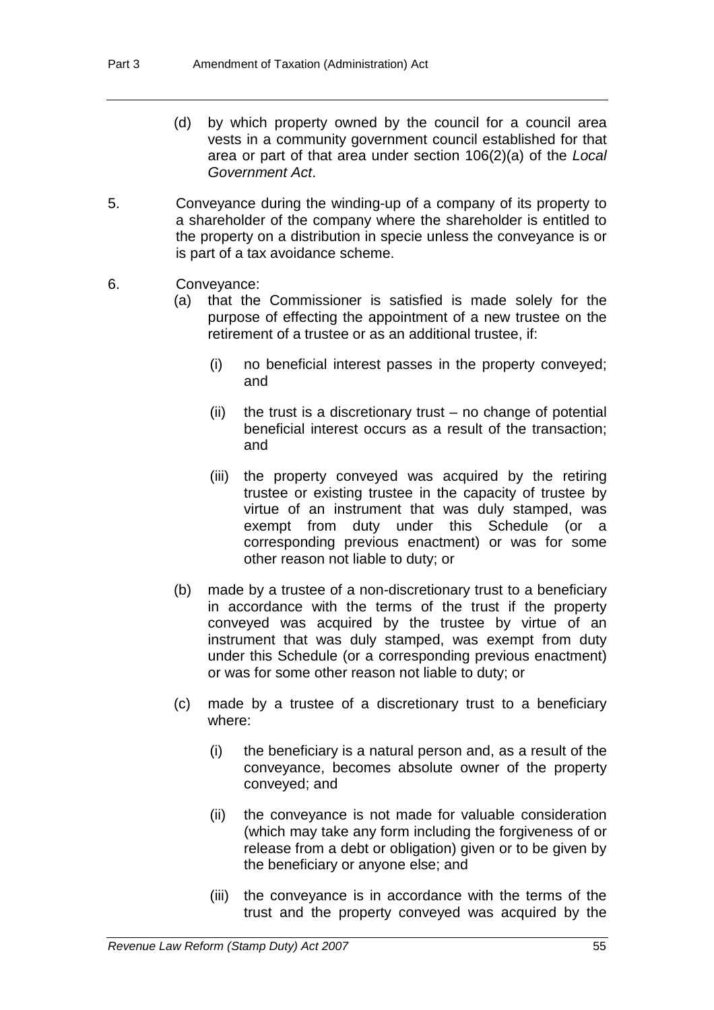- (d) by which property owned by the council for a council area vests in a community government council established for that area or part of that area under section 106(2)(a) of the *Local Government Act*.
- 5. Conveyance during the winding-up of a company of its property to a shareholder of the company where the shareholder is entitled to the property on a distribution in specie unless the conveyance is or is part of a tax avoidance scheme.
- 6. Conveyance:
	- (a) that the Commissioner is satisfied is made solely for the purpose of effecting the appointment of a new trustee on the retirement of a trustee or as an additional trustee, if:
		- (i) no beneficial interest passes in the property conveyed; and
		- $(ii)$  the trust is a discretionary trust no change of potential beneficial interest occurs as a result of the transaction; and
		- (iii) the property conveyed was acquired by the retiring trustee or existing trustee in the capacity of trustee by virtue of an instrument that was duly stamped, was exempt from duty under this Schedule (or a corresponding previous enactment) or was for some other reason not liable to duty; or
	- (b) made by a trustee of a non-discretionary trust to a beneficiary in accordance with the terms of the trust if the property conveyed was acquired by the trustee by virtue of an instrument that was duly stamped, was exempt from duty under this Schedule (or a corresponding previous enactment) or was for some other reason not liable to duty; or
	- (c) made by a trustee of a discretionary trust to a beneficiary where:
		- (i) the beneficiary is a natural person and, as a result of the conveyance, becomes absolute owner of the property conveyed; and
		- (ii) the conveyance is not made for valuable consideration (which may take any form including the forgiveness of or release from a debt or obligation) given or to be given by the beneficiary or anyone else; and
		- (iii) the conveyance is in accordance with the terms of the trust and the property conveyed was acquired by the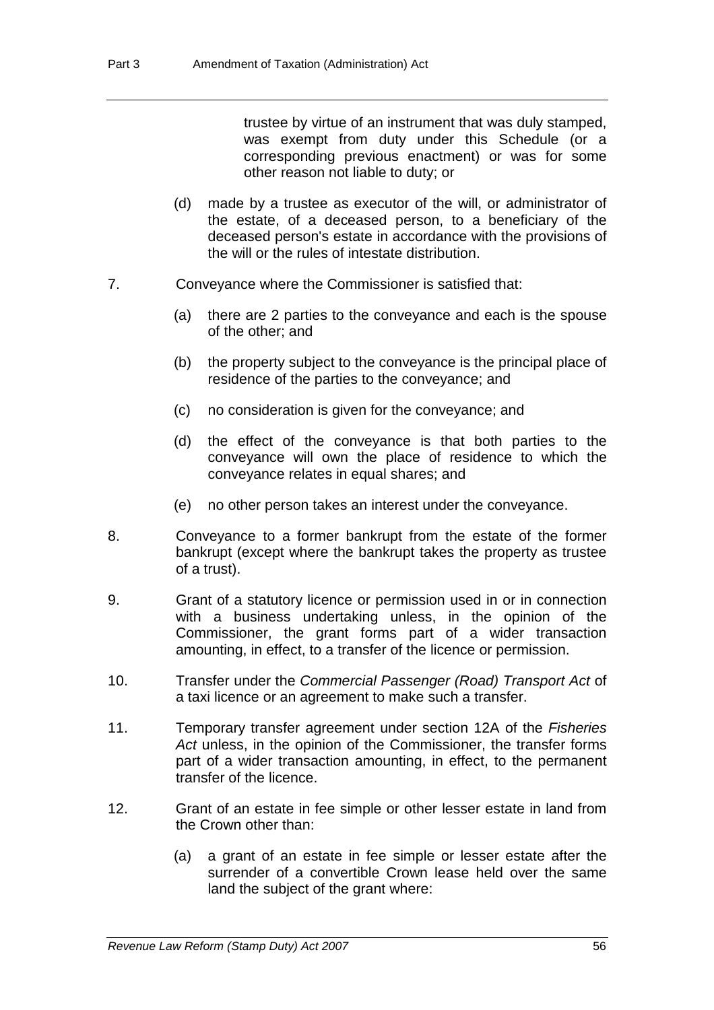trustee by virtue of an instrument that was duly stamped, was exempt from duty under this Schedule (or a corresponding previous enactment) or was for some other reason not liable to duty; or

- (d) made by a trustee as executor of the will, or administrator of the estate, of a deceased person, to a beneficiary of the deceased person's estate in accordance with the provisions of the will or the rules of intestate distribution.
- 7. Conveyance where the Commissioner is satisfied that:
	- (a) there are 2 parties to the conveyance and each is the spouse of the other; and
	- (b) the property subject to the conveyance is the principal place of residence of the parties to the conveyance; and
	- (c) no consideration is given for the conveyance; and
	- (d) the effect of the conveyance is that both parties to the conveyance will own the place of residence to which the conveyance relates in equal shares; and
	- (e) no other person takes an interest under the conveyance.
- 8. Conveyance to a former bankrupt from the estate of the former bankrupt (except where the bankrupt takes the property as trustee of a trust).
- 9. Grant of a statutory licence or permission used in or in connection with a business undertaking unless, in the opinion of the Commissioner, the grant forms part of a wider transaction amounting, in effect, to a transfer of the licence or permission.
- 10. Transfer under the *Commercial Passenger (Road) Transport Act* of a taxi licence or an agreement to make such a transfer.
- 11. Temporary transfer agreement under section 12A of the *Fisheries Act* unless, in the opinion of the Commissioner, the transfer forms part of a wider transaction amounting, in effect, to the permanent transfer of the licence.
- 12. Grant of an estate in fee simple or other lesser estate in land from the Crown other than:
	- (a) a grant of an estate in fee simple or lesser estate after the surrender of a convertible Crown lease held over the same land the subject of the grant where: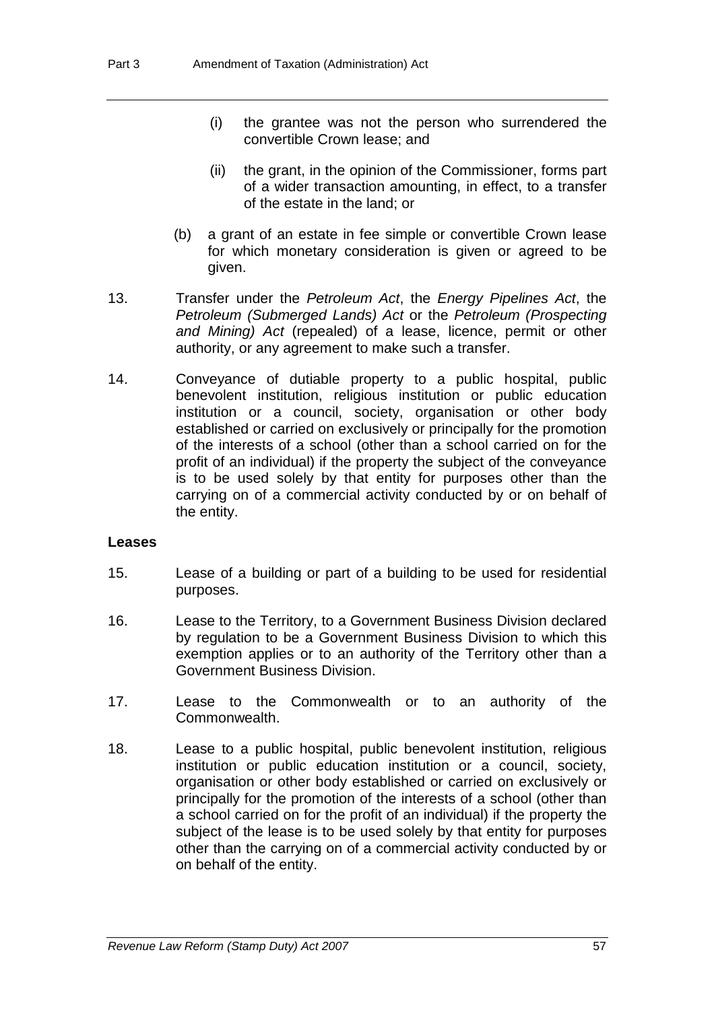- (i) the grantee was not the person who surrendered the convertible Crown lease; and
- (ii) the grant, in the opinion of the Commissioner, forms part of a wider transaction amounting, in effect, to a transfer of the estate in the land; or
- (b) a grant of an estate in fee simple or convertible Crown lease for which monetary consideration is given or agreed to be given.
- 13. Transfer under the *Petroleum Act*, the *Energy Pipelines Act*, the *Petroleum (Submerged Lands) Act* or the *Petroleum (Prospecting and Mining) Act* (repealed) of a lease, licence, permit or other authority, or any agreement to make such a transfer.
- 14. Conveyance of dutiable property to a public hospital, public benevolent institution, religious institution or public education institution or a council, society, organisation or other body established or carried on exclusively or principally for the promotion of the interests of a school (other than a school carried on for the profit of an individual) if the property the subject of the conveyance is to be used solely by that entity for purposes other than the carrying on of a commercial activity conducted by or on behalf of the entity.

#### **Leases**

- 15. Lease of a building or part of a building to be used for residential purposes.
- 16. Lease to the Territory, to a Government Business Division declared by regulation to be a Government Business Division to which this exemption applies or to an authority of the Territory other than a Government Business Division.
- 17. Lease to the Commonwealth or to an authority of the Commonwealth.
- 18. Lease to a public hospital, public benevolent institution, religious institution or public education institution or a council, society, organisation or other body established or carried on exclusively or principally for the promotion of the interests of a school (other than a school carried on for the profit of an individual) if the property the subject of the lease is to be used solely by that entity for purposes other than the carrying on of a commercial activity conducted by or on behalf of the entity.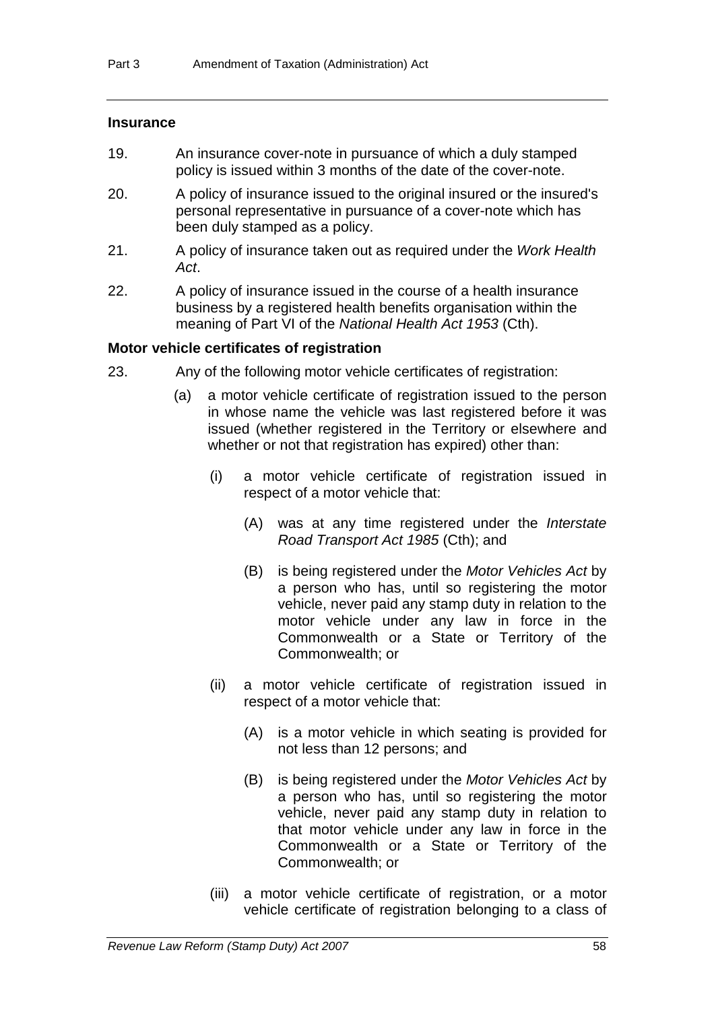### **Insurance**

- 19. An insurance cover-note in pursuance of which a duly stamped policy is issued within 3 months of the date of the cover-note.
- 20. A policy of insurance issued to the original insured or the insured's personal representative in pursuance of a cover-note which has been duly stamped as a policy.
- 21. A policy of insurance taken out as required under the *Work Health Act*.
- 22. A policy of insurance issued in the course of a health insurance business by a registered health benefits organisation within the meaning of Part VI of the *National Health Act 1953* (Cth).

### **Motor vehicle certificates of registration**

- 23. Any of the following motor vehicle certificates of registration:
	- (a) a motor vehicle certificate of registration issued to the person in whose name the vehicle was last registered before it was issued (whether registered in the Territory or elsewhere and whether or not that registration has expired) other than:
		- (i) a motor vehicle certificate of registration issued in respect of a motor vehicle that:
			- (A) was at any time registered under the *Interstate Road Transport Act 1985* (Cth); and
			- (B) is being registered under the *Motor Vehicles Act* by a person who has, until so registering the motor vehicle, never paid any stamp duty in relation to the motor vehicle under any law in force in the Commonwealth or a State or Territory of the Commonwealth; or
		- (ii) a motor vehicle certificate of registration issued in respect of a motor vehicle that:
			- (A) is a motor vehicle in which seating is provided for not less than 12 persons; and
			- (B) is being registered under the *Motor Vehicles Act* by a person who has, until so registering the motor vehicle, never paid any stamp duty in relation to that motor vehicle under any law in force in the Commonwealth or a State or Territory of the Commonwealth; or
		- (iii) a motor vehicle certificate of registration, or a motor vehicle certificate of registration belonging to a class of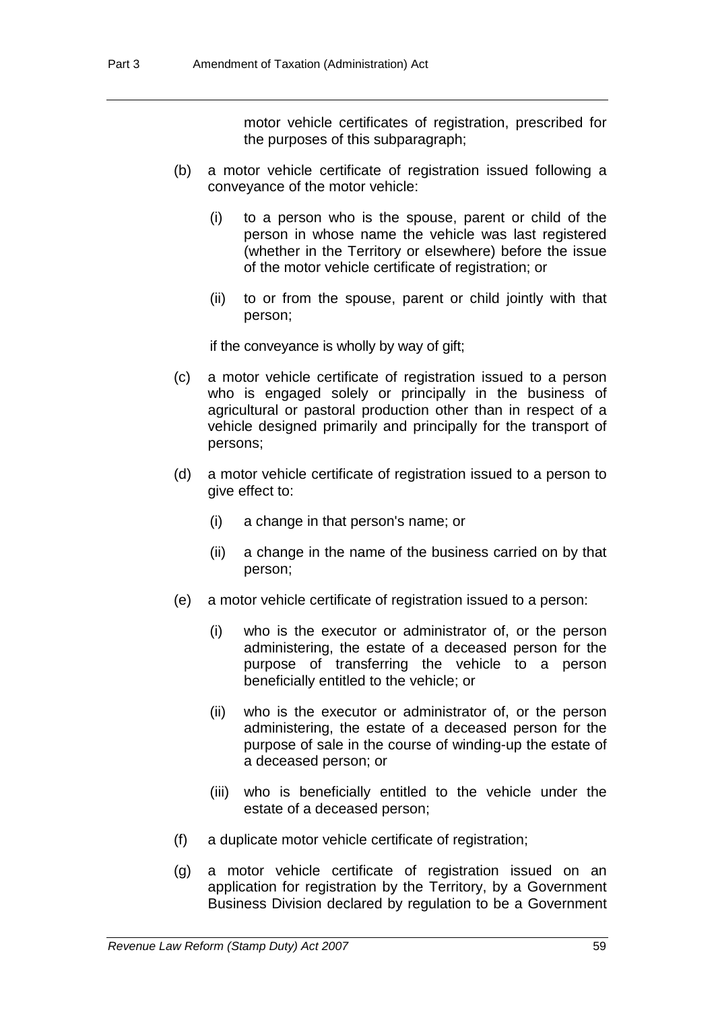motor vehicle certificates of registration, prescribed for the purposes of this subparagraph;

- (b) a motor vehicle certificate of registration issued following a conveyance of the motor vehicle:
	- (i) to a person who is the spouse, parent or child of the person in whose name the vehicle was last registered (whether in the Territory or elsewhere) before the issue of the motor vehicle certificate of registration; or
	- (ii) to or from the spouse, parent or child jointly with that person;

if the conveyance is wholly by way of gift;

- (c) a motor vehicle certificate of registration issued to a person who is engaged solely or principally in the business of agricultural or pastoral production other than in respect of a vehicle designed primarily and principally for the transport of persons;
- (d) a motor vehicle certificate of registration issued to a person to give effect to:
	- (i) a change in that person's name; or
	- (ii) a change in the name of the business carried on by that person;
- (e) a motor vehicle certificate of registration issued to a person:
	- (i) who is the executor or administrator of, or the person administering, the estate of a deceased person for the purpose of transferring the vehicle to a person beneficially entitled to the vehicle; or
	- (ii) who is the executor or administrator of, or the person administering, the estate of a deceased person for the purpose of sale in the course of winding-up the estate of a deceased person; or
	- (iii) who is beneficially entitled to the vehicle under the estate of a deceased person;
- (f) a duplicate motor vehicle certificate of registration;
- (g) a motor vehicle certificate of registration issued on an application for registration by the Territory, by a Government Business Division declared by regulation to be a Government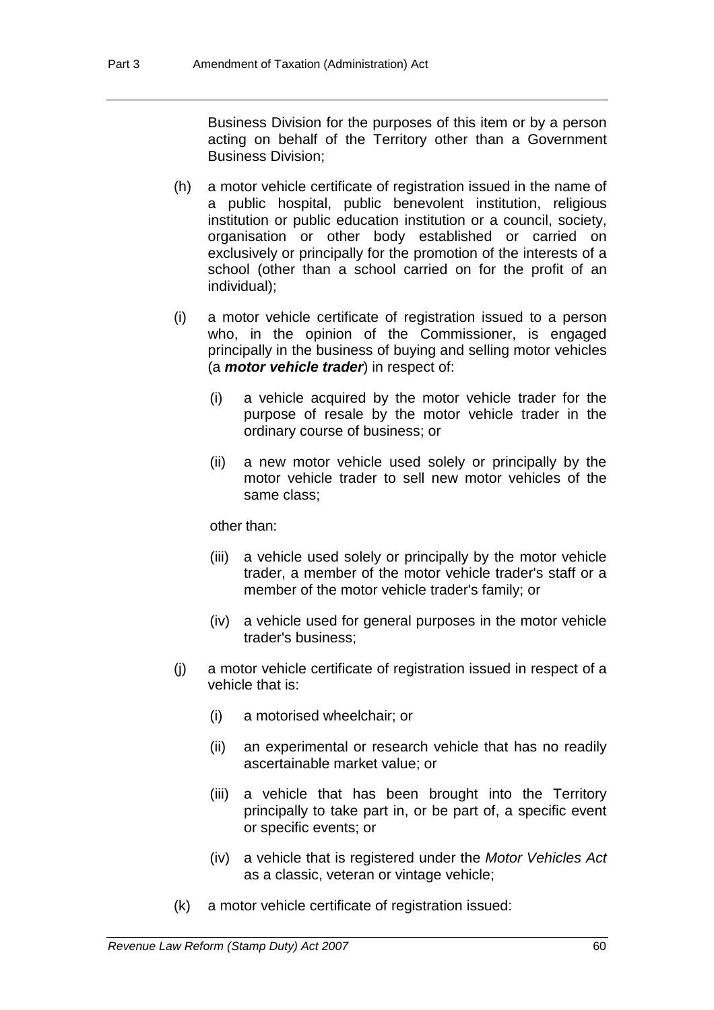Business Division for the purposes of this item or by a person acting on behalf of the Territory other than a Government Business Division;

- (h) a motor vehicle certificate of registration issued in the name of a public hospital, public benevolent institution, religious institution or public education institution or a council, society, organisation or other body established or carried on exclusively or principally for the promotion of the interests of a school (other than a school carried on for the profit of an individual);
- (i) a motor vehicle certificate of registration issued to a person who, in the opinion of the Commissioner, is engaged principally in the business of buying and selling motor vehicles (a *motor vehicle trader*) in respect of:
	- (i) a vehicle acquired by the motor vehicle trader for the purpose of resale by the motor vehicle trader in the ordinary course of business; or
	- (ii) a new motor vehicle used solely or principally by the motor vehicle trader to sell new motor vehicles of the same class;

other than:

- (iii) a vehicle used solely or principally by the motor vehicle trader, a member of the motor vehicle trader's staff or a member of the motor vehicle trader's family; or
- (iv) a vehicle used for general purposes in the motor vehicle trader's business;
- (j) a motor vehicle certificate of registration issued in respect of a vehicle that is:
	- (i) a motorised wheelchair; or
	- (ii) an experimental or research vehicle that has no readily ascertainable market value; or
	- (iii) a vehicle that has been brought into the Territory principally to take part in, or be part of, a specific event or specific events; or
	- (iv) a vehicle that is registered under the *Motor Vehicles Act* as a classic, veteran or vintage vehicle;
- (k) a motor vehicle certificate of registration issued: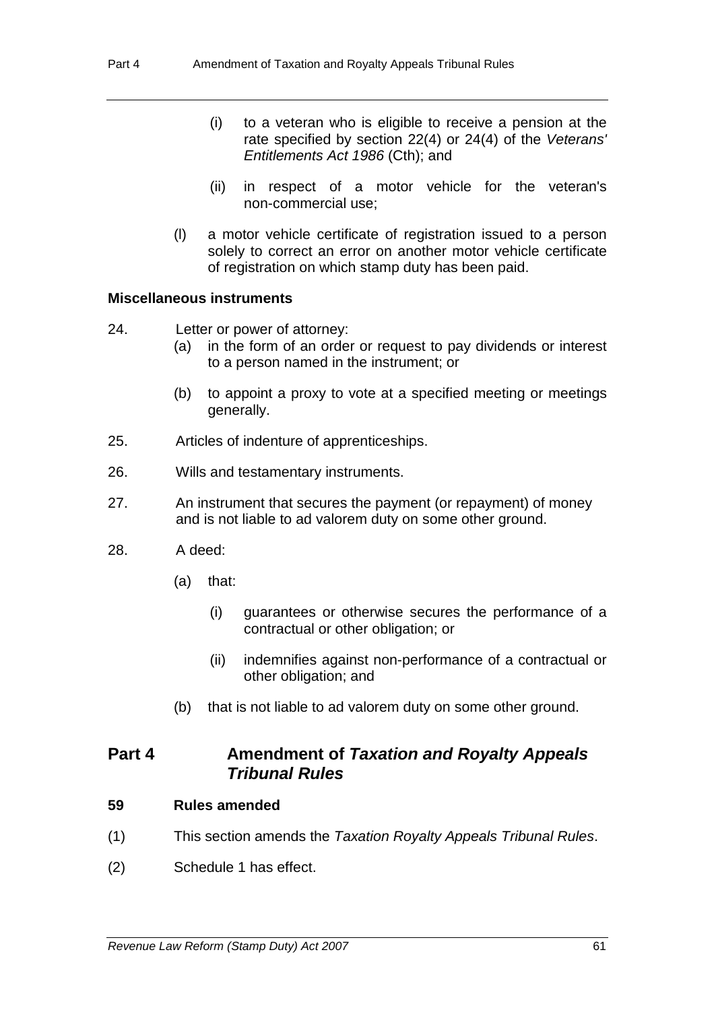- (i) to a veteran who is eligible to receive a pension at the rate specified by section 22(4) or 24(4) of the *Veterans' Entitlements Act 1986* (Cth); and
- (ii) in respect of a motor vehicle for the veteran's non-commercial use;
- (l) a motor vehicle certificate of registration issued to a person solely to correct an error on another motor vehicle certificate of registration on which stamp duty has been paid.

#### **Miscellaneous instruments**

- 24. Letter or power of attorney:
	- (a) in the form of an order or request to pay dividends or interest to a person named in the instrument; or
	- (b) to appoint a proxy to vote at a specified meeting or meetings generally.
- 25. Articles of indenture of apprenticeships.
- 26. Wills and testamentary instruments.
- 27. An instrument that secures the payment (or repayment) of money and is not liable to ad valorem duty on some other ground.
- 28. A deed:
	- (a) that:
		- (i) guarantees or otherwise secures the performance of a contractual or other obligation; or
		- (ii) indemnifies against non-performance of a contractual or other obligation; and
	- (b) that is not liable to ad valorem duty on some other ground.

# **Part 4 Amendment of** *Taxation and Royalty Appeals Tribunal Rules*

#### **59 Rules amended**

- (1) This section amends the *Taxation Royalty Appeals Tribunal Rules*.
- (2) Schedule 1 has effect.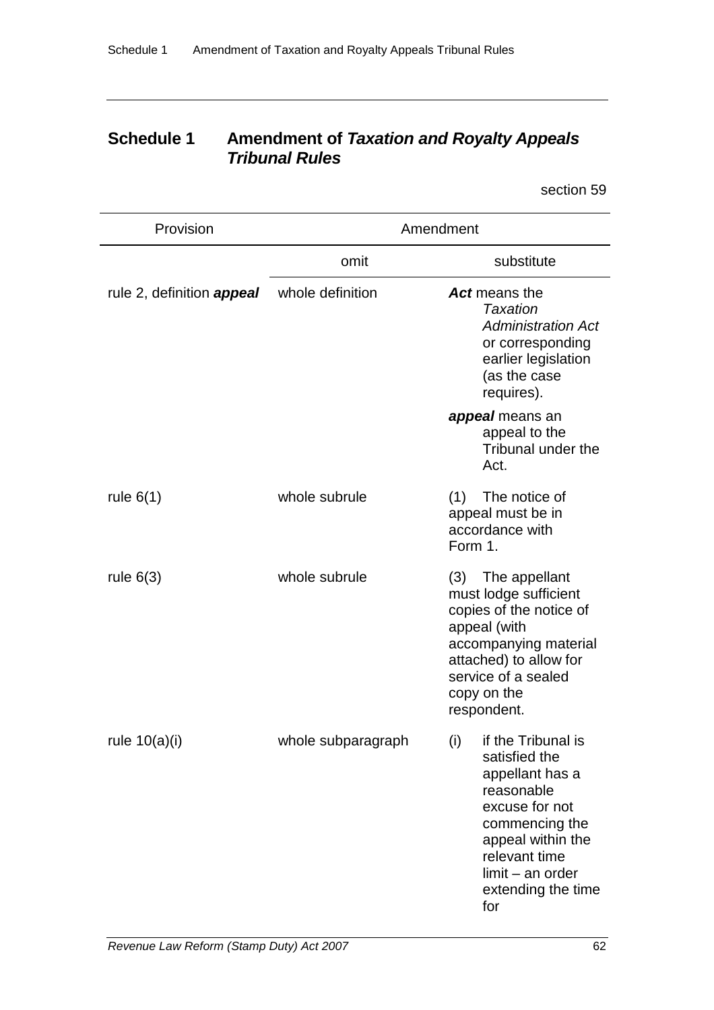# **Schedule 1 Amendment of** *Taxation and Royalty Appeals Tribunal Rules*

section 59

| Provision                        | Amendment          |                                                                                                                                                                                                          |  |
|----------------------------------|--------------------|----------------------------------------------------------------------------------------------------------------------------------------------------------------------------------------------------------|--|
|                                  | omit               | substitute                                                                                                                                                                                               |  |
| rule 2, definition <b>appeal</b> | whole definition   | Act means the<br><b>Taxation</b><br><b>Administration Act</b><br>or corresponding<br>earlier legislation<br>(as the case<br>requires).                                                                   |  |
|                                  |                    | appeal means an<br>appeal to the<br>Tribunal under the<br>Act.                                                                                                                                           |  |
| rule $6(1)$                      | whole subrule      | The notice of<br>(1)<br>appeal must be in<br>accordance with<br>Form 1.                                                                                                                                  |  |
| rule $6(3)$                      | whole subrule      | The appellant<br>(3)<br>must lodge sufficient<br>copies of the notice of<br>appeal (with<br>accompanying material<br>attached) to allow for<br>service of a sealed<br>copy on the<br>respondent.         |  |
| rule $10(a)(i)$                  | whole subparagraph | (i)<br>if the Tribunal is<br>satisfied the<br>appellant has a<br>reasonable<br>excuse for not<br>commencing the<br>appeal within the<br>relevant time<br>$limit - an order$<br>extending the time<br>for |  |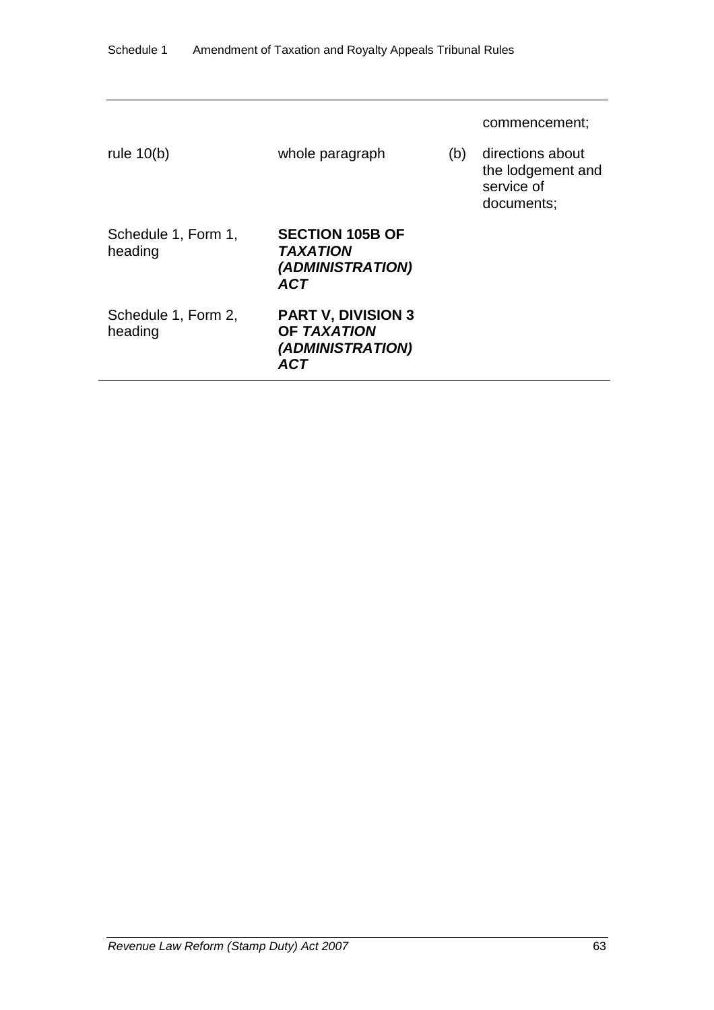| rule $10(b)$                   | whole paragraph                                                             | (b) | commencement;<br>directions about<br>the lodgement and<br>service of |
|--------------------------------|-----------------------------------------------------------------------------|-----|----------------------------------------------------------------------|
| Schedule 1, Form 1,<br>heading | <b>SECTION 105B OF</b><br><i><b>TAXATION</b></i><br>(ADMINISTRATION)<br>ACT |     | documents;                                                           |
| Schedule 1, Form 2,<br>heading | <b>PART V, DIVISION 3</b><br>OF TAXATION<br>(ADMINISTRATION)<br><b>ACT</b>  |     |                                                                      |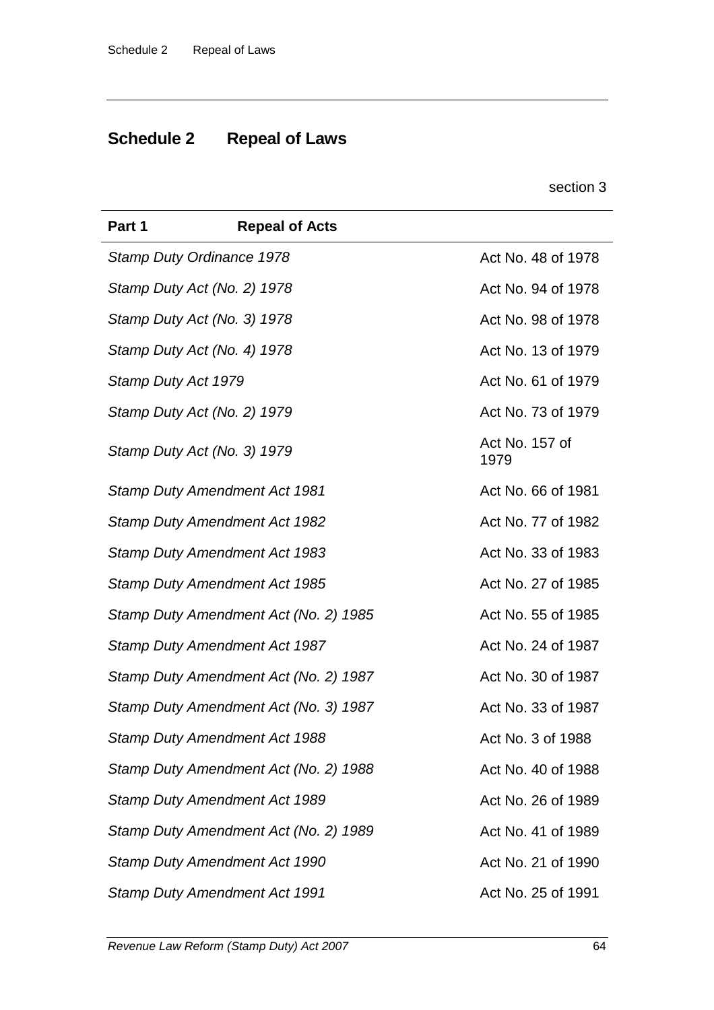# **Schedule 2 Repeal of Laws**

section 3

| Part 1              | <b>Repeal of Acts</b>                 |                        |
|---------------------|---------------------------------------|------------------------|
|                     | Stamp Duty Ordinance 1978             | Act No. 48 of 1978     |
|                     | Stamp Duty Act (No. 2) 1978           | Act No. 94 of 1978     |
|                     | Stamp Duty Act (No. 3) 1978           | Act No. 98 of 1978     |
|                     | Stamp Duty Act (No. 4) 1978           | Act No. 13 of 1979     |
| Stamp Duty Act 1979 |                                       | Act No. 61 of 1979     |
|                     | Stamp Duty Act (No. 2) 1979           | Act No. 73 of 1979     |
|                     | Stamp Duty Act (No. 3) 1979           | Act No. 157 of<br>1979 |
|                     | <b>Stamp Duty Amendment Act 1981</b>  | Act No. 66 of 1981     |
|                     | <b>Stamp Duty Amendment Act 1982</b>  | Act No. 77 of 1982     |
|                     | Stamp Duty Amendment Act 1983         | Act No. 33 of 1983     |
|                     | <b>Stamp Duty Amendment Act 1985</b>  | Act No. 27 of 1985     |
|                     | Stamp Duty Amendment Act (No. 2) 1985 | Act No. 55 of 1985     |
|                     | <b>Stamp Duty Amendment Act 1987</b>  | Act No. 24 of 1987     |
|                     | Stamp Duty Amendment Act (No. 2) 1987 | Act No. 30 of 1987     |
|                     | Stamp Duty Amendment Act (No. 3) 1987 | Act No. 33 of 1987     |
|                     | Stamp Duty Amendment Act 1988         | Act No. 3 of 1988      |
|                     | Stamp Duty Amendment Act (No. 2) 1988 | Act No. 40 of 1988     |
|                     | <b>Stamp Duty Amendment Act 1989</b>  | Act No. 26 of 1989     |
|                     | Stamp Duty Amendment Act (No. 2) 1989 | Act No. 41 of 1989     |
|                     | <b>Stamp Duty Amendment Act 1990</b>  | Act No. 21 of 1990     |
|                     | <b>Stamp Duty Amendment Act 1991</b>  | Act No. 25 of 1991     |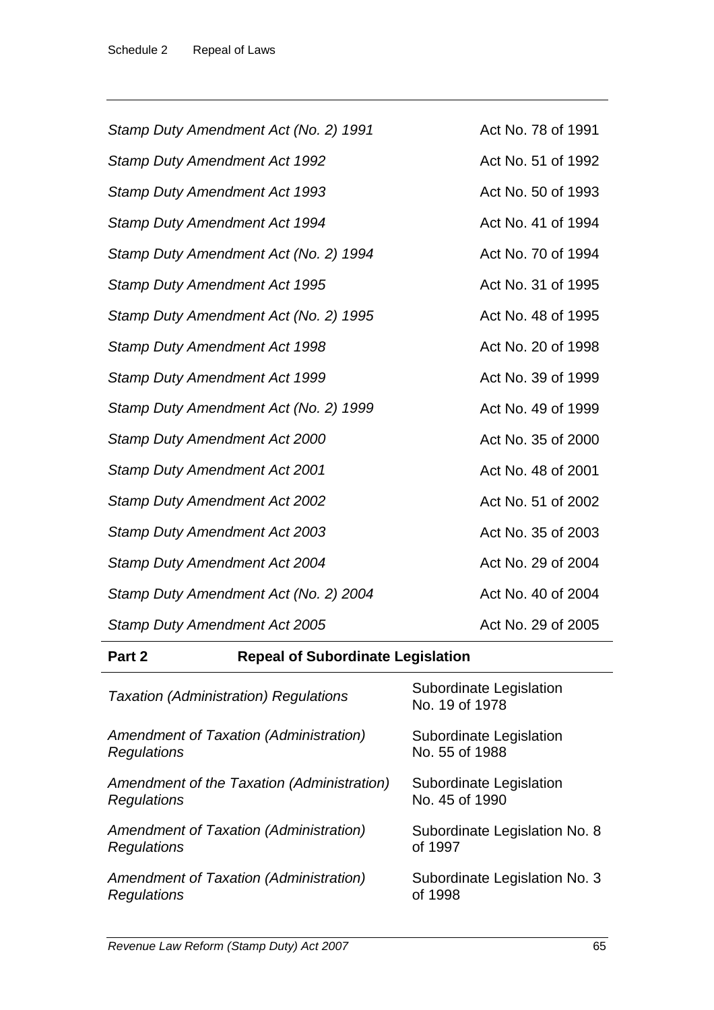| Stamp Duty Amendment Act (No. 2) 1991 | Act No. 78 of 1991 |
|---------------------------------------|--------------------|
| <b>Stamp Duty Amendment Act 1992</b>  | Act No. 51 of 1992 |
| <b>Stamp Duty Amendment Act 1993</b>  | Act No. 50 of 1993 |
| <b>Stamp Duty Amendment Act 1994</b>  | Act No. 41 of 1994 |
| Stamp Duty Amendment Act (No. 2) 1994 | Act No. 70 of 1994 |
| <b>Stamp Duty Amendment Act 1995</b>  | Act No. 31 of 1995 |
| Stamp Duty Amendment Act (No. 2) 1995 | Act No. 48 of 1995 |
| <b>Stamp Duty Amendment Act 1998</b>  | Act No. 20 of 1998 |
| <b>Stamp Duty Amendment Act 1999</b>  | Act No. 39 of 1999 |
| Stamp Duty Amendment Act (No. 2) 1999 | Act No. 49 of 1999 |
| <b>Stamp Duty Amendment Act 2000</b>  | Act No. 35 of 2000 |
| <b>Stamp Duty Amendment Act 2001</b>  | Act No. 48 of 2001 |
| <b>Stamp Duty Amendment Act 2002</b>  | Act No. 51 of 2002 |
| <b>Stamp Duty Amendment Act 2003</b>  | Act No. 35 of 2003 |
| Stamp Duty Amendment Act 2004         | Act No. 29 of 2004 |
| Stamp Duty Amendment Act (No. 2) 2004 | Act No. 40 of 2004 |
| <b>Stamp Duty Amendment Act 2005</b>  | Act No. 29 of 2005 |

# **Part 2 Repeal of Subordinate Legislation**

| <b>Taxation (Administration) Regulations</b> | Subordinate Legislation<br>No. 19 of 1978 |
|----------------------------------------------|-------------------------------------------|
| Amendment of Taxation (Administration)       | Subordinate Legislation                   |
| Regulations                                  | No. 55 of 1988                            |
| Amendment of the Taxation (Administration)   | Subordinate Legislation                   |
| Regulations                                  | No. 45 of 1990                            |
| Amendment of Taxation (Administration)       | Subordinate Legislation No. 8             |
| Regulations                                  | of 1997                                   |
| Amendment of Taxation (Administration)       | Subordinate Legislation No. 3             |
| Regulations                                  | of 1998                                   |